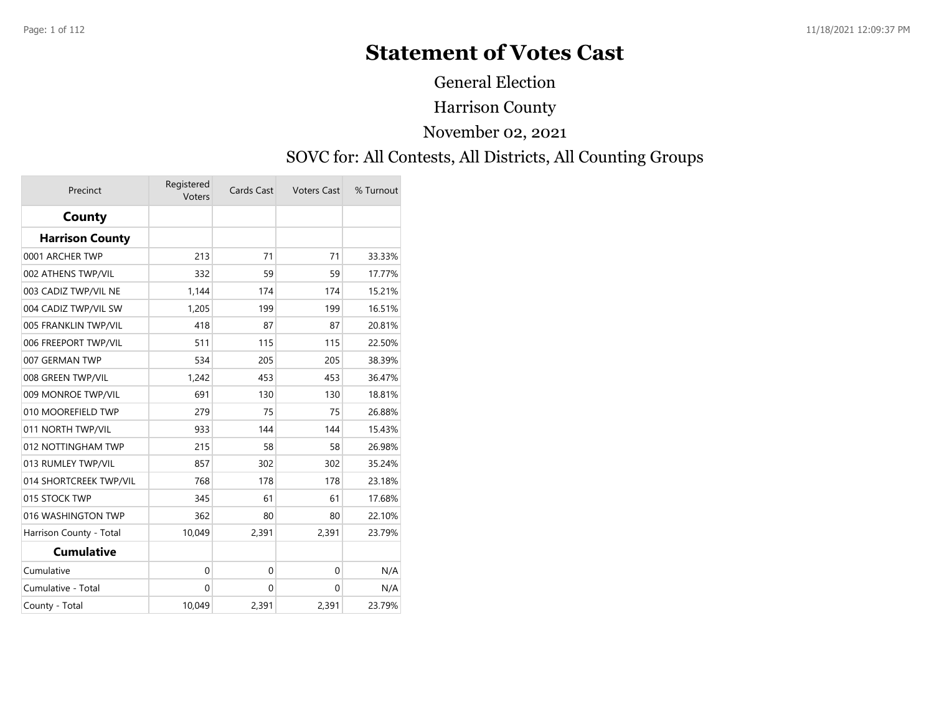# **Statement of Votes Cast**

General Election

Harrison County

November 02, 2021

#### SOVC for: All Contests, All Districts, All Counting Groups

| Precinct                | Registered<br>Voters | Cards Cast   | <b>Voters Cast</b> | % Turnout |
|-------------------------|----------------------|--------------|--------------------|-----------|
| County                  |                      |              |                    |           |
| <b>Harrison County</b>  |                      |              |                    |           |
| 0001 ARCHER TWP         | 213                  | 71           | 71                 | 33.33%    |
| 002 ATHENS TWP/VIL      | 332                  | 59           | 59                 | 17.77%    |
| 003 CADIZ TWP/VIL NE    | 1,144                | 174          | 174                | 15.21%    |
| 004 CADIZ TWP/VIL SW    | 1,205                | 199          | 199                | 16.51%    |
| 005 FRANKLIN TWP/VIL    | 418                  | 87           | 87                 | 20.81%    |
| 006 FREEPORT TWP/VIL    | 511                  | 115          | 115                | 22.50%    |
| 007 GERMAN TWP          | 534                  | 205          | 205                | 38.39%    |
| 008 GREEN TWP/VIL       | 1,242                | 453          | 453                | 36.47%    |
| 009 MONROE TWP/VIL      | 691                  | 130          | 130                | 18.81%    |
| 010 MOOREFIELD TWP      | 279                  | 75           | 75                 | 26.88%    |
| 011 NORTH TWP/VIL       | 933                  | 144          | 144                | 15.43%    |
| 012 NOTTINGHAM TWP      | 215                  | 58           | 58                 | 26.98%    |
| 013 RUMLEY TWP/VIL      | 857                  | 302          | 302                | 35.24%    |
| 014 SHORTCREEK TWP/VIL  | 768                  | 178          | 178                | 23.18%    |
| 015 STOCK TWP           | 345                  | 61           | 61                 | 17.68%    |
| 016 WASHINGTON TWP      | 362                  | 80           | 80                 | 22.10%    |
| Harrison County - Total | 10,049               | 2,391        | 2,391              | 23.79%    |
| <b>Cumulative</b>       |                      |              |                    |           |
| Cumulative              | $\mathbf 0$          | $\mathbf{0}$ | $\mathbf{0}$       | N/A       |
| Cumulative - Total      | $\mathbf{0}$         | $\mathbf{0}$ | 0                  | N/A       |
| County - Total          | 10,049               | 2,391        | 2,391              | 23.79%    |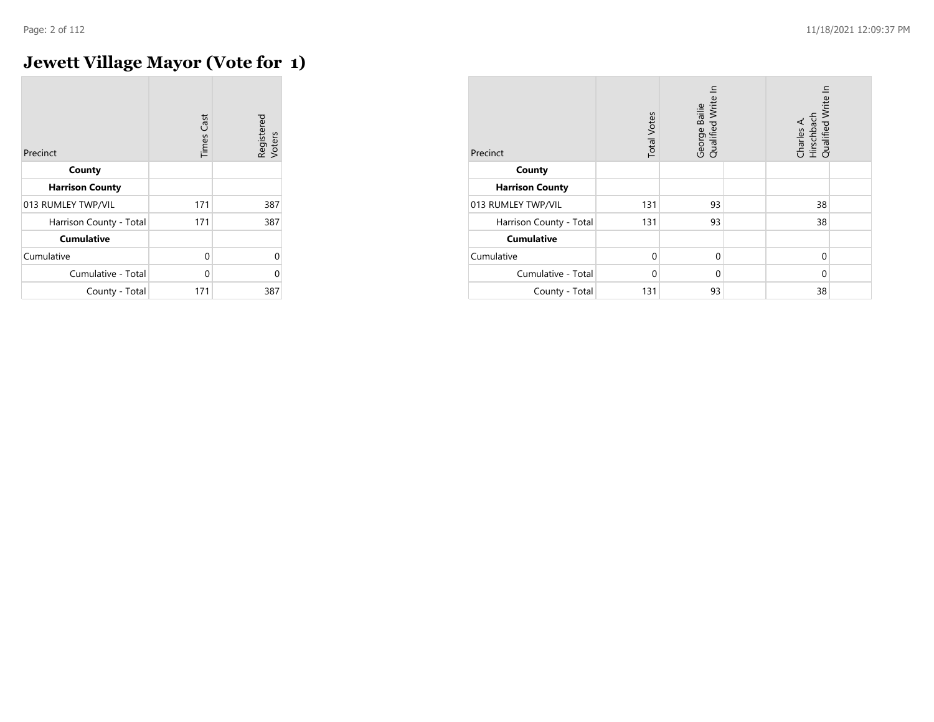## **Jewett Village Mayor (Vote for 1)**

| Precinct                | <b>Times Cast</b> | Registered<br>Voters |
|-------------------------|-------------------|----------------------|
| County                  |                   |                      |
| <b>Harrison County</b>  |                   |                      |
| 013 RUMLEY TWP/VIL      | 171               | 387                  |
| Harrison County - Total | 171               | 387                  |
| <b>Cumulative</b>       |                   |                      |
| Cumulative              | 0                 | U                    |
| Cumulative - Total      | 0                 |                      |
| County - Total          | 171               | 387                  |

| Precinct                | <b>Total Votes</b> | Qualified Write In<br>George Bailie | Charles A.<br>Hirschbach<br>Qualified Write In |  |
|-------------------------|--------------------|-------------------------------------|------------------------------------------------|--|
| County                  |                    |                                     |                                                |  |
| <b>Harrison County</b>  |                    |                                     |                                                |  |
| 013 RUMLEY TWP/VIL      | 131                | 93                                  | 38                                             |  |
| Harrison County - Total | 131                | 93                                  | 38                                             |  |
| <b>Cumulative</b>       |                    |                                     |                                                |  |
| Cumulative              | $\mathbf 0$        | $\mathbf 0$                         | $\mathbf 0$                                    |  |
| Cumulative - Total      | $\Omega$           | 0                                   | $\Omega$                                       |  |
| County - Total          | 131                | 93                                  | 38                                             |  |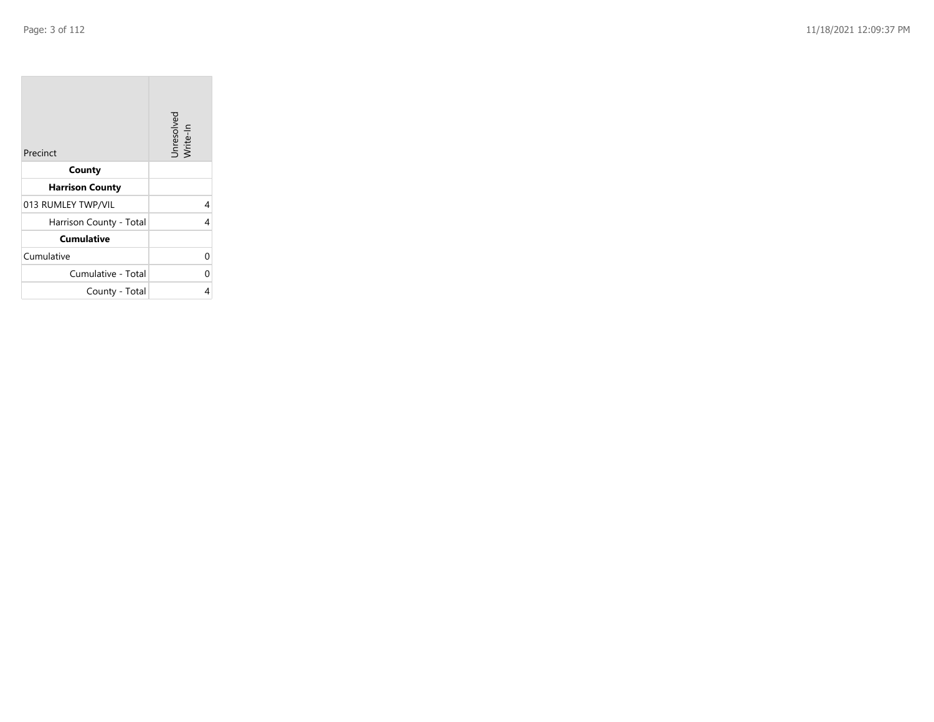**College** 

| Precinct                | Unresolved<br>Write-In |
|-------------------------|------------------------|
| County                  |                        |
| <b>Harrison County</b>  |                        |
| 013 RUMLEY TWP/VIL      | 4                      |
| Harrison County - Total | 4                      |
| <b>Cumulative</b>       |                        |
| Cumulative              | 0                      |
| Cumulative - Total      | 0                      |
| County - Total          | 4                      |

the company's company's company's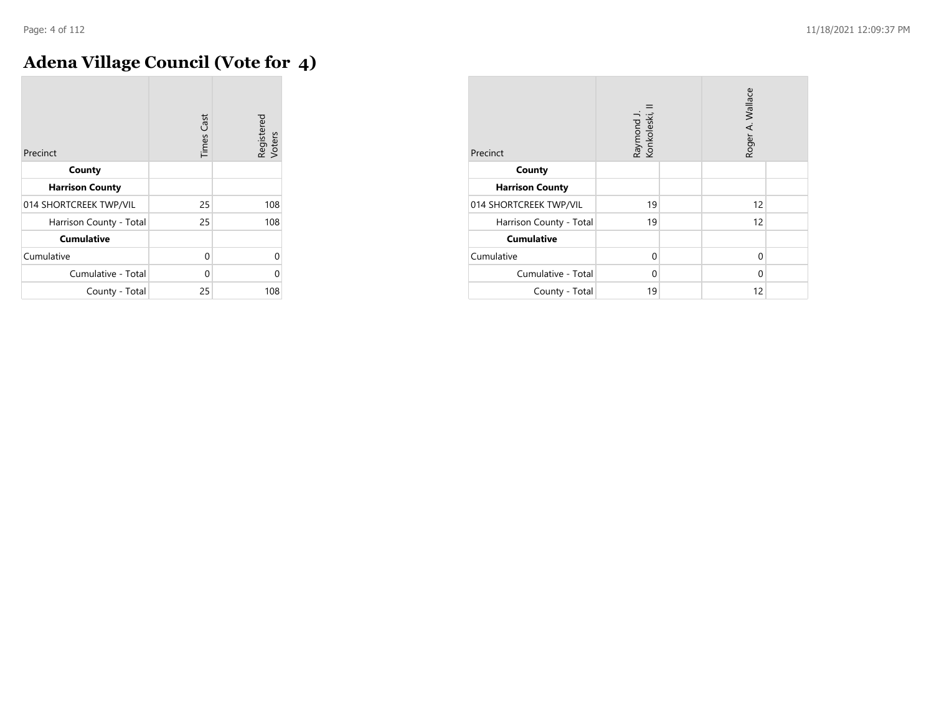m.

## **Adena Village Council (Vote for 4)**

| Precinct                | Cast<br>Times | Registered<br>Voters |
|-------------------------|---------------|----------------------|
| County                  |               |                      |
| <b>Harrison County</b>  |               |                      |
| 014 SHORTCREEK TWP/VIL  | 25            | 108                  |
| Harrison County - Total | 25            | 108                  |
| <b>Cumulative</b>       |               |                      |
| Cumulative              | 0             | Λ                    |
| Cumulative - Total      | 0             | Λ                    |
| County - Total          | 25            | 108                  |

| Precinct                | Raymond J.<br>Konkoleski, I |  | Roger A. Wallace |  |
|-------------------------|-----------------------------|--|------------------|--|
| County                  |                             |  |                  |  |
| <b>Harrison County</b>  |                             |  |                  |  |
| 014 SHORTCREEK TWP/VIL  | 19                          |  | 12               |  |
| Harrison County - Total | 19                          |  | 12               |  |
| <b>Cumulative</b>       |                             |  |                  |  |
| Cumulative              | $\Omega$                    |  | 0                |  |
| Cumulative - Total      | 0                           |  | $\Omega$         |  |
| County - Total          | 19                          |  | 12               |  |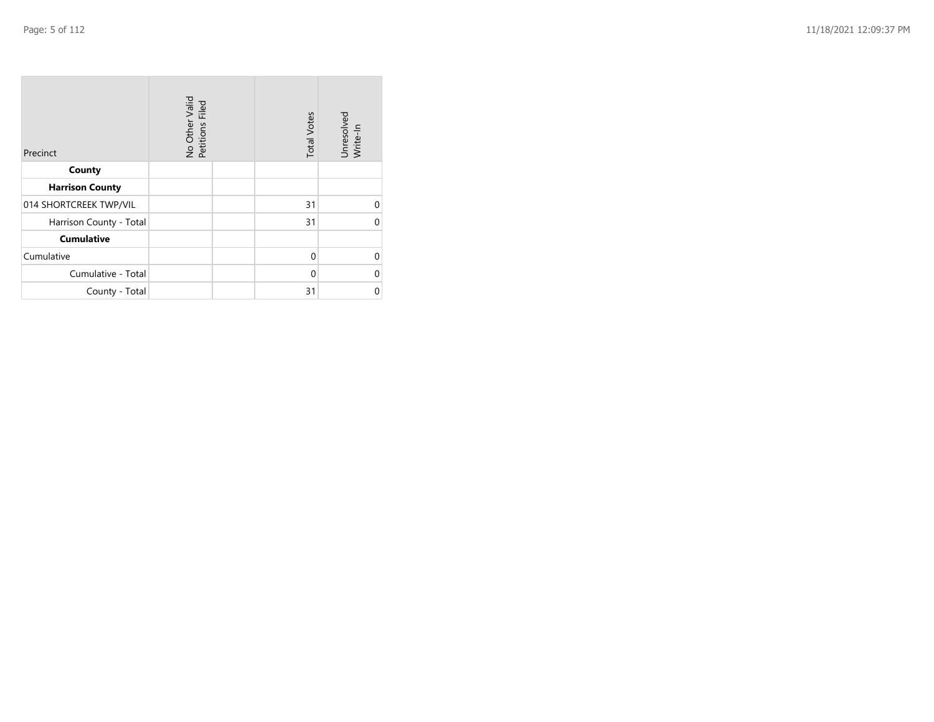| Precinct                | No Other Valid<br>Petitions Filed | <b>Total Votes</b> | Unresolved<br>Write-In |
|-------------------------|-----------------------------------|--------------------|------------------------|
| County                  |                                   |                    |                        |
| <b>Harrison County</b>  |                                   |                    |                        |
| 014 SHORTCREEK TWP/VIL  |                                   | 31                 | U                      |
| Harrison County - Total |                                   | 31                 | 0                      |
| <b>Cumulative</b>       |                                   |                    |                        |
| Cumulative              |                                   | $\Omega$           | U                      |
| Cumulative - Total      |                                   | $\Omega$           | U                      |
| County - Total          |                                   | 31                 | O                      |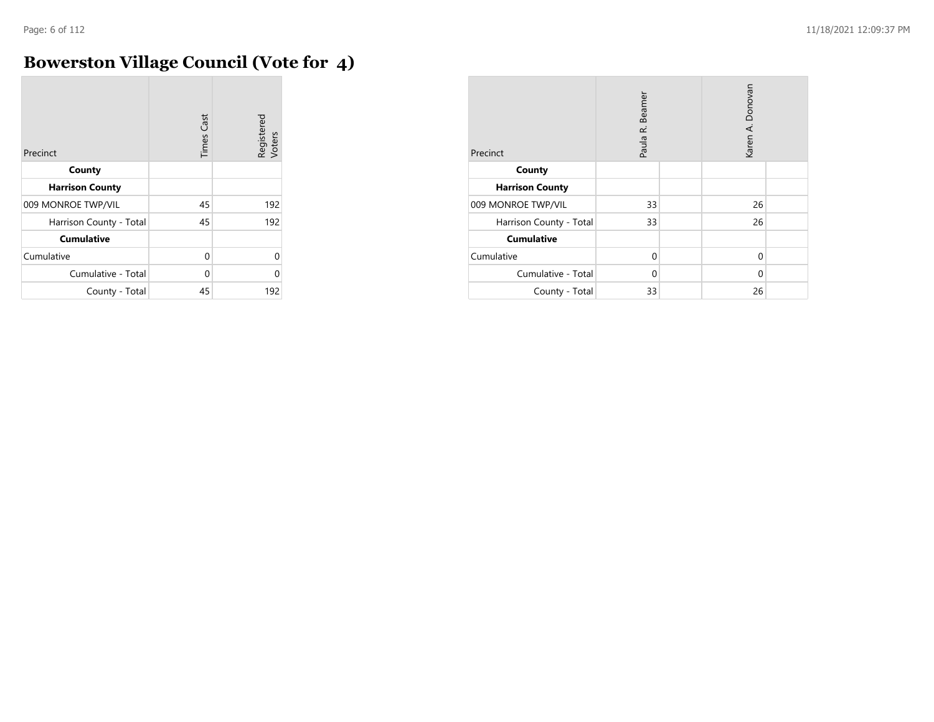m.

## **Bowerston Village Council (Vote for 4)**

| Precinct                | <b>Times Cast</b> | Registered<br>Voters |
|-------------------------|-------------------|----------------------|
| County                  |                   |                      |
| <b>Harrison County</b>  |                   |                      |
| 009 MONROE TWP/VIL      | 45                | 192                  |
| Harrison County - Total | 45                | 192                  |
| <b>Cumulative</b>       |                   |                      |
| Cumulative              | 0                 | $\Omega$             |
| Cumulative - Total      | 0                 | O                    |
| County - Total          | 45                | 192                  |

| Precinct                | Paula R. Beamer |  | Karen A. Donovan |  |
|-------------------------|-----------------|--|------------------|--|
| County                  |                 |  |                  |  |
| <b>Harrison County</b>  |                 |  |                  |  |
| 009 MONROE TWP/VIL      | 33              |  | 26               |  |
| Harrison County - Total | 33              |  | 26               |  |
| <b>Cumulative</b>       |                 |  |                  |  |
| Cumulative              | $\Omega$        |  | $\mathbf 0$      |  |
| Cumulative - Total      | 0               |  | 0                |  |
| County - Total          | 33              |  | 26               |  |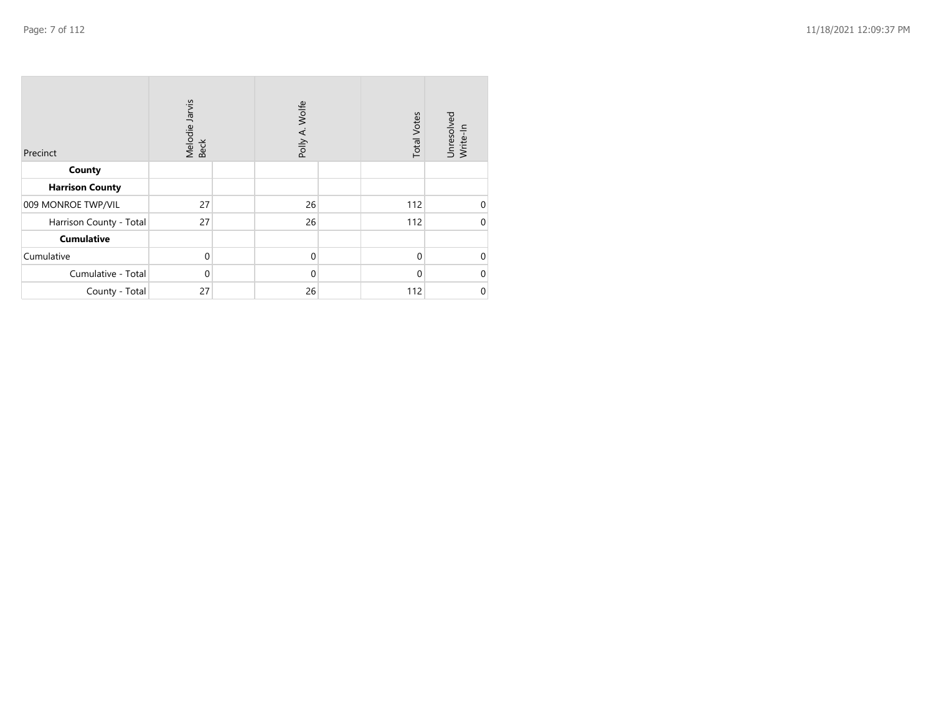| Precinct                | Melodie Jarvis<br>Beck | Polly A. Wolfe | <b>Total Votes</b> | Unresolved<br>Write-In |
|-------------------------|------------------------|----------------|--------------------|------------------------|
| County                  |                        |                |                    |                        |
| <b>Harrison County</b>  |                        |                |                    |                        |
| 009 MONROE TWP/VIL      | 27                     | 26             | 112                | $\mathbf 0$            |
| Harrison County - Total | 27                     | 26             | 112                | $\mathbf 0$            |
| <b>Cumulative</b>       |                        |                |                    |                        |
| Cumulative              | $\mathbf 0$            | $\mathbf 0$    | $\Omega$           | $\mathbf 0$            |
| Cumulative - Total      | $\Omega$               | $\mathbf 0$    | 0                  | $\mathbf 0$            |
| County - Total          | 27                     | 26             | 112                | $\pmb{0}$              |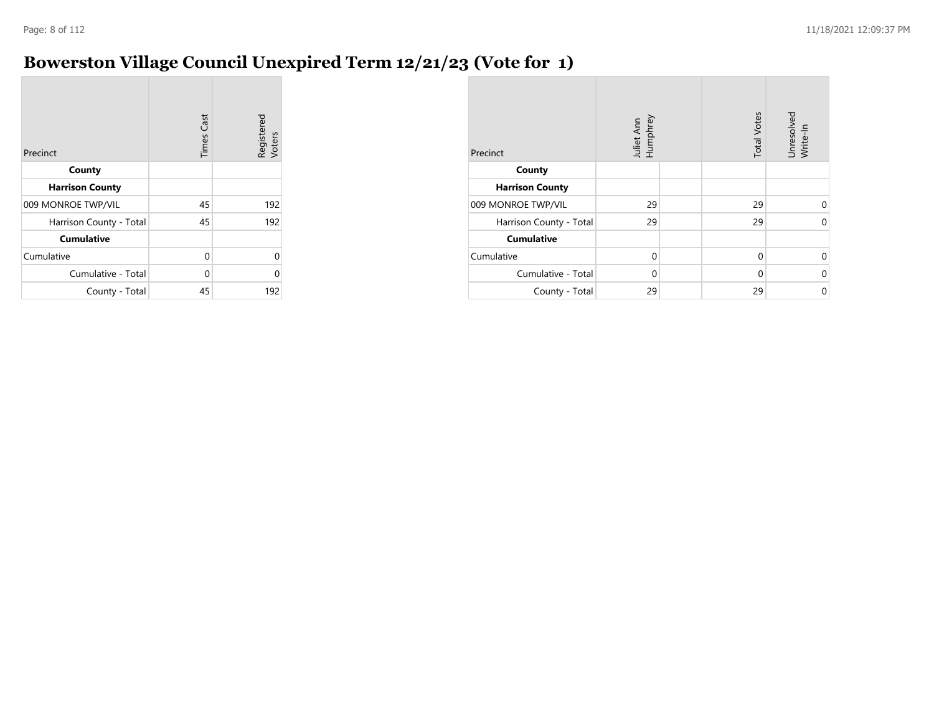#### **Bowerston Village Council Unexpired Term 12/21/23 (Vote for 1)**

| Precinct                | <b>Times Cast</b> | Registered<br>Voters |
|-------------------------|-------------------|----------------------|
| County                  |                   |                      |
| <b>Harrison County</b>  |                   |                      |
| 009 MONROE TWP/VIL      | 45                | 192                  |
| Harrison County - Total | 45                | 192                  |
| <b>Cumulative</b>       |                   |                      |
| Cumulative              | 0                 | 0                    |
| Cumulative - Total      | 0                 | U                    |
| County - Total          | 45                | 192                  |

| Precinct                | Juliet Ann<br>Humphrey | <b>Total Votes</b> | Unresolved<br>Write-In |
|-------------------------|------------------------|--------------------|------------------------|
| County                  |                        |                    |                        |
| <b>Harrison County</b>  |                        |                    |                        |
| 009 MONROE TWP/VIL      | 29                     | 29                 | $\Omega$               |
| Harrison County - Total | 29                     | 29                 | $\Omega$               |
| <b>Cumulative</b>       |                        |                    |                        |
| Cumulative              | $\Omega$               | $\Omega$           | 0                      |
| Cumulative - Total      | $\Omega$               | $\Omega$           | $\Omega$               |
| County - Total          | 29                     | 29                 | $\Omega$               |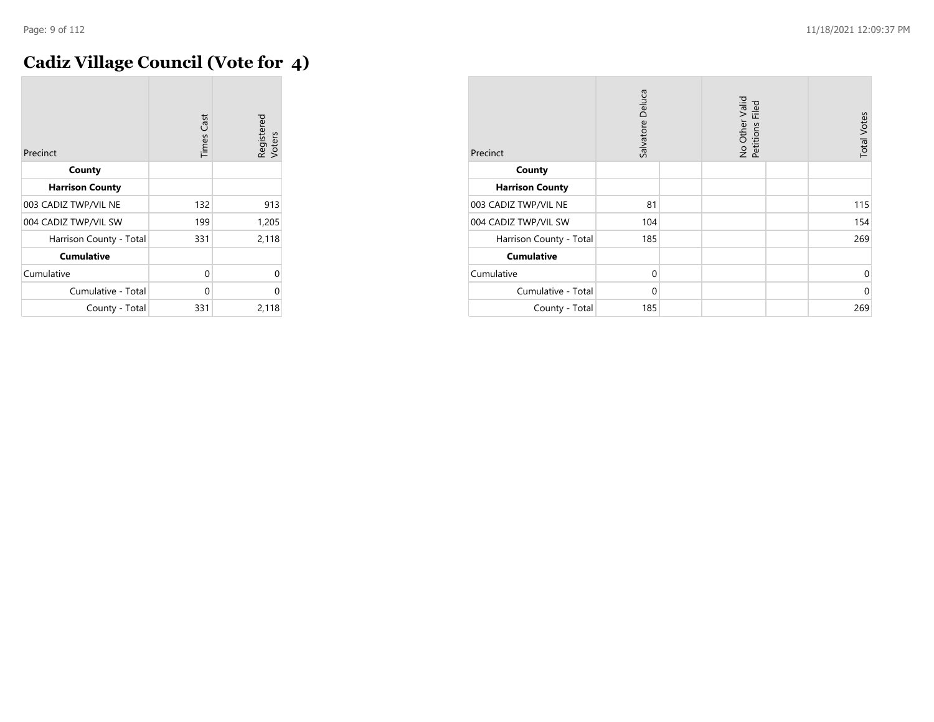## **Cadiz Village Council (Vote for 4)**

| Precinct                | <b>Times Cast</b> | Registered<br>Voters |
|-------------------------|-------------------|----------------------|
| County                  |                   |                      |
| <b>Harrison County</b>  |                   |                      |
| 003 CADIZ TWP/VIL NE    | 132               | 913                  |
| 004 CADIZ TWP/VIL SW    | 199               | 1,205                |
| Harrison County - Total | 331               | 2,118                |
| <b>Cumulative</b>       |                   |                      |
| Cumulative              | 0                 | U                    |
| Cumulative - Total      | 0                 | 0                    |
| County - Total          | 331               | 2,118                |

| Precinct                | Salvatore Deluca |  | No Other Valid<br>Petitions Filed |  | <b>Total Votes</b> |
|-------------------------|------------------|--|-----------------------------------|--|--------------------|
| County                  |                  |  |                                   |  |                    |
| <b>Harrison County</b>  |                  |  |                                   |  |                    |
| 003 CADIZ TWP/VIL NE    | 81               |  |                                   |  | 115                |
| 004 CADIZ TWP/VIL SW    | 104              |  |                                   |  | 154                |
| Harrison County - Total | 185              |  |                                   |  | 269                |
| <b>Cumulative</b>       |                  |  |                                   |  |                    |
| Cumulative              | $\mathbf 0$      |  |                                   |  | $\mathbf 0$        |
| Cumulative - Total      | $\Omega$         |  |                                   |  | $\mathbf 0$        |
| County - Total          | 185              |  |                                   |  | 269                |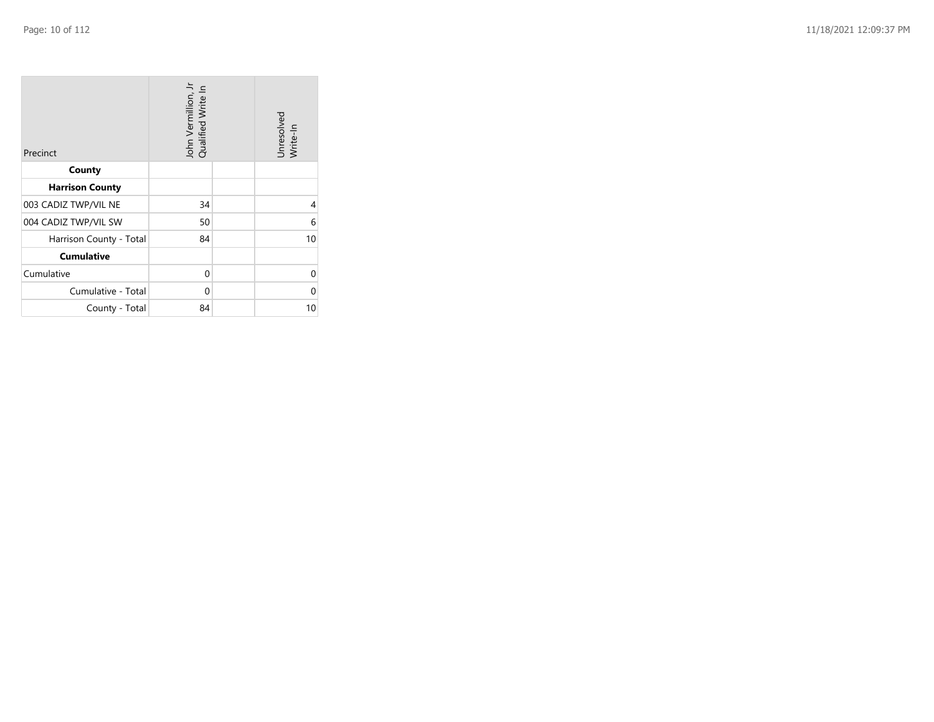| Precinct                | John Vermillion, Jr<br>Qualified Write In |  | Unresolved<br>Write-In |
|-------------------------|-------------------------------------------|--|------------------------|
| County                  |                                           |  |                        |
| <b>Harrison County</b>  |                                           |  |                        |
| 003 CADIZ TWP/VIL NE    | 34                                        |  | 4                      |
| 004 CADIZ TWP/VIL SW    | 50                                        |  | 6                      |
| Harrison County - Total | 84                                        |  | 10                     |
| <b>Cumulative</b>       |                                           |  |                        |
| Cumulative              | 0                                         |  | 0                      |
| Cumulative - Total      | 0                                         |  | O                      |
| County - Total          | 84                                        |  | 10                     |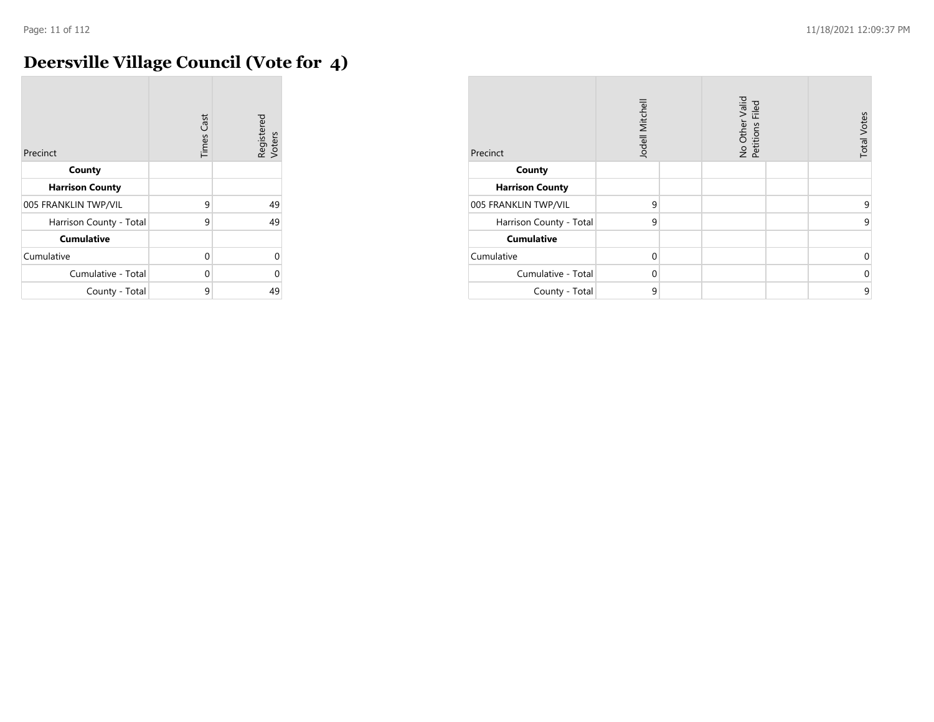$\mathcal{L}$ 

## **Deersville Village Council (Vote for 4)**

| Precinct                | <b>Times Cast</b> | Registered<br>Voters |
|-------------------------|-------------------|----------------------|
| County                  |                   |                      |
| <b>Harrison County</b>  |                   |                      |
| 005 FRANKLIN TWP/VIL    | 9                 | 49                   |
| Harrison County - Total | 9                 | 49                   |
| <b>Cumulative</b>       |                   |                      |
| Cumulative              | O                 | 0                    |
| Cumulative - Total      | U                 | 0                    |
| County - Total          | 9                 | 49                   |

| Precinct                | Jodell Mitchell |  | No Other Valid<br>Petitions Filed |  | <b>Total Votes</b> |
|-------------------------|-----------------|--|-----------------------------------|--|--------------------|
| County                  |                 |  |                                   |  |                    |
| <b>Harrison County</b>  |                 |  |                                   |  |                    |
| 005 FRANKLIN TWP/VIL    | 9               |  |                                   |  | 9                  |
| Harrison County - Total | 9               |  |                                   |  | 9                  |
| <b>Cumulative</b>       |                 |  |                                   |  |                    |
| Cumulative              | $\Omega$        |  |                                   |  | $\mathbf 0$        |
| Cumulative - Total      | $\Omega$        |  |                                   |  | $\mathbf 0$        |
| County - Total          | 9               |  |                                   |  | 9                  |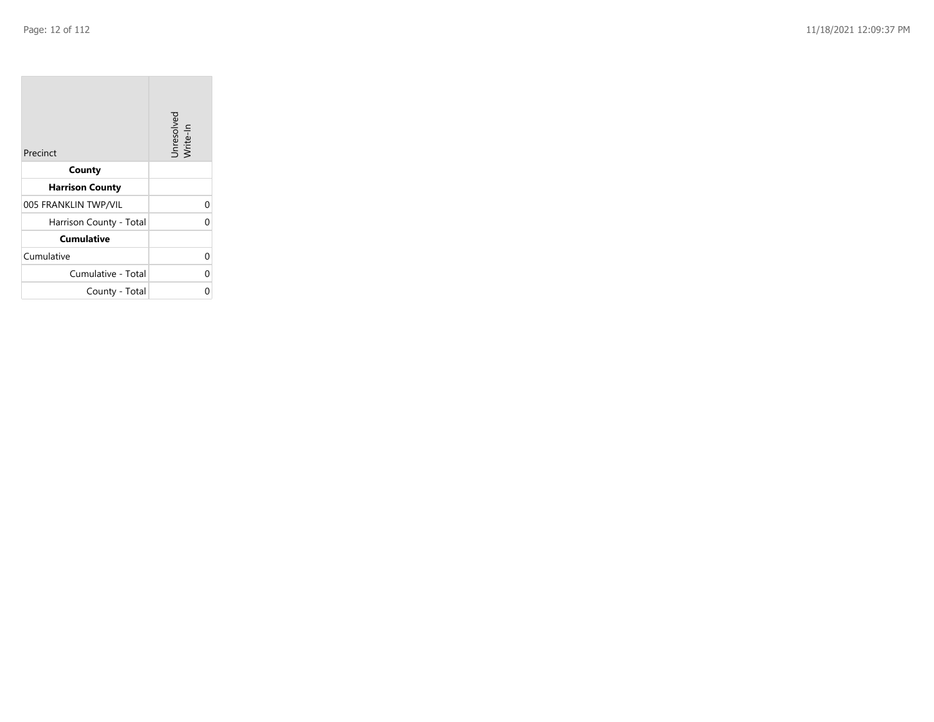$\sim$ 

| Precinct                | Unresolved<br>Write-In |
|-------------------------|------------------------|
| County                  |                        |
| <b>Harrison County</b>  |                        |
| 005 FRANKLIN TWP/VIL    | 0                      |
| Harrison County - Total | 0                      |
| <b>Cumulative</b>       |                        |
| Cumulative              | 0                      |
| Cumulative - Total      | 0                      |
| County - Total          | 0                      |

the property of the con-

 $\sim$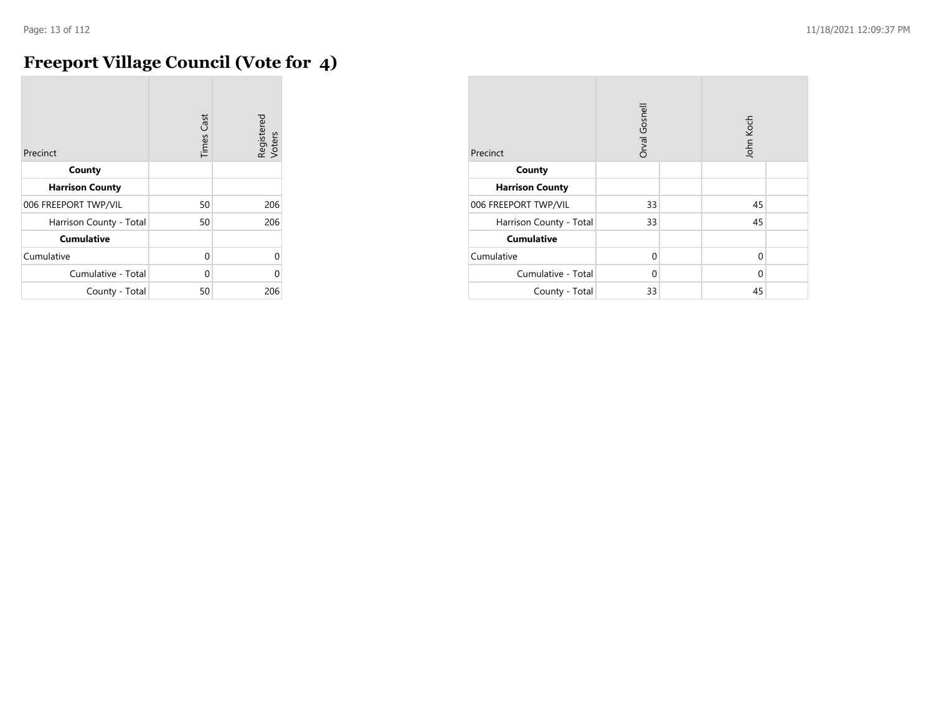## **Freeport Village Council (Vote for 4)**

| Precinct                | <b>Times Cast</b> | Registered<br>Voters |
|-------------------------|-------------------|----------------------|
| County                  |                   |                      |
| <b>Harrison County</b>  |                   |                      |
| 006 FREEPORT TWP/VIL    | 50                | 206                  |
| Harrison County - Total | 50                | 206                  |
| <b>Cumulative</b>       |                   |                      |
| Cumulative              | $\Omega$          | $\Omega$             |
| Cumulative - Total      | U                 | Λ                    |
| County - Total          | 50                | 206                  |

| Precinct                | Orval Gosnell |  | John Koch |  |
|-------------------------|---------------|--|-----------|--|
| County                  |               |  |           |  |
| <b>Harrison County</b>  |               |  |           |  |
| 006 FREEPORT TWP/VIL    | 33            |  | 45        |  |
| Harrison County - Total | 33            |  | 45        |  |
| <b>Cumulative</b>       |               |  |           |  |
| Cumulative              | $\Omega$      |  | 0         |  |
| Cumulative - Total      | 0             |  | $\Omega$  |  |
| County - Total          | 33            |  | 45        |  |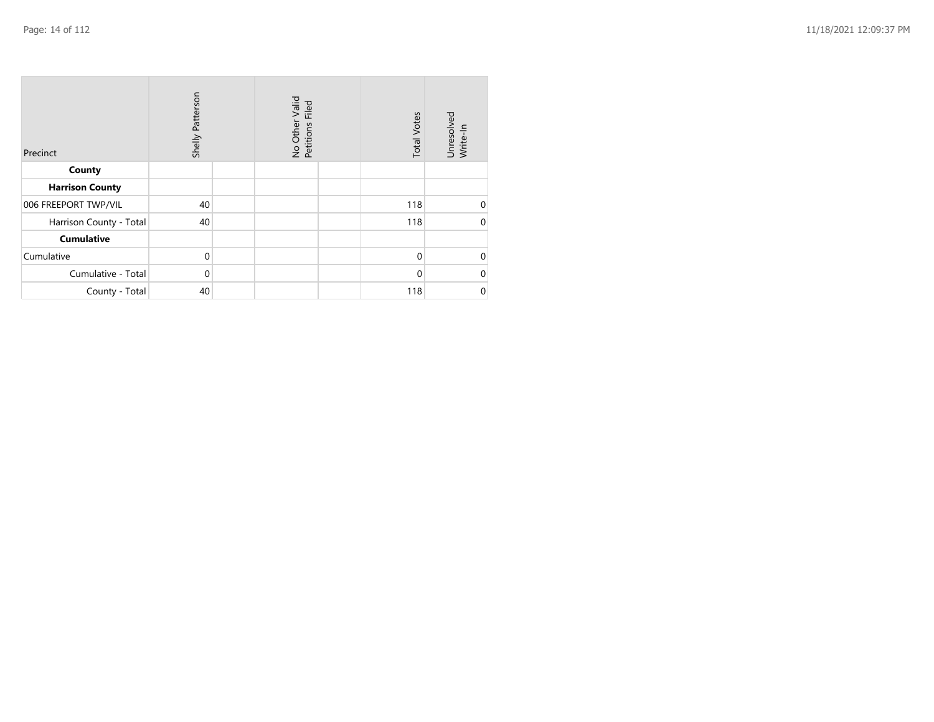| Precinct                | Shelly Patterson | No Other Valid<br>Petitions Filed | <b>Total Votes</b> | Unresolved<br>Write-In |
|-------------------------|------------------|-----------------------------------|--------------------|------------------------|
| County                  |                  |                                   |                    |                        |
| <b>Harrison County</b>  |                  |                                   |                    |                        |
| 006 FREEPORT TWP/VIL    | 40               |                                   | 118                | 0                      |
| Harrison County - Total | 40               |                                   | 118                | $\mathbf 0$            |
| <b>Cumulative</b>       |                  |                                   |                    |                        |
| Cumulative              | $\mathbf 0$      |                                   | $\mathbf 0$        | $\mathbf 0$            |
| Cumulative - Total      | $\mathbf 0$      |                                   | $\Omega$           | $\mathbf 0$            |
| County - Total          | 40               |                                   | 118                | $\pmb{0}$              |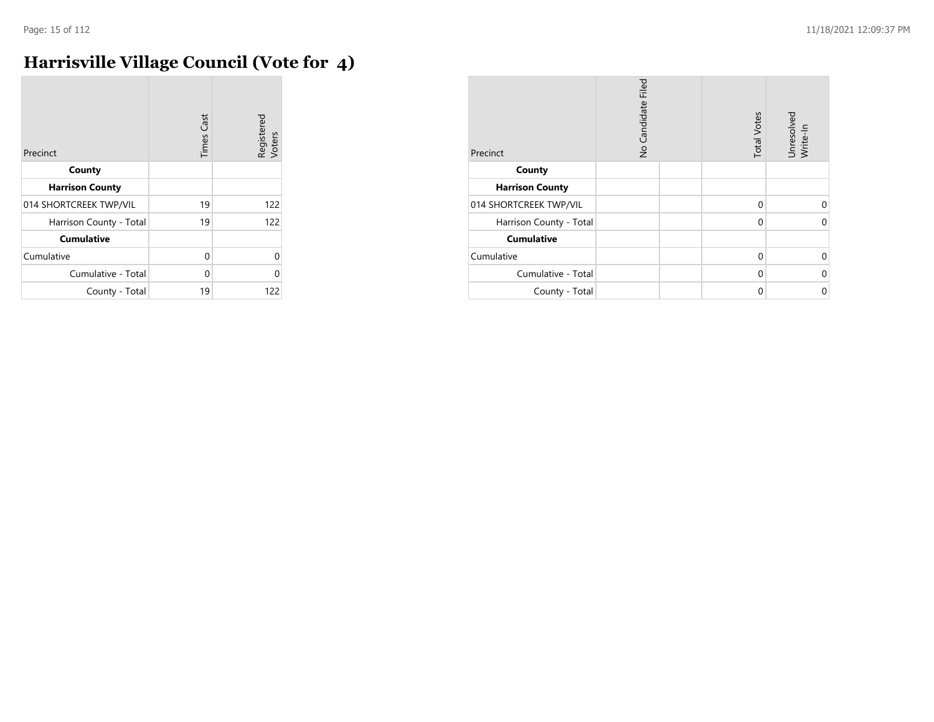$\sim$ 

## **Harrisville Village Council (Vote for 4)**

| Precinct                | <b>Times Cast</b> | Registered<br>Voters |
|-------------------------|-------------------|----------------------|
| County                  |                   |                      |
| <b>Harrison County</b>  |                   |                      |
| 014 SHORTCREEK TWP/VIL  | 19                | 122                  |
| Harrison County - Total | 19                | 122                  |
| <b>Cumulative</b>       |                   |                      |
| Cumulative              | $\Omega$          | U                    |
| Cumulative - Total      | $\Omega$          | U                    |
| County - Total          | 19                | 122                  |

| Precinct                | No Candidate Filed | <b>Total Votes</b> | Unresolved<br>Write-In |
|-------------------------|--------------------|--------------------|------------------------|
| County                  |                    |                    |                        |
| <b>Harrison County</b>  |                    |                    |                        |
| 014 SHORTCREEK TWP/VIL  |                    | $\Omega$           | 0                      |
| Harrison County - Total |                    | $\mathbf 0$        | $\mathbf 0$            |
| <b>Cumulative</b>       |                    |                    |                        |
| Cumulative              |                    | $\Omega$           | 0                      |
| Cumulative - Total      |                    | $\Omega$           | $\Omega$               |
| County - Total          |                    | 0                  | $\mathbf 0$            |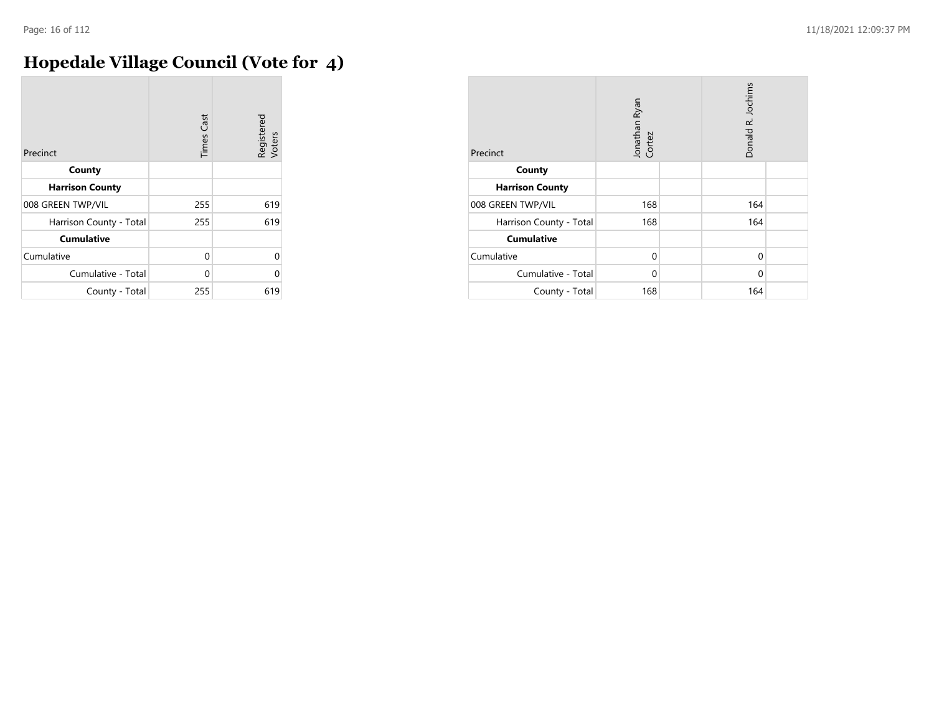## **Hopedale Village Council (Vote for 4)**

| Precinct                | <b>Times Cast</b> | Registered<br>Voters |
|-------------------------|-------------------|----------------------|
| County                  |                   |                      |
| <b>Harrison County</b>  |                   |                      |
| 008 GREEN TWP/VIL       | 255               | 619                  |
| Harrison County - Total | 255               | 619                  |
| <b>Cumulative</b>       |                   |                      |
| Cumulative              | $\Omega$          | 0                    |
| Cumulative - Total      | U                 | U                    |
| County - Total          | 255               | 619                  |

| Precinct                | Jonathan Ryan<br>Cortez | Donald R. Jochims |  |
|-------------------------|-------------------------|-------------------|--|
| County                  |                         |                   |  |
| <b>Harrison County</b>  |                         |                   |  |
| 008 GREEN TWP/VIL       | 168                     | 164               |  |
| Harrison County - Total | 168                     | 164               |  |
| <b>Cumulative</b>       |                         |                   |  |
| Cumulative              | $\Omega$                | 0                 |  |
| Cumulative - Total      | $\Omega$                | 0                 |  |
| County - Total          | 168                     | 164               |  |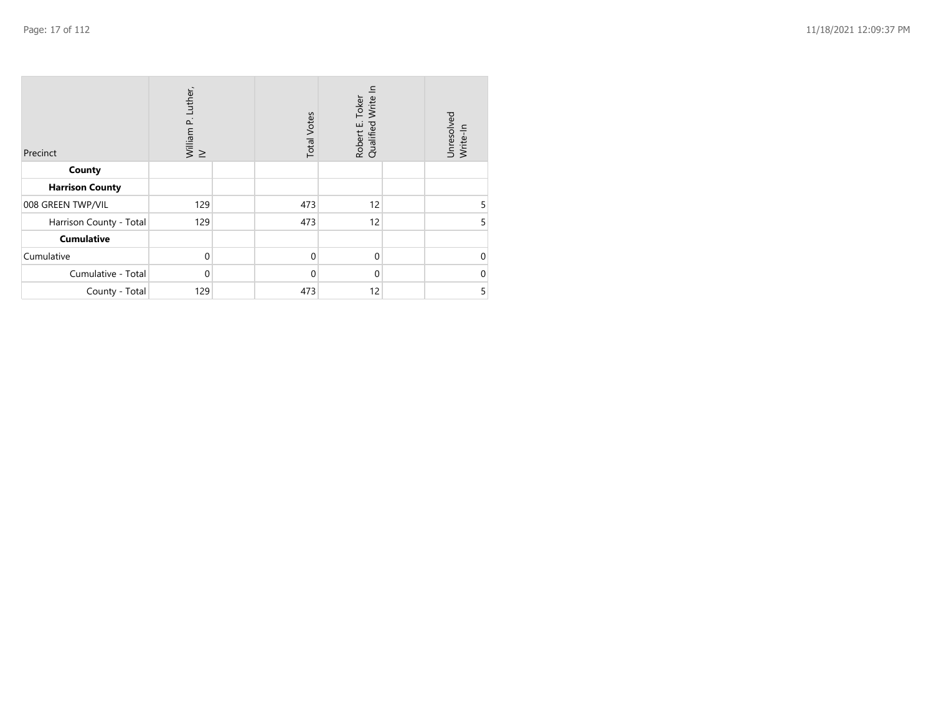| Precinct                | William P. Luther,<br>IV | <b>Total Votes</b> | Write I<br>Toker<br>Robert E.<br>Qualified | Unresolved<br>Write-In |
|-------------------------|--------------------------|--------------------|--------------------------------------------|------------------------|
| County                  |                          |                    |                                            |                        |
| <b>Harrison County</b>  |                          |                    |                                            |                        |
| 008 GREEN TWP/VIL       | 129                      | 473                | 12                                         | 5                      |
| Harrison County - Total | 129                      | 473                | 12                                         | 5                      |
| Cumulative              |                          |                    |                                            |                        |
| Cumulative              | $\Omega$                 | $\mathbf 0$        | $\mathbf 0$                                | $\Omega$               |
| Cumulative - Total      | $\Omega$                 | $\mathbf 0$        | $\mathbf 0$                                | 0                      |
| County - Total          | 129                      | 473                | 12                                         | 5                      |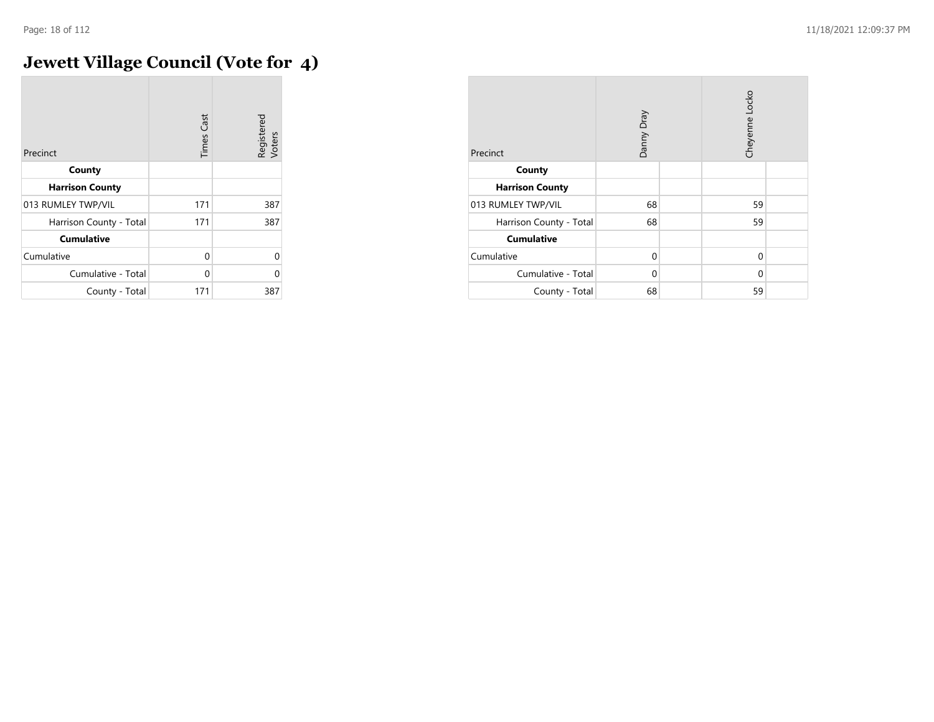$\overline{a}$ 

## **Jewett Village Council (Vote for 4)**

| Precinct                | <b>Times Cast</b> | Registered<br>Voters |
|-------------------------|-------------------|----------------------|
| County                  |                   |                      |
| <b>Harrison County</b>  |                   |                      |
| 013 RUMLEY TWP/VIL      | 171               | 387                  |
| Harrison County - Total | 171               | 387                  |
| <b>Cumulative</b>       |                   |                      |
| Cumulative              | 0                 | 0                    |
| Cumulative - Total      | U                 | 0                    |
| County - Total          | 171               | 387                  |

| Precinct                | Danny Dray |  | Cheyenne Locko |  |
|-------------------------|------------|--|----------------|--|
| County                  |            |  |                |  |
| <b>Harrison County</b>  |            |  |                |  |
| 013 RUMLEY TWP/VIL      | 68         |  | 59             |  |
| Harrison County - Total | 68         |  | 59             |  |
| <b>Cumulative</b>       |            |  |                |  |
| Cumulative              | $\Omega$   |  | 0              |  |
| Cumulative - Total      | 0          |  | $\Omega$       |  |
| County - Total          | 68         |  | 59             |  |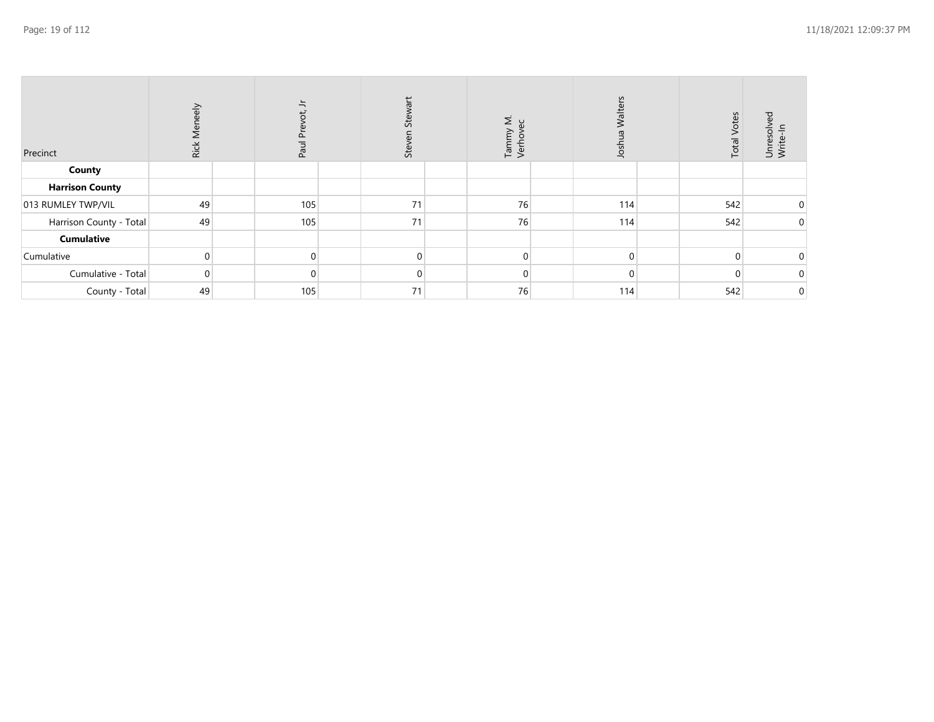| Precinct                | Rick Meneely | $\frac{1}{2}$<br>đ,<br>$\overline{\Omega}$<br>Paul | Stewart<br>Steve | Tammy M.<br>Verhovec | Walters<br>Josh | <b>Total Votes</b> | Unresolv<br>Write-In |
|-------------------------|--------------|----------------------------------------------------|------------------|----------------------|-----------------|--------------------|----------------------|
| County                  |              |                                                    |                  |                      |                 |                    |                      |
| <b>Harrison County</b>  |              |                                                    |                  |                      |                 |                    |                      |
| 013 RUMLEY TWP/VIL      | 49           | 105                                                | 71               | 76                   | 114             | 542                | $\mathbf 0$          |
| Harrison County - Total | 49           | 105                                                | 71               | 76                   | 114             | 542                | $\mathbf 0$          |
| <b>Cumulative</b>       |              |                                                    |                  |                      |                 |                    |                      |
| Cumulative              | $\Omega$     |                                                    | $\Omega$         | $\mathbf{0}$         | $\Omega$        |                    | $\mathbf{0}$         |
| Cumulative - Total      | $\Omega$     |                                                    | $\Omega$         | $\mathbf{0}$         | $\Omega$        |                    | $\mathbf 0$          |
| County - Total          | 49           | 105                                                | 71               | 76                   | 114             | 542                | $\mathbf 0$          |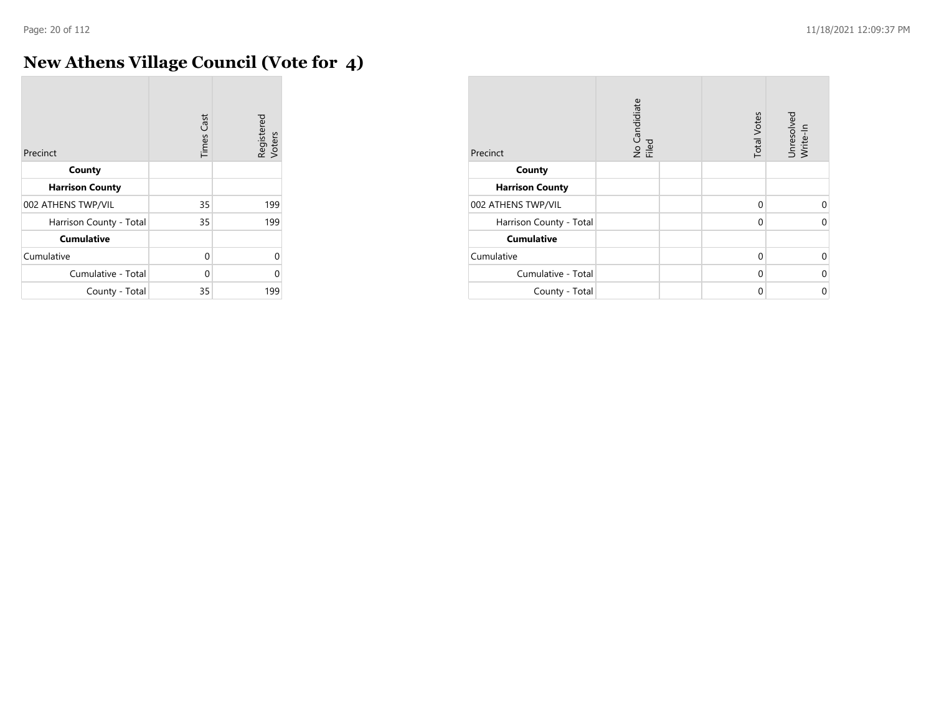**COL** 

## **New Athens Village Council (Vote for 4)**

| Precinct                | <b>Times Cast</b> | Registered<br>Voters |
|-------------------------|-------------------|----------------------|
| County                  |                   |                      |
| <b>Harrison County</b>  |                   |                      |
| 002 ATHENS TWP/VIL      | 35                | 199                  |
| Harrison County - Total | 35                | 199                  |
| <b>Cumulative</b>       |                   |                      |
| Cumulative              | 0                 | $\Omega$             |
| Cumulative - Total      | 0                 | U                    |
| County - Total          | 35                | 199                  |

| Precinct                | No Candidiate<br>Filed | <b>Total Votes</b> | Unresolved<br>Write-In |
|-------------------------|------------------------|--------------------|------------------------|
| County                  |                        |                    |                        |
| <b>Harrison County</b>  |                        |                    |                        |
| 002 ATHENS TWP/VIL      |                        | $\Omega$           | U                      |
| Harrison County - Total |                        | $\mathbf 0$        | $\Omega$               |
| <b>Cumulative</b>       |                        |                    |                        |
| Cumulative              |                        | $\Omega$           | $\Omega$               |
| Cumulative - Total      |                        | $\Omega$           | 0                      |
| County - Total          |                        | 0                  | 0                      |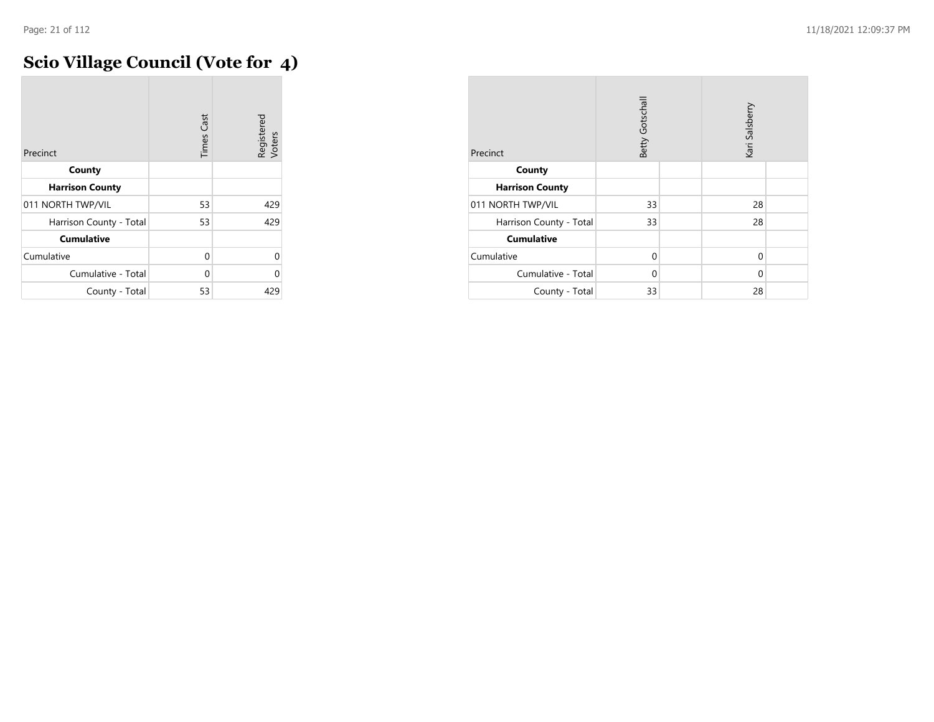## **Scio Village Council (Vote for 4)**

| Precinct                | <b>Times Cast</b> | Registered<br>Voters |
|-------------------------|-------------------|----------------------|
| County                  |                   |                      |
| <b>Harrison County</b>  |                   |                      |
| 011 NORTH TWP/VIL       | 53                | 429                  |
| Harrison County - Total | 53                | 429                  |
| <b>Cumulative</b>       |                   |                      |
| Cumulative              | $\Omega$          | $\Omega$             |
| Cumulative - Total      | 0                 | O                    |
| County - Total          | 53                | 429                  |

| Precinct                | Betty Gotschall |  | Kari Salsberry |  |
|-------------------------|-----------------|--|----------------|--|
| County                  |                 |  |                |  |
| <b>Harrison County</b>  |                 |  |                |  |
| 011 NORTH TWP/VIL       | 33              |  | 28             |  |
| Harrison County - Total | 33              |  | 28             |  |
| <b>Cumulative</b>       |                 |  |                |  |
| Cumulative              | $\Omega$        |  | 0              |  |
| Cumulative - Total      | $\Omega$        |  | 0              |  |
| County - Total          | 33              |  | 28             |  |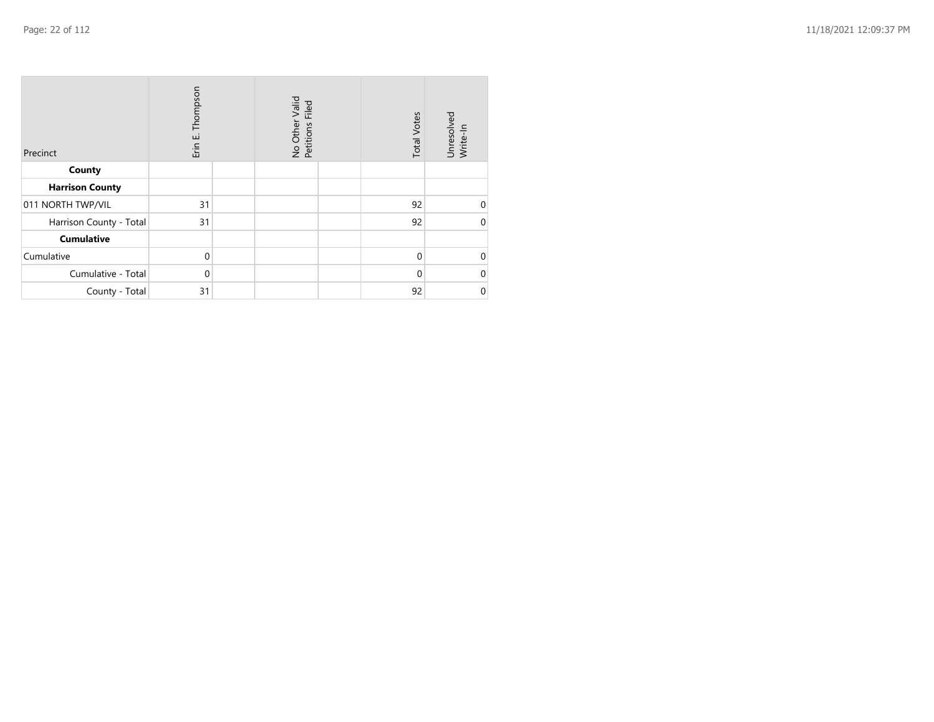| Precinct                | Erin E. Thompson | No Other Valid<br>Petitions Filed | <b>Total Votes</b> | Unresolved<br>Write-In |
|-------------------------|------------------|-----------------------------------|--------------------|------------------------|
| County                  |                  |                                   |                    |                        |
| <b>Harrison County</b>  |                  |                                   |                    |                        |
| 011 NORTH TWP/VIL       | 31               |                                   | 92                 | $\mathbf 0$            |
| Harrison County - Total | 31               |                                   | 92                 | $\mathbf 0$            |
| <b>Cumulative</b>       |                  |                                   |                    |                        |
| Cumulative              | $\Omega$         |                                   | $\mathbf{0}$       | $\mathbf 0$            |
| Cumulative - Total      | $\Omega$         |                                   | $\Omega$           | $\mathbf 0$            |
| County - Total          | 31               |                                   | 92                 | $\mathbf 0$            |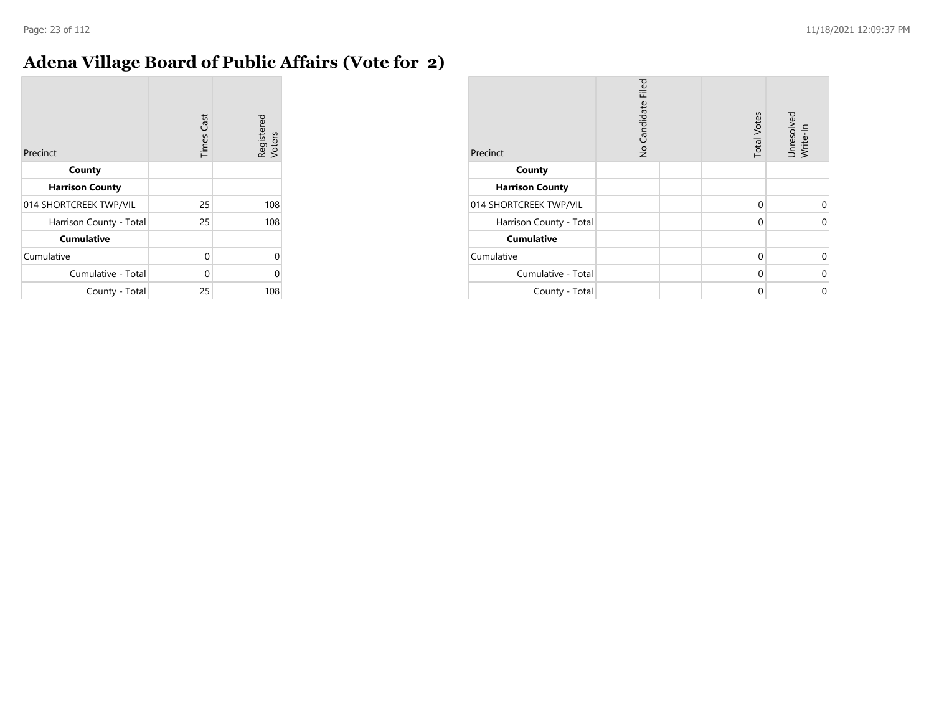#### **Adena Village Board of Public Affairs (Vote for 2)**

| Precinct                | <b>Times Cast</b> | Registered<br>Voters |
|-------------------------|-------------------|----------------------|
| County                  |                   |                      |
| <b>Harrison County</b>  |                   |                      |
| 014 SHORTCREEK TWP/VIL  | 25                | 108                  |
| Harrison County - Total | 25                | 108                  |
| <b>Cumulative</b>       |                   |                      |
| Cumulative              | 0                 |                      |
| Cumulative - Total      | 0                 |                      |
| County - Total          | 25                | 108                  |

| Precinct                | No Candidate Filed | <b>Total Votes</b> | Unresolved<br>Write-In |
|-------------------------|--------------------|--------------------|------------------------|
| County                  |                    |                    |                        |
| <b>Harrison County</b>  |                    |                    |                        |
| 014 SHORTCREEK TWP/VIL  |                    | $\Omega$           | U                      |
| Harrison County - Total |                    | $\mathbf 0$        | $\Omega$               |
| <b>Cumulative</b>       |                    |                    |                        |
| Cumulative              |                    | $\Omega$           | O                      |
| Cumulative - Total      |                    | $\Omega$           | $\Omega$               |
| County - Total          |                    | 0                  | 0                      |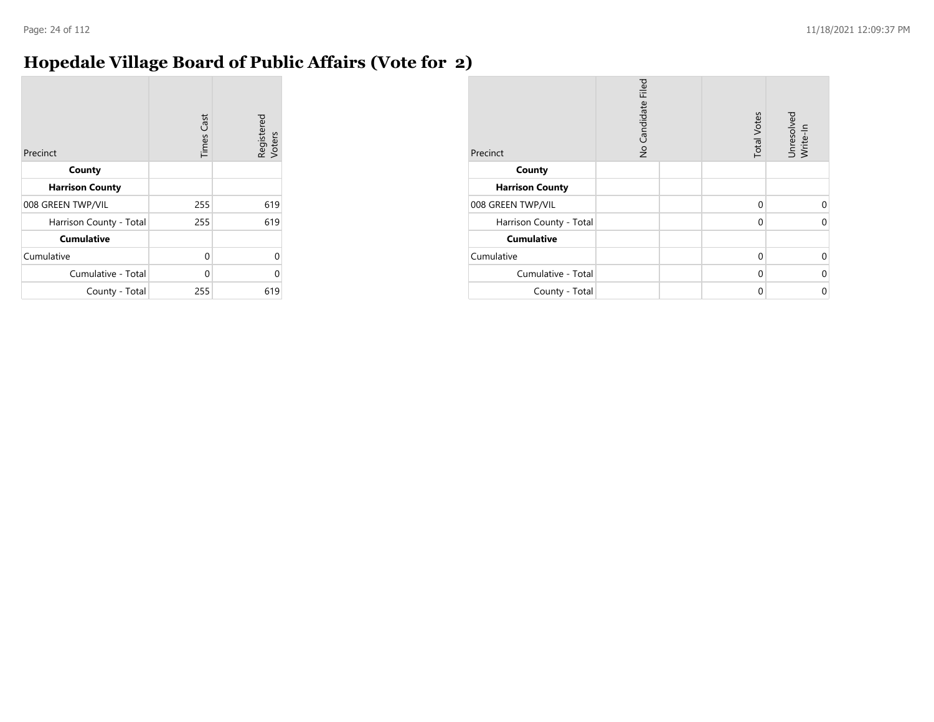#### **Hopedale Village Board of Public Affairs (Vote for 2)**

| Precinct                | <b>Times Cast</b> | Registered<br>Voters |
|-------------------------|-------------------|----------------------|
| County                  |                   |                      |
| <b>Harrison County</b>  |                   |                      |
| 008 GREEN TWP/VIL       | 255               | 619                  |
| Harrison County - Total | 255               | 619                  |
| <b>Cumulative</b>       |                   |                      |
| Cumulative              | 0                 | U                    |
| Cumulative - Total      | $\Omega$          |                      |
| County - Total          | 255               | 619                  |

| Precinct                | No Candidate Filed | <b>Total Votes</b> | Unresolved<br>Write-In |
|-------------------------|--------------------|--------------------|------------------------|
| County                  |                    |                    |                        |
| <b>Harrison County</b>  |                    |                    |                        |
| 008 GREEN TWP/VIL       |                    | 0                  | $\Omega$               |
| Harrison County - Total |                    | 0                  | 0                      |
| <b>Cumulative</b>       |                    |                    |                        |
| Cumulative              |                    | 0                  | $\Omega$               |
| Cumulative - Total      |                    | $\Omega$           | 0                      |
| County - Total          |                    | 0                  | 0                      |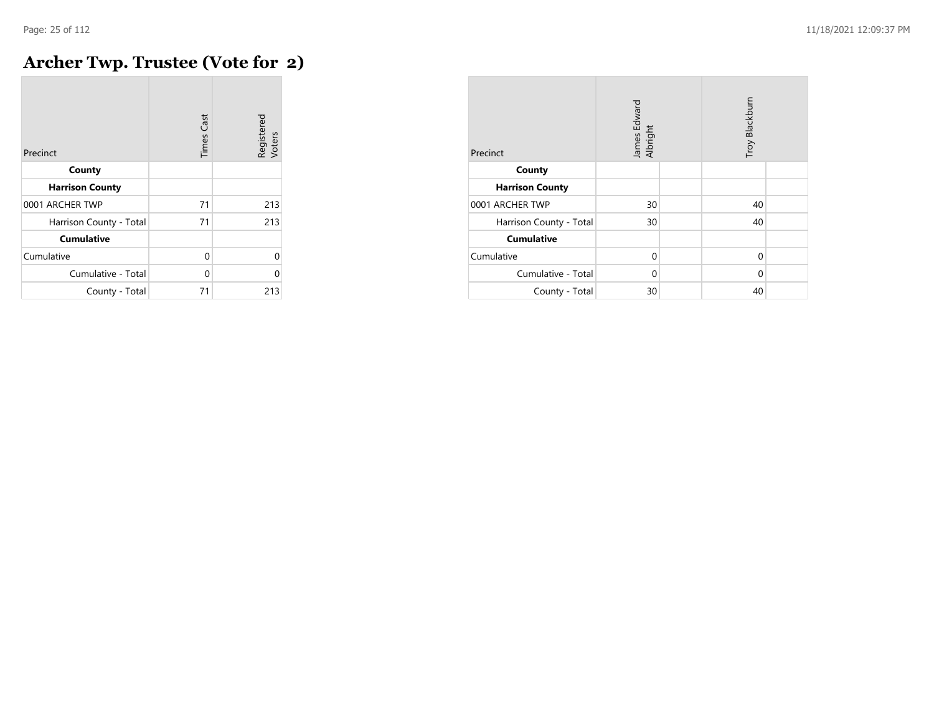## **Archer Twp. Trustee (Vote for 2)**

| Precinct                | <b>Times Cast</b> | Registered<br>Voters |
|-------------------------|-------------------|----------------------|
| County                  |                   |                      |
| <b>Harrison County</b>  |                   |                      |
| 0001 ARCHER TWP         | 71                | 213                  |
| Harrison County - Total | 71                | 213                  |
| <b>Cumulative</b>       |                   |                      |
| Cumulative              | $\Omega$          | $\Omega$             |
| Cumulative - Total      | $\Omega$          | $\Omega$             |
| County - Total          | 71                | 213                  |

| Precinct                | James Edward<br>Albright | Troy Blackburn |  |
|-------------------------|--------------------------|----------------|--|
| County                  |                          |                |  |
| <b>Harrison County</b>  |                          |                |  |
| 0001 ARCHER TWP         | 30                       | 40             |  |
| Harrison County - Total | 30                       | 40             |  |
| <b>Cumulative</b>       |                          |                |  |
| Cumulative              | $\Omega$                 | 0              |  |
| Cumulative - Total      | $\Omega$                 | $\Omega$       |  |
| County - Total          | 30                       | 40             |  |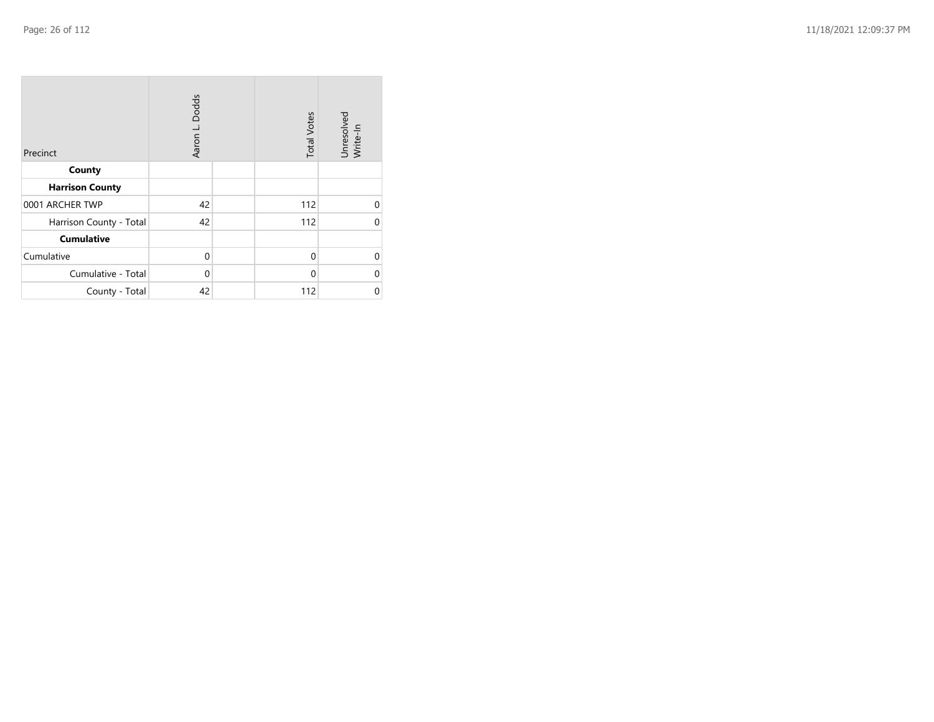| Precinct                | Aaron L. Dodds | <b>Total Votes</b> | Unresolved<br>Write-In |
|-------------------------|----------------|--------------------|------------------------|
| County                  |                |                    |                        |
| <b>Harrison County</b>  |                |                    |                        |
| 0001 ARCHER TWP         | 42             | 112                | $\Omega$               |
| Harrison County - Total | 42             | 112                | U                      |
| <b>Cumulative</b>       |                |                    |                        |
| Cumulative              | $\mathbf 0$    | $\Omega$           | $\Omega$               |
| Cumulative - Total      | $\mathbf 0$    | 0                  | 0                      |
| County - Total          | 42             | 112                | 0                      |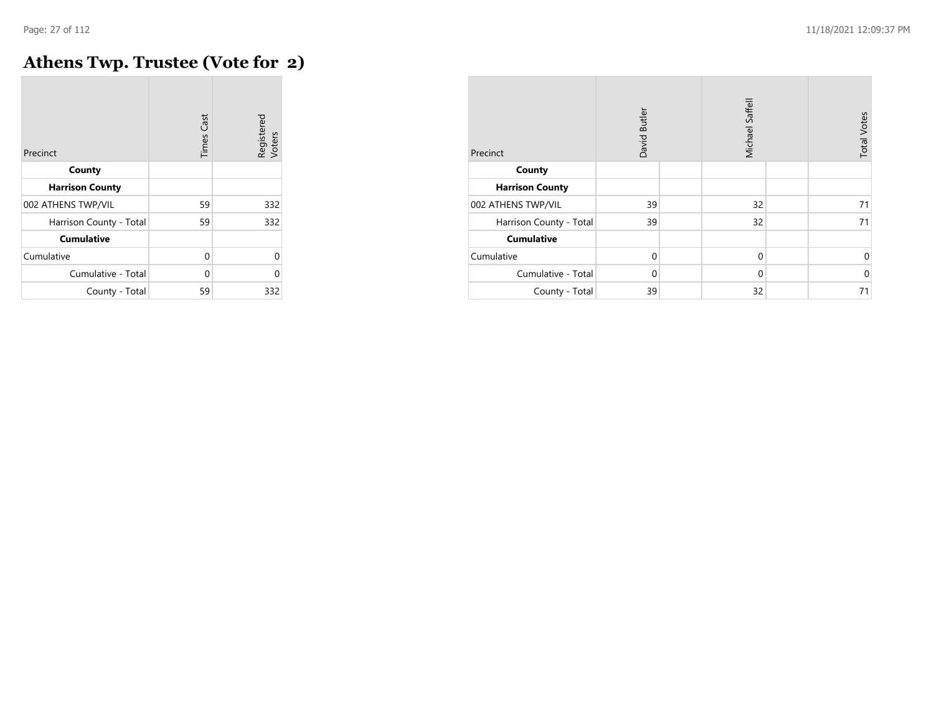$\overline{\phantom{a}}$ 

## **Athens Twp. Trustee (Vote for 2)**

| Precinct                | <b>Times Cast</b> | Registered<br>Voters |
|-------------------------|-------------------|----------------------|
| County                  |                   |                      |
| <b>Harrison County</b>  |                   |                      |
| 002 ATHENS TWP/VIL      | 59                | 332                  |
| Harrison County - Total | 59                | 332                  |
| <b>Cumulative</b>       |                   |                      |
| Cumulative              | 0                 | U                    |
| Cumulative - Total      | 0                 | U                    |
| County - Total          | 59                | 332                  |

| Precinct                | David Butler | Michael Saffell | <b>Total Votes</b> |
|-------------------------|--------------|-----------------|--------------------|
| County                  |              |                 |                    |
| <b>Harrison County</b>  |              |                 |                    |
| 002 ATHENS TWP/VIL      | 39           | 32              | 71                 |
| Harrison County - Total | 39           | 32              | 71                 |
| <b>Cumulative</b>       |              |                 |                    |
| Cumulative              | $\mathbf 0$  | $\mathbf 0$     | 0                  |
| Cumulative - Total      | $\Omega$     | $\Omega$        | $\mathbf 0$        |
| County - Total          | 39           | 32              | 71                 |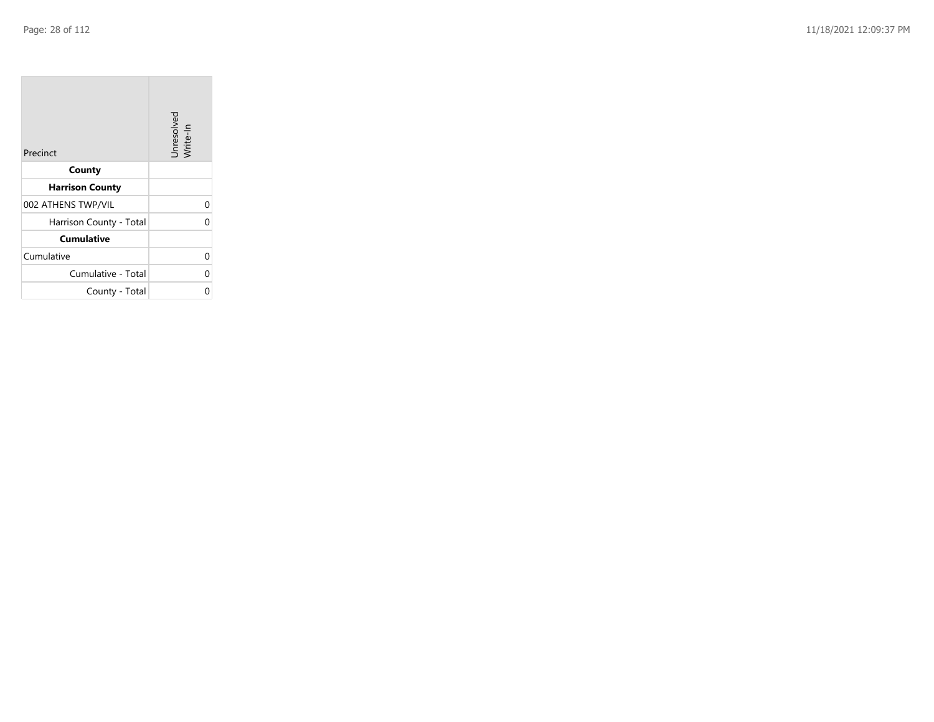$\sim$ 

| Precinct                | Unresolved<br>Write-In |
|-------------------------|------------------------|
| County                  |                        |
| <b>Harrison County</b>  |                        |
| 002 ATHENS TWP/VIL      | 0                      |
| Harrison County - Total | 0                      |
| <b>Cumulative</b>       |                        |
| Cumulative              | 0                      |
| Cumulative - Total      | 0                      |
| County - Total          | ი                      |

the property of the con-

 $\mathcal{L}(\mathcal{A})$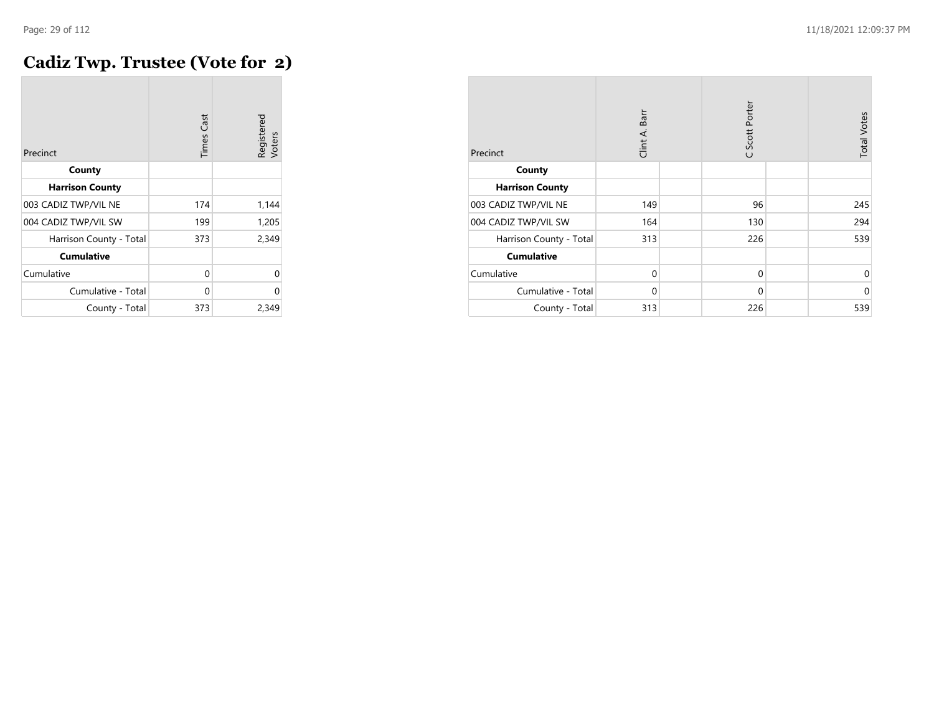#### **Cadiz Twp. Trustee (Vote for 2)**

| Precinct                | <b>Times</b> Cast | Registered<br>Voters |
|-------------------------|-------------------|----------------------|
| County                  |                   |                      |
| <b>Harrison County</b>  |                   |                      |
| 003 CADIZ TWP/VIL NE    | 174               | 1,144                |
| 004 CADIZ TWP/VIL SW    | 199               | 1,205                |
| Harrison County - Total | 373               | 2,349                |
| <b>Cumulative</b>       |                   |                      |
| Cumulative              | 0                 | 0                    |
| Cumulative - Total      | 0                 | 0                    |
| County - Total          | 373               | 2,349                |

| Precinct                | Clint A. Barr | C Scott Porter | <b>Total Votes</b> |
|-------------------------|---------------|----------------|--------------------|
| County                  |               |                |                    |
| <b>Harrison County</b>  |               |                |                    |
| 003 CADIZ TWP/VIL NE    | 149           | 96             | 245                |
| 004 CADIZ TWP/VIL SW    | 164           | 130            | 294                |
| Harrison County - Total | 313           | 226            | 539                |
| <b>Cumulative</b>       |               |                |                    |
| Cumulative              | $\mathbf 0$   | 0              | $\Omega$           |
| Cumulative - Total      | $\Omega$      | $\mathbf 0$    | $\mathbf 0$        |
| County - Total          | 313           | 226            | 539                |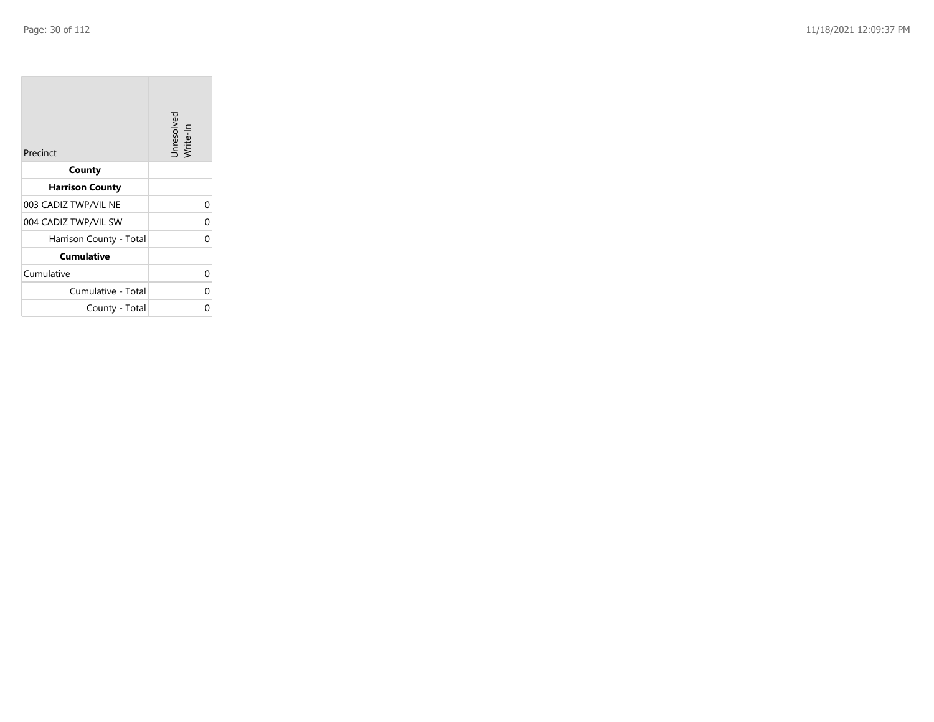**COL** 

| Precinct                | Unresolved<br>Write-In |
|-------------------------|------------------------|
| County                  |                        |
| <b>Harrison County</b>  |                        |
| 003 CADIZ TWP/VIL NE    | 0                      |
| 004 CADIZ TWP/VIL SW    | 0                      |
| Harrison County - Total | 0                      |
| <b>Cumulative</b>       |                        |
| Cumulative              | 0                      |
| Cumulative - Total      | 0                      |
| County - Total          | 0                      |

the control of the control of the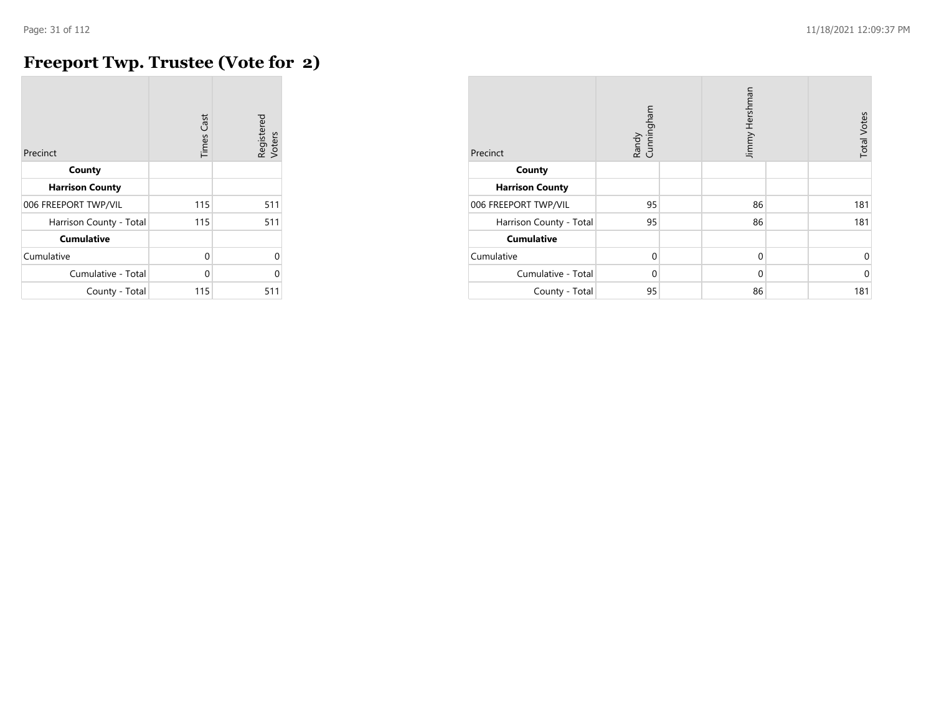## **Freeport Twp. Trustee (Vote for 2)**

| Precinct                | <b>Times Cast</b> | Registered<br>Voters |
|-------------------------|-------------------|----------------------|
| County                  |                   |                      |
| <b>Harrison County</b>  |                   |                      |
| 006 FREEPORT TWP/VIL    | 115               | 511                  |
| Harrison County - Total | 115               | 511                  |
| <b>Cumulative</b>       |                   |                      |
| Cumulative              | $\Omega$          | U                    |
| Cumulative - Total      | 0                 | U                    |
| County - Total          | 115               | 511                  |

| Precinct                | Randy<br>Cunningham |  | Jimmy Hershman |  | <b>Total Votes</b> |
|-------------------------|---------------------|--|----------------|--|--------------------|
| County                  |                     |  |                |  |                    |
| <b>Harrison County</b>  |                     |  |                |  |                    |
| 006 FREEPORT TWP/VIL    | 95                  |  | 86             |  | 181                |
| Harrison County - Total | 95                  |  | 86             |  | 181                |
| <b>Cumulative</b>       |                     |  |                |  |                    |
| Cumulative              | $\Omega$            |  | $\mathbf 0$    |  | 0                  |
| Cumulative - Total      | $\Omega$            |  | $\Omega$       |  | $\mathbf 0$        |
| County - Total          | 95                  |  | 86             |  | 181                |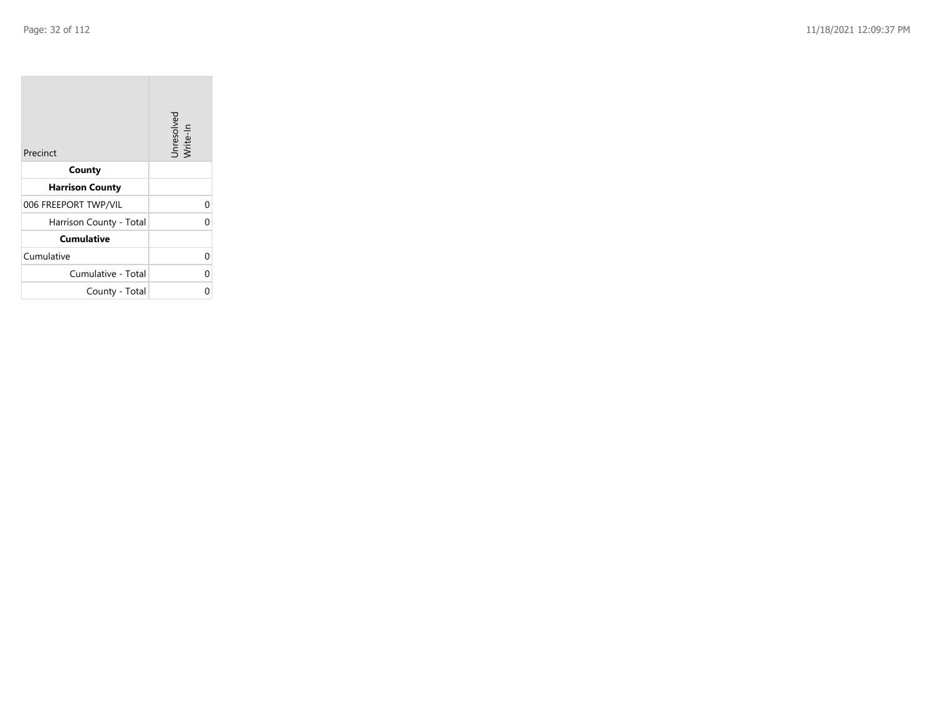| Precinct                | Unresolved<br>Write-In |
|-------------------------|------------------------|
| County                  |                        |
| <b>Harrison County</b>  |                        |
| 006 FREEPORT TWP/VIL    | 0                      |
| Harrison County - Total | 0                      |
| <b>Cumulative</b>       |                        |
| Cumulative              | 0                      |
| Cumulative - Total      | 0                      |
| County - Total          | 0                      |

the contract of the contract of

m.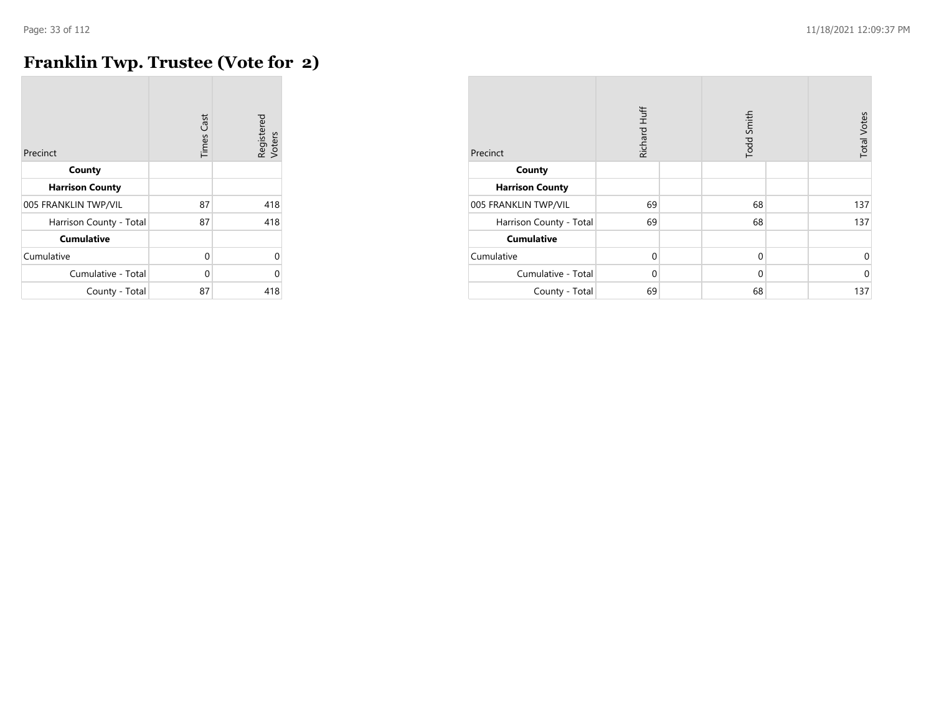## **Franklin Twp. Trustee (Vote for 2)**

| Precinct                | <b>Times Cast</b> | Registered<br>Voters |
|-------------------------|-------------------|----------------------|
| County                  |                   |                      |
| <b>Harrison County</b>  |                   |                      |
| 005 FRANKLIN TWP/VIL    | 87                | 418                  |
| Harrison County - Total | 87                | 418                  |
| <b>Cumulative</b>       |                   |                      |
| Cumulative              | 0                 | $\Omega$             |
| Cumulative - Total      | $\Omega$          | $\Omega$             |
| County - Total          | 87                | 418                  |

| Precinct                | Richard Huff |  | Todd Smith  |  | <b>Total Votes</b> |
|-------------------------|--------------|--|-------------|--|--------------------|
| County                  |              |  |             |  |                    |
| <b>Harrison County</b>  |              |  |             |  |                    |
| 005 FRANKLIN TWP/VIL    | 69           |  | 68          |  | 137                |
| Harrison County - Total | 69           |  | 68          |  | 137                |
| <b>Cumulative</b>       |              |  |             |  |                    |
| Cumulative              | $\mathbf 0$  |  | $\mathbf 0$ |  | 0                  |
| Cumulative - Total      | 0            |  | $\mathbf 0$ |  | $\mathbf 0$        |
| County - Total          | 69           |  | 68          |  | 137                |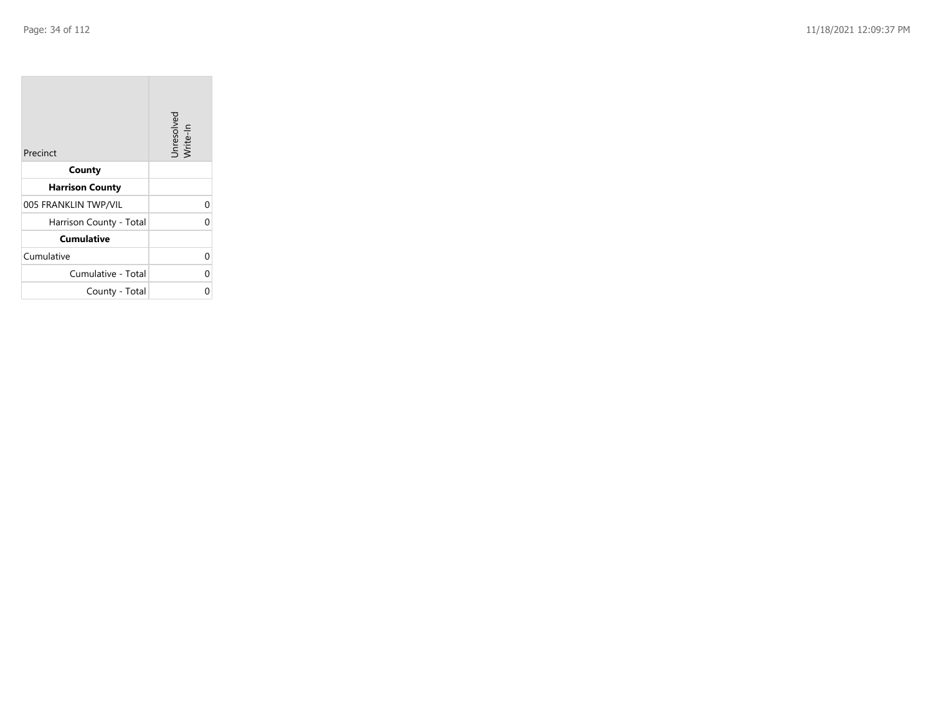| Precinct                | Unresolved<br>Write-In |
|-------------------------|------------------------|
| County                  |                        |
| <b>Harrison County</b>  |                        |
| 005 FRANKLIN TWP/VIL    | 0                      |
| Harrison County - Total | 0                      |
| <b>Cumulative</b>       |                        |
| Cumulative              | 0                      |
| Cumulative - Total      | 0                      |
| County - Total          | 0                      |

the contract of the contract of

m.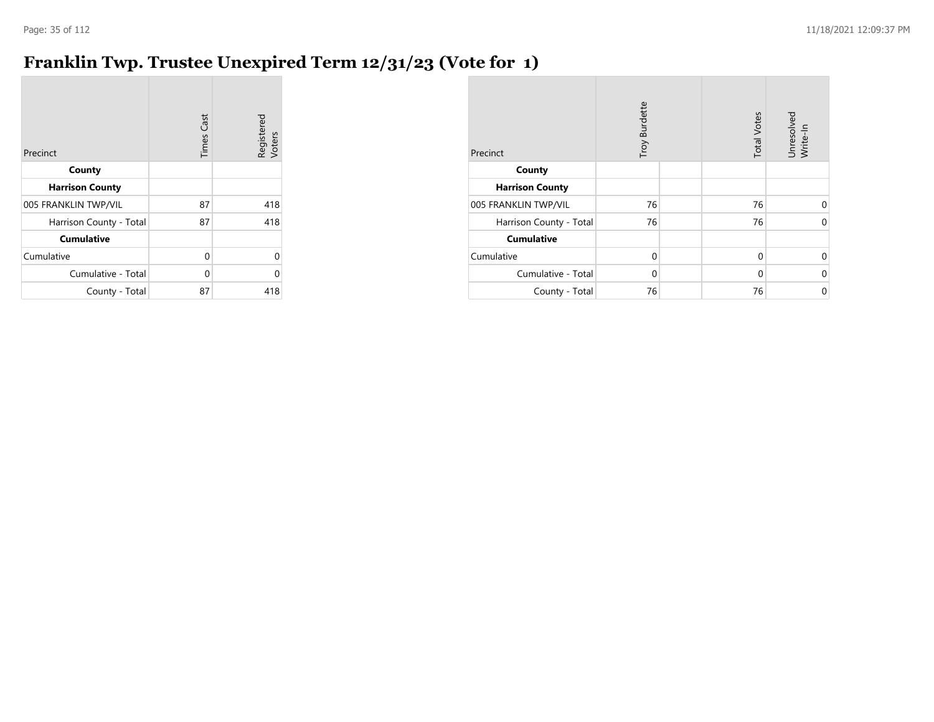# **Franklin Twp. Trustee Unexpired Term 12/31/23 (Vote for 1)**

| Precinct                | <b>Times Cast</b> | Registered<br>Voters |
|-------------------------|-------------------|----------------------|
| County                  |                   |                      |
| <b>Harrison County</b>  |                   |                      |
| 005 FRANKLIN TWP/VIL    | 87                | 418                  |
| Harrison County - Total | 87                | 418                  |
| <b>Cumulative</b>       |                   |                      |
| Cumulative              | 0                 | 0                    |
| Cumulative - Total      | 0                 | ი                    |
| County - Total          | 87                | 418                  |

| Precinct                | Troy Burdette | <b>Total Votes</b> | Unresolved<br>Write-In |
|-------------------------|---------------|--------------------|------------------------|
| County                  |               |                    |                        |
| <b>Harrison County</b>  |               |                    |                        |
| 005 FRANKLIN TWP/VIL    | 76            | 76                 | $\Omega$               |
| Harrison County - Total | 76            | 76                 | $\Omega$               |
| <b>Cumulative</b>       |               |                    |                        |
| Cumulative              | $\Omega$      | $\Omega$           | $\Omega$               |
| Cumulative - Total      | $\Omega$      | $\Omega$           | $\Omega$               |
| County - Total          | 76            | 76                 | 0                      |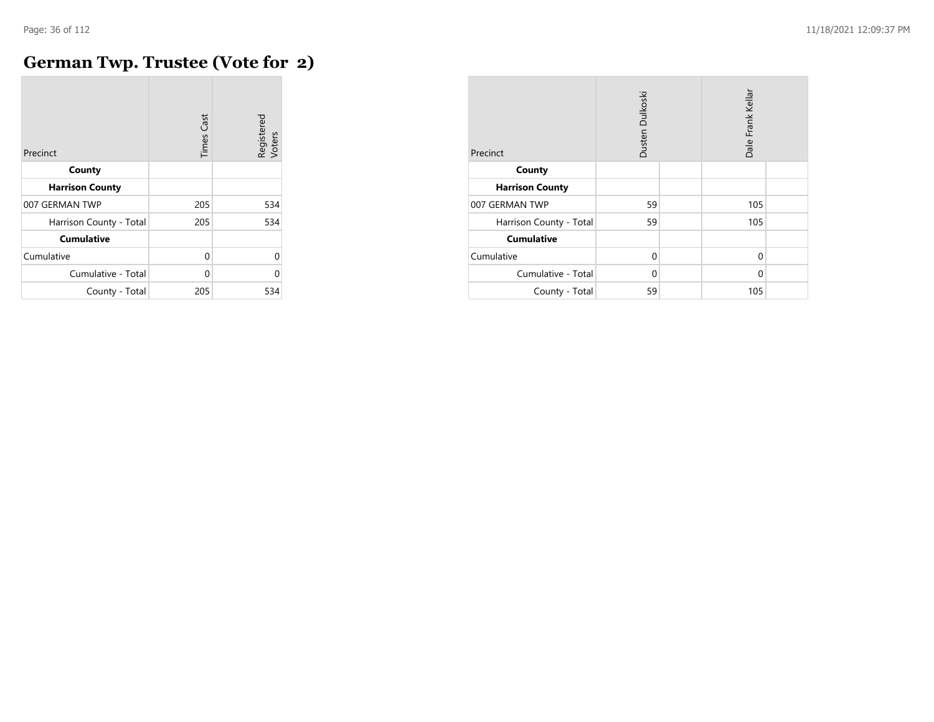## **German Twp. Trustee (Vote for 2)**

| Precinct                | <b>Times Cast</b> | Registered<br>Voters |
|-------------------------|-------------------|----------------------|
| County                  |                   |                      |
| <b>Harrison County</b>  |                   |                      |
| 007 GERMAN TWP          | 205               | 534                  |
| Harrison County - Total | 205               | 534                  |
| <b>Cumulative</b>       |                   |                      |
| Cumulative              | $\Omega$          | 0                    |
| Cumulative - Total      | U                 | O                    |
| County - Total          | 205               | 534                  |

| Precinct                | Dusten Dulkoski |  | Dale Frank Kellar |  |
|-------------------------|-----------------|--|-------------------|--|
| County                  |                 |  |                   |  |
| <b>Harrison County</b>  |                 |  |                   |  |
| 007 GERMAN TWP          | 59              |  | 105               |  |
| Harrison County - Total | 59              |  | 105               |  |
| <b>Cumulative</b>       |                 |  |                   |  |
| Cumulative              | $\Omega$        |  | $\mathbf 0$       |  |
| Cumulative - Total      | 0               |  | $\Omega$          |  |
| County - Total          | 59              |  | 105               |  |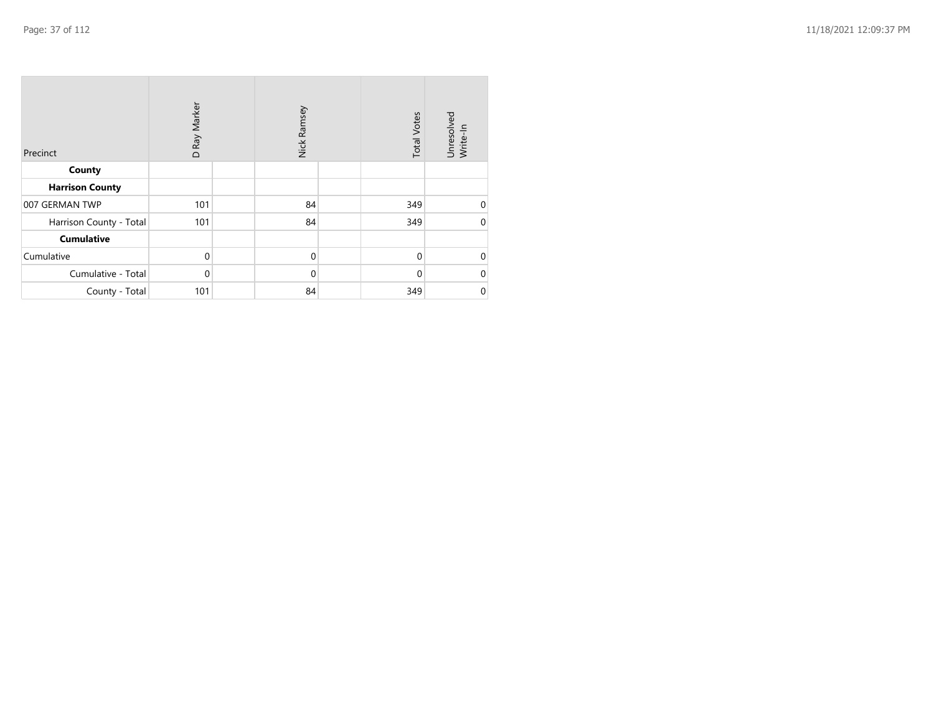| Precinct                | D Ray Marker | Nick Ramsey | <b>Total Votes</b> | Unresolved<br>Write-In |
|-------------------------|--------------|-------------|--------------------|------------------------|
| County                  |              |             |                    |                        |
| <b>Harrison County</b>  |              |             |                    |                        |
| 007 GERMAN TWP          | 101          | 84          | 349                | 0                      |
| Harrison County - Total | 101          | 84          | 349                | $\mathbf 0$            |
| <b>Cumulative</b>       |              |             |                    |                        |
| Cumulative              | $\mathbf 0$  | $\mathbf 0$ | $\mathbf 0$        | $\mathbf 0$            |
| Cumulative - Total      | 0            | $\mathbf 0$ | 0                  | $\mathbf 0$            |
| County - Total          | 101          | 84          | 349                | $\pmb{0}$              |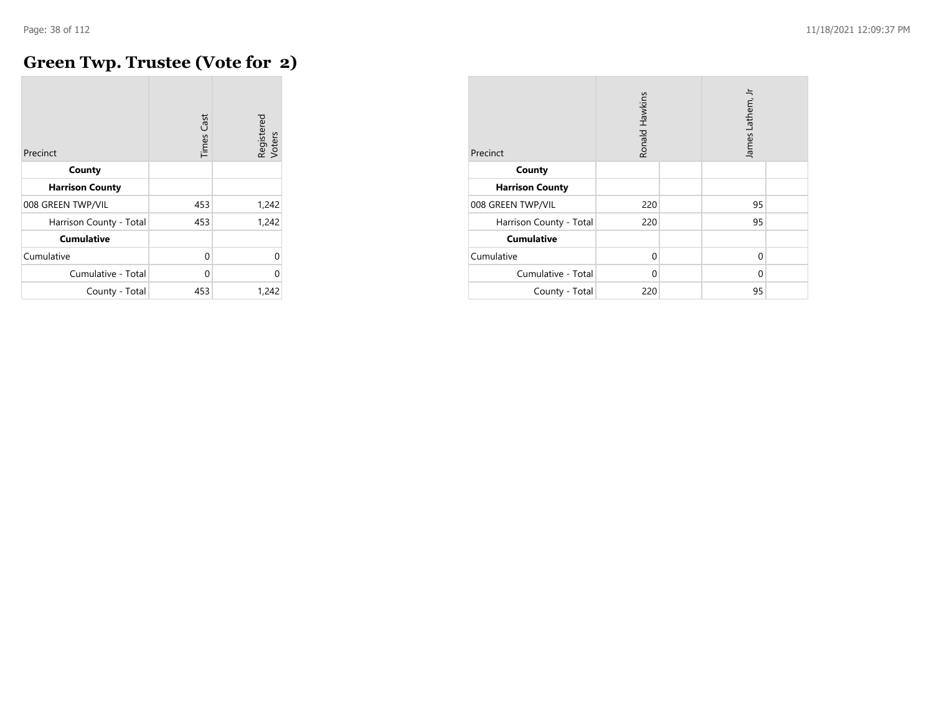#### **Green Twp. Trustee (Vote for 2)**

| Precinct                | Cast<br>Times | Registered<br>Voters |
|-------------------------|---------------|----------------------|
| County                  |               |                      |
| <b>Harrison County</b>  |               |                      |
| 008 GREEN TWP/VIL       | 453           | 1,242                |
| Harrison County - Total | 453           | 1,242                |
| <b>Cumulative</b>       |               |                      |
| Cumulative              | $\Omega$      | $\Omega$             |
| Cumulative - Total      | $\Omega$      | $\Omega$             |
| County - Total          | 453           | 1,242                |

| Precinct                | Ronald Hawkins |  | James Lathem, Jr |  |
|-------------------------|----------------|--|------------------|--|
| County                  |                |  |                  |  |
| <b>Harrison County</b>  |                |  |                  |  |
| 008 GREEN TWP/VIL       | 220            |  | 95               |  |
| Harrison County - Total | 220            |  | 95               |  |
| <b>Cumulative</b>       |                |  |                  |  |
| Cumulative              | $\Omega$       |  | 0                |  |
| Cumulative - Total      | 0              |  | 0                |  |
| County - Total          | 220            |  | 95               |  |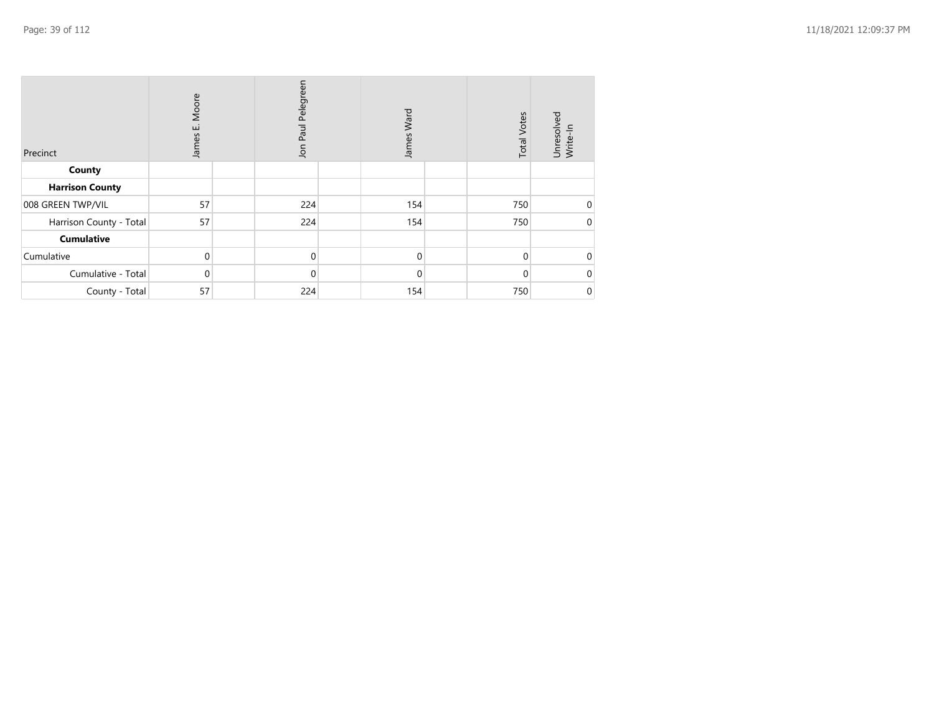| Precinct                | Moore<br>ш<br>James | Jon Paul Pelegreen | James Ward | <b>Total Votes</b> | Unresolved<br>Write-In |
|-------------------------|---------------------|--------------------|------------|--------------------|------------------------|
| County                  |                     |                    |            |                    |                        |
| <b>Harrison County</b>  |                     |                    |            |                    |                        |
| 008 GREEN TWP/VIL       | 57                  | 224                | 154        | 750                | $\Omega$               |
| Harrison County - Total | 57                  | 224                | 154        | 750                | 0                      |
| <b>Cumulative</b>       |                     |                    |            |                    |                        |
| Cumulative              | $\Omega$            | $\Omega$           | $\Omega$   | $\Omega$           |                        |
| Cumulative - Total      | 0                   | $\mathbf 0$        | $\Omega$   | $\Omega$           |                        |
| County - Total          | 57                  | 224                | 154        | 750                | 0                      |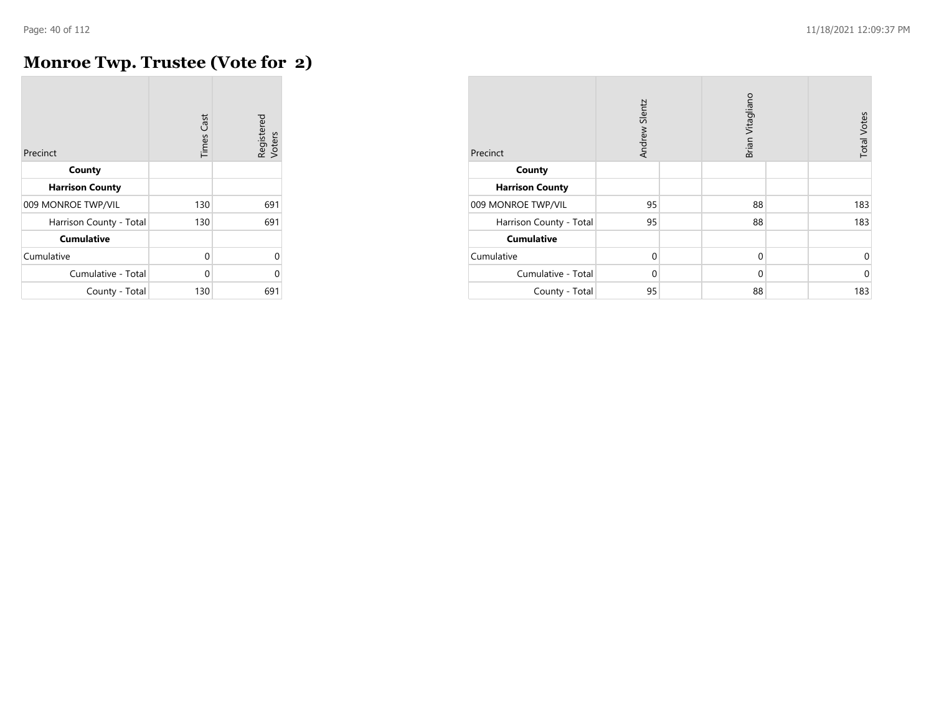### **Monroe Twp. Trustee (Vote for 2)**

| Precinct                | <b>Times Cast</b> | Registered<br>Voters |
|-------------------------|-------------------|----------------------|
| County                  |                   |                      |
| <b>Harrison County</b>  |                   |                      |
| 009 MONROE TWP/VIL      | 130               | 691                  |
| Harrison County - Total | 130               | 691                  |
| <b>Cumulative</b>       |                   |                      |
| Cumulative              | $\Omega$          | 0                    |
| Cumulative - Total      | U                 | 0                    |
| County - Total          | 130               | 691                  |

| Precinct                | Andrew Slentz |  | Brian Vitagliano |  | <b>Total Votes</b> |
|-------------------------|---------------|--|------------------|--|--------------------|
| County                  |               |  |                  |  |                    |
| <b>Harrison County</b>  |               |  |                  |  |                    |
| 009 MONROE TWP/VIL      | 95            |  | 88               |  | 183                |
| Harrison County - Total | 95            |  | 88               |  | 183                |
| <b>Cumulative</b>       |               |  |                  |  |                    |
| Cumulative              | 0             |  | $\mathbf 0$      |  | 0                  |
| Cumulative - Total      | 0             |  | $\mathbf 0$      |  | $\mathbf 0$        |
| County - Total          | 95            |  | 88               |  | 183                |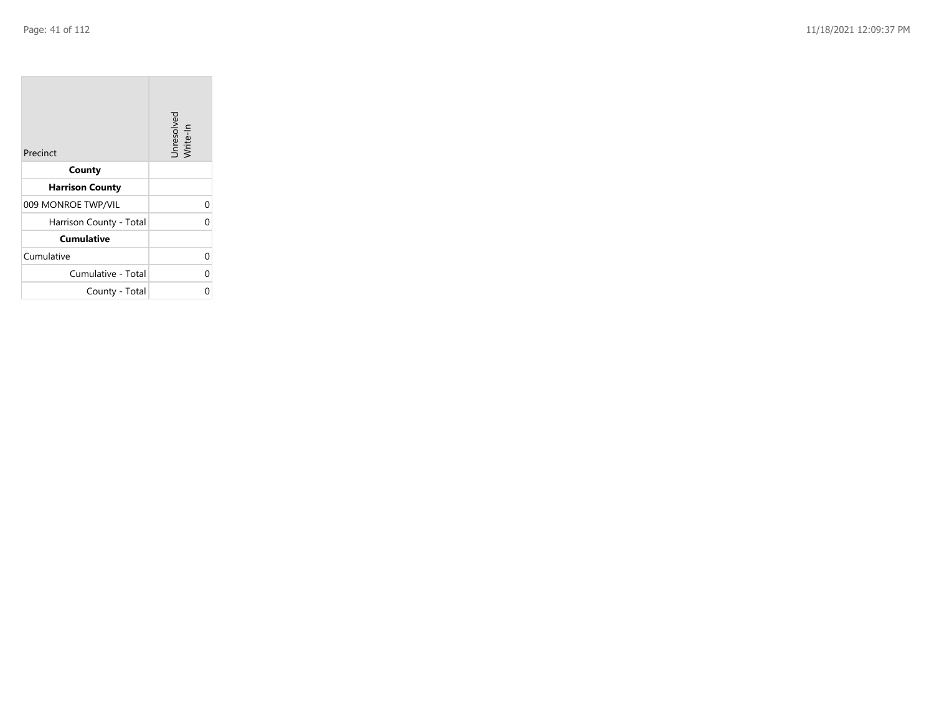| Precinct                | Unresolved<br>Write-In |
|-------------------------|------------------------|
| County                  |                        |
| <b>Harrison County</b>  |                        |
| 009 MONROE TWP/VIL      | 0                      |
| Harrison County - Total | 0                      |
| <b>Cumulative</b>       |                        |
| Cumulative              | 0                      |
| Cumulative - Total      | 0                      |
| County - Total          | በ                      |

the contract of the contract of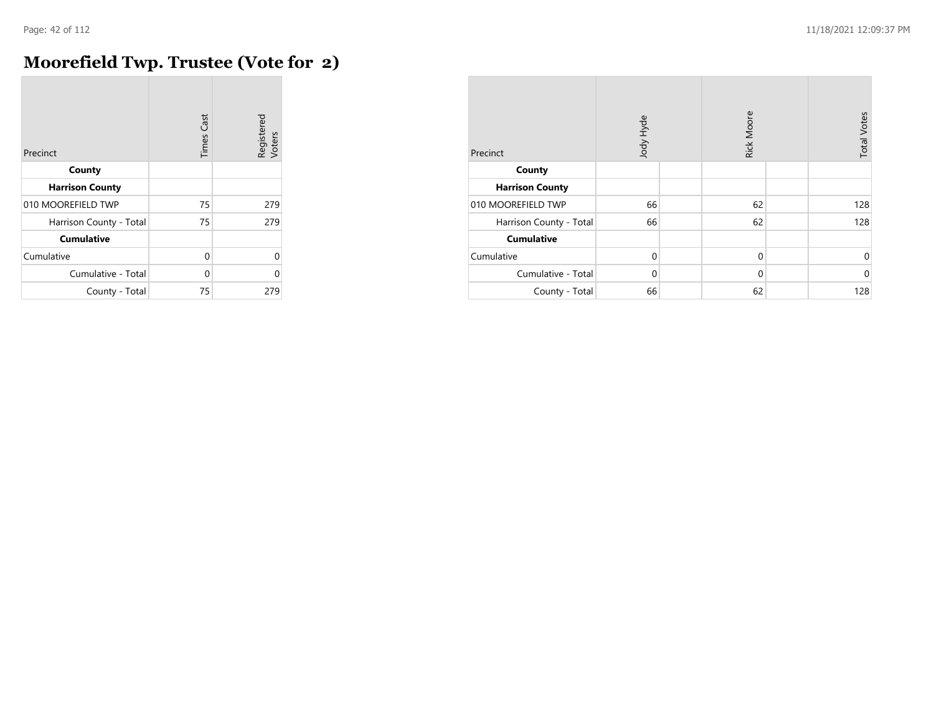$\overline{a}$ 

## **Moorefield Twp. Trustee (Vote for 2)**

| Precinct                | <b>Times Cast</b> | Registered<br>Voters |
|-------------------------|-------------------|----------------------|
| County                  |                   |                      |
| <b>Harrison County</b>  |                   |                      |
| 010 MOOREFIELD TWP      | 75                | 279                  |
| Harrison County - Total | 75                | 279                  |
| <b>Cumulative</b>       |                   |                      |
| Cumulative              | O                 | U                    |
| Cumulative - Total      | U                 | N                    |
| County - Total          | 75                | 279                  |

| Precinct                | Jody Hyde   |  | Rick Moore  |  | <b>Total Votes</b> |
|-------------------------|-------------|--|-------------|--|--------------------|
| County                  |             |  |             |  |                    |
| <b>Harrison County</b>  |             |  |             |  |                    |
| 010 MOOREFIELD TWP      | 66          |  | 62          |  | 128                |
| Harrison County - Total | 66          |  | 62          |  | 128                |
| <b>Cumulative</b>       |             |  |             |  |                    |
| Cumulative              | $\mathbf 0$ |  | $\mathbf 0$ |  | 0                  |
| Cumulative - Total      | $\Omega$    |  | $\Omega$    |  | $\mathbf 0$        |
| County - Total          | 66          |  | 62          |  | 128                |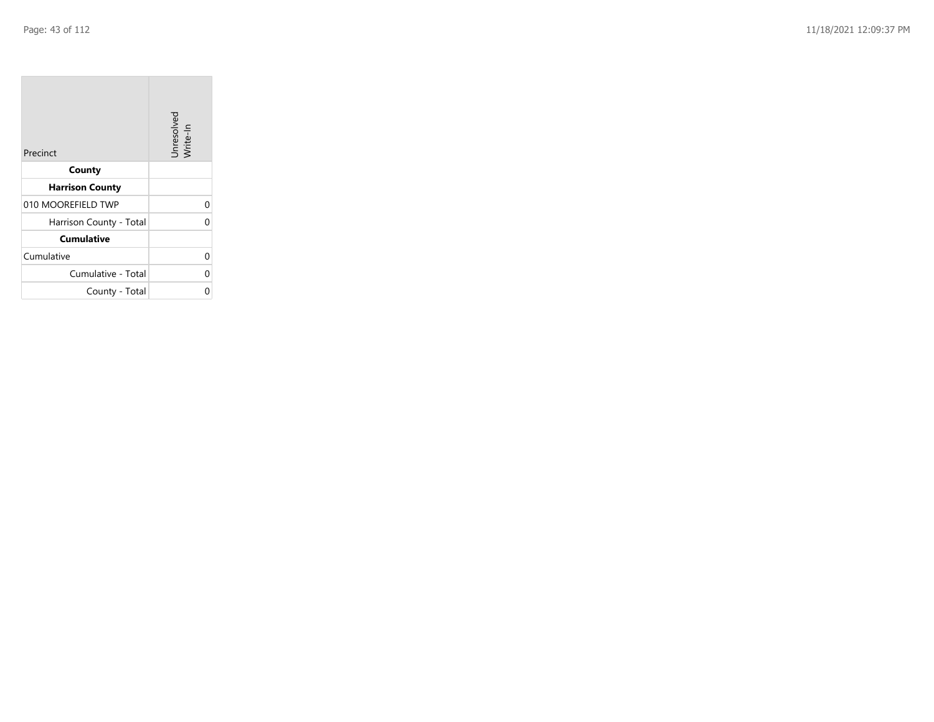| Precinct                | Unresolved<br>Write-In |
|-------------------------|------------------------|
| County                  |                        |
| <b>Harrison County</b>  |                        |
| 010 MOOREFIELD TWP      | 0                      |
| Harrison County - Total | 0                      |
| <b>Cumulative</b>       |                        |
| Cumulative              | 0                      |
| Cumulative - Total      | 0                      |
| County - Total          | በ                      |

the property of the con-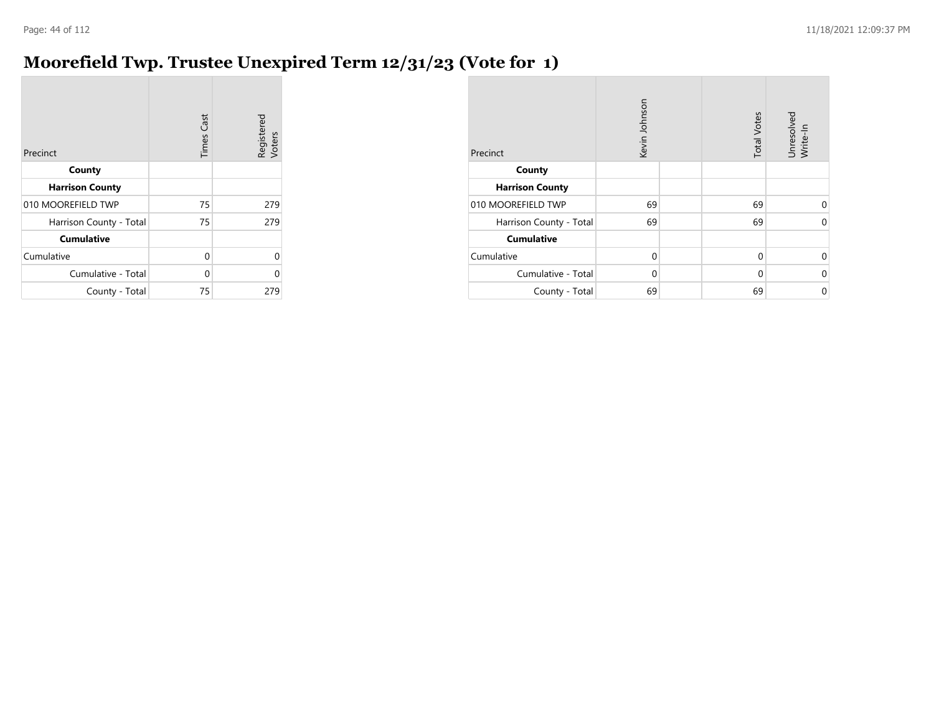### **Moorefield Twp. Trustee Unexpired Term 12/31/23 (Vote for 1)**

| Precinct                | <b>Times Cast</b> | Registered<br>Voters |
|-------------------------|-------------------|----------------------|
| County                  |                   |                      |
| <b>Harrison County</b>  |                   |                      |
| 010 MOOREFIELD TWP      | 75                | 279                  |
| Harrison County - Total | 75                | 279                  |
| <b>Cumulative</b>       |                   |                      |
| Cumulative              | 0                 | U                    |
| Cumulative - Total      | 0                 | n                    |
| County - Total          | 75                | 279                  |

| Precinct                | Kevin Johnson | <b>Total Votes</b> | Unresolved<br>Write-In |
|-------------------------|---------------|--------------------|------------------------|
| County                  |               |                    |                        |
| <b>Harrison County</b>  |               |                    |                        |
| 010 MOOREFIELD TWP      | 69            | 69                 | $\Omega$               |
| Harrison County - Total | 69            | 69                 | $\Omega$               |
| <b>Cumulative</b>       |               |                    |                        |
| Cumulative              | 0             | 0                  | 0                      |
| Cumulative - Total      | $\Omega$      | $\mathbf 0$        | $\Omega$               |
| County - Total          | 69            | 69                 | 0                      |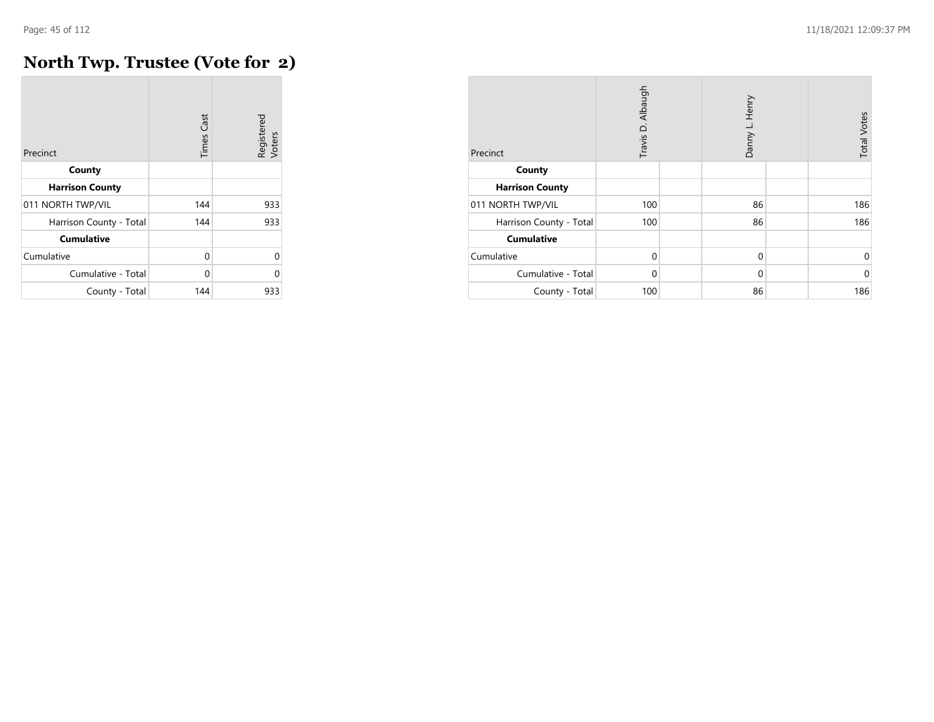### **North Twp. Trustee (Vote for 2)**

| Precinct                | <b>Times Cast</b> | Registered<br>Voters |
|-------------------------|-------------------|----------------------|
| County                  |                   |                      |
| <b>Harrison County</b>  |                   |                      |
| 011 NORTH TWP/VIL       | 144               | 933                  |
| Harrison County - Total | 144               | 933                  |
| <b>Cumulative</b>       |                   |                      |
| Cumulative              | 0                 | 0                    |
| Cumulative - Total      | 0                 | O                    |
| County - Total          | 144               | 933                  |

| Precinct                | Travis D. Albaugh | Danny L. Henry | <b>Total Votes</b> |
|-------------------------|-------------------|----------------|--------------------|
| County                  |                   |                |                    |
| <b>Harrison County</b>  |                   |                |                    |
| 011 NORTH TWP/VIL       | 100               | 86             | 186                |
| Harrison County - Total | 100               | 86             | 186                |
| <b>Cumulative</b>       |                   |                |                    |
| Cumulative              | $\mathbf 0$       | $\mathbf 0$    | 0                  |
| Cumulative - Total      | 0                 | $\Omega$       | $\mathbf 0$        |
| County - Total          | 100               | 86             | 186                |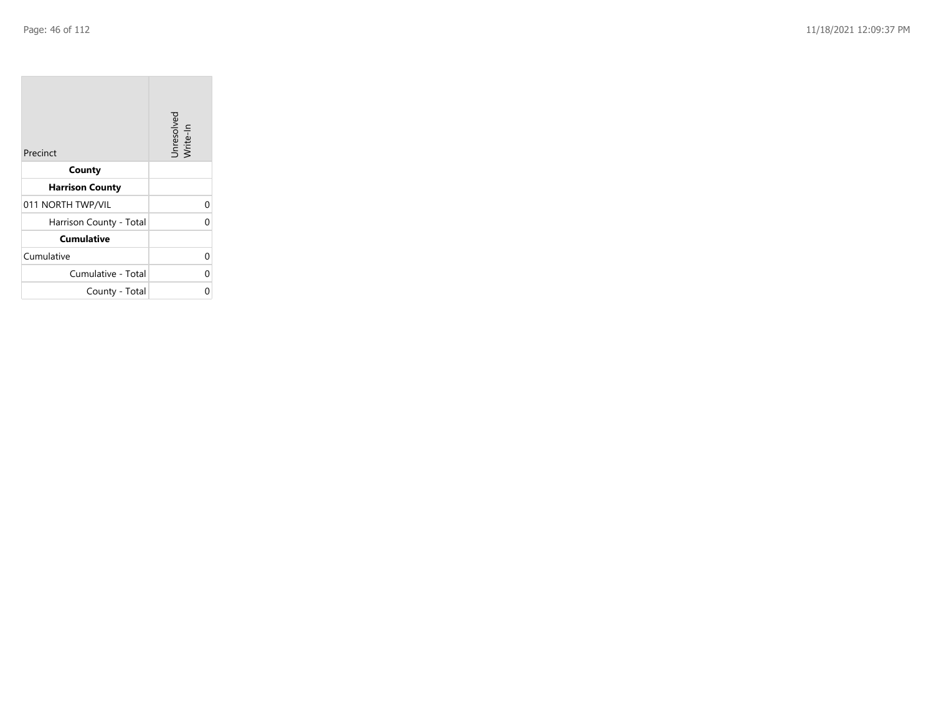| Precinct                | Unresolved<br>Write-In |
|-------------------------|------------------------|
| County                  |                        |
| <b>Harrison County</b>  |                        |
| 011 NORTH TWP/VIL       | 0                      |
| Harrison County - Total | 0                      |
| <b>Cumulative</b>       |                        |
| Cumulative              | 0                      |
| Cumulative - Total      | 0                      |
| County - Total          | 0                      |

the property of the con-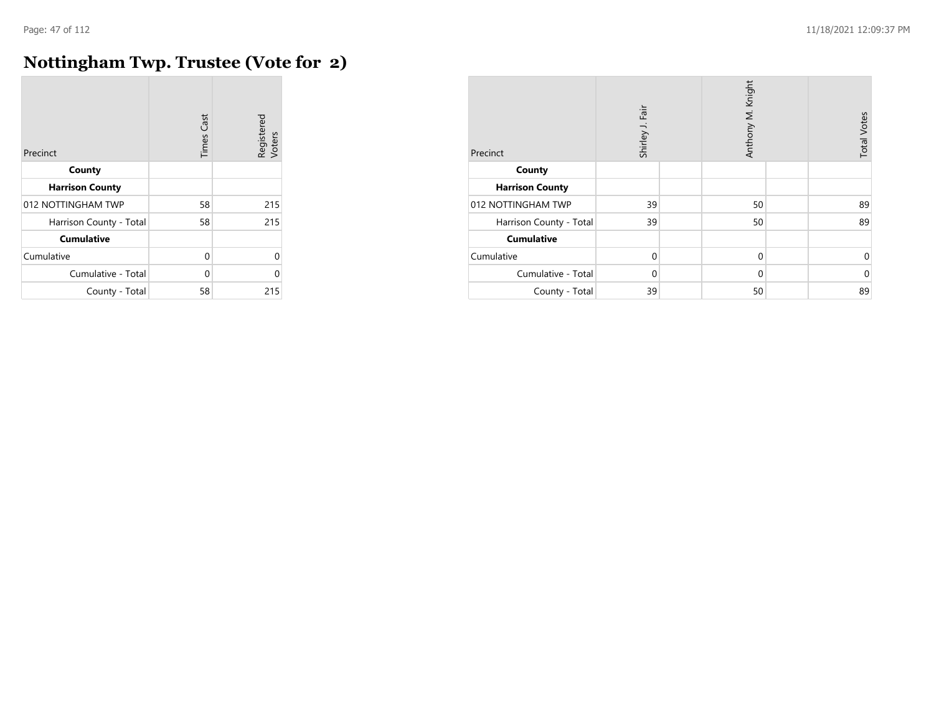# **Nottingham Twp. Trustee (Vote for 2)**

| Precinct                | <b>Times Cast</b> | Registered<br>Voters |
|-------------------------|-------------------|----------------------|
| County                  |                   |                      |
| <b>Harrison County</b>  |                   |                      |
| 012 NOTTINGHAM TWP      | 58                | 215                  |
| Harrison County - Total | 58                | 215                  |
| <b>Cumulative</b>       |                   |                      |
| Cumulative              | $\Omega$          | 0                    |
| Cumulative - Total      | $\Omega$          | O                    |
| County - Total          | 58                | 215                  |

| Precinct                | Fair<br>Shirley J. | Anthony M. Knight | <b>Total Votes</b> |
|-------------------------|--------------------|-------------------|--------------------|
| County                  |                    |                   |                    |
| <b>Harrison County</b>  |                    |                   |                    |
| 012 NOTTINGHAM TWP      | 39                 | 50                | 89                 |
| Harrison County - Total | 39                 | 50                | 89                 |
| <b>Cumulative</b>       |                    |                   |                    |
| Cumulative              | $\mathbf 0$        | $\mathbf 0$       | 0                  |
| Cumulative - Total      | $\Omega$           | $\Omega$          | $\Omega$           |
| County - Total          | 39                 | 50                | 89                 |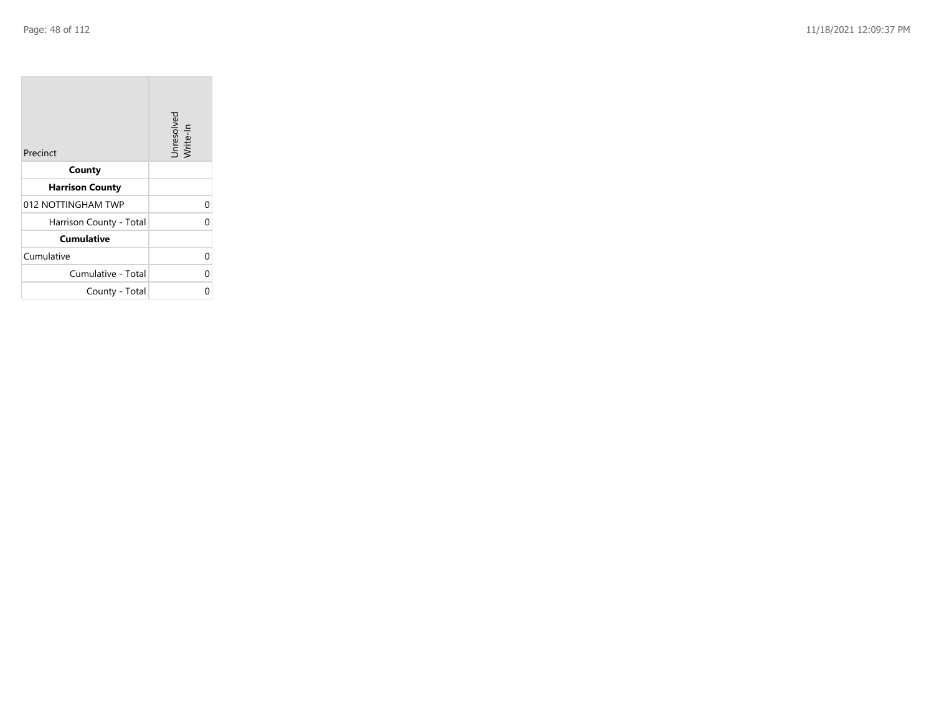$\sim$ 

| Precinct                | Unresolved<br>Write-In |
|-------------------------|------------------------|
| County                  |                        |
| <b>Harrison County</b>  |                        |
| 012 NOTTINGHAM TWP      | 0                      |
| Harrison County - Total | 0                      |
| <b>Cumulative</b>       |                        |
| Cumulative              | 0                      |
| Cumulative - Total      | 0                      |
| County - Total          | 0                      |

the control of the con-

 $\overline{\phantom{a}}$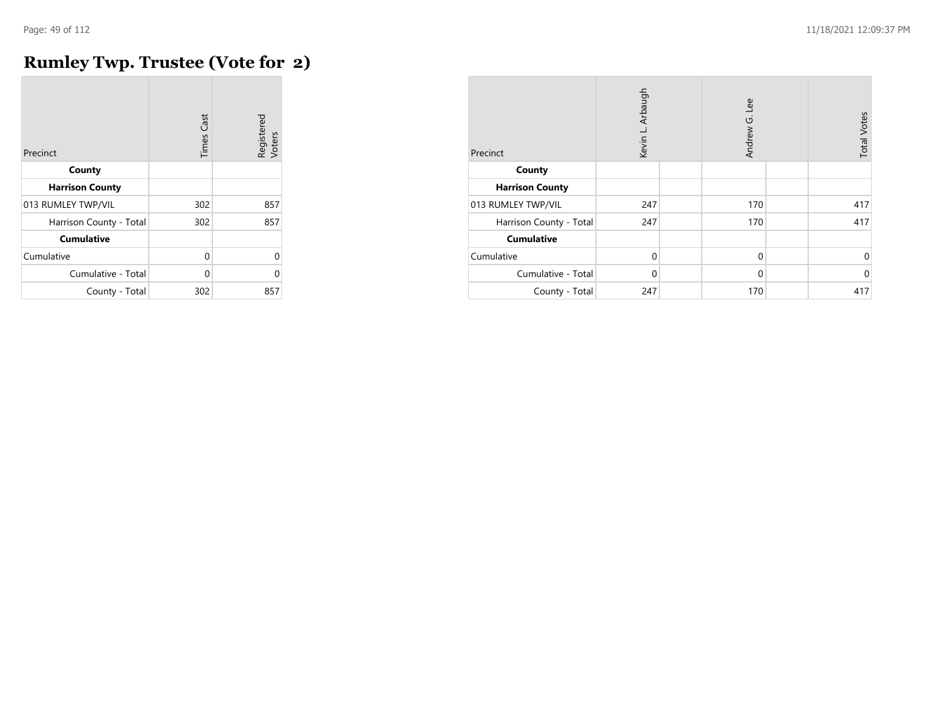## **Rumley Twp. Trustee (Vote for 2)**

| Precinct                | <b>Times Cast</b> | Registered<br>Voters |
|-------------------------|-------------------|----------------------|
| County                  |                   |                      |
| <b>Harrison County</b>  |                   |                      |
| 013 RUMLEY TWP/VIL      | 302               | 857                  |
| Harrison County - Total | 302               | 857                  |
| <b>Cumulative</b>       |                   |                      |
| Cumulative              | 0                 | $\Omega$             |
| Cumulative - Total      | 0                 | O                    |
| County - Total          | 302               | 857                  |

| Precinct                | Kevin L. Arbaugh | Andrew G. Lee | <b>Total Votes</b> |
|-------------------------|------------------|---------------|--------------------|
| County                  |                  |               |                    |
| <b>Harrison County</b>  |                  |               |                    |
| 013 RUMLEY TWP/VIL      | 247              | 170           | 417                |
| Harrison County - Total | 247              | 170           | 417                |
| <b>Cumulative</b>       |                  |               |                    |
| Cumulative              | $\mathbf 0$      | $\mathbf 0$   | 0                  |
| Cumulative - Total      | 0                | $\mathbf 0$   | $\mathbf 0$        |
| County - Total          | 247              | 170           | 417                |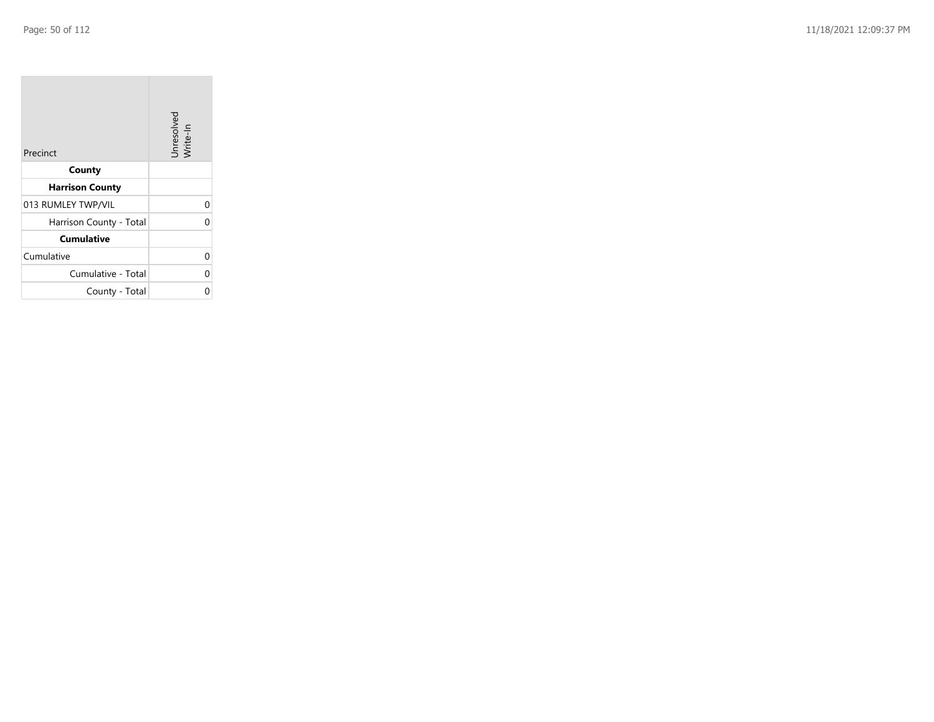| Precinct                | Unresolved<br>Write-In |
|-------------------------|------------------------|
| County                  |                        |
| <b>Harrison County</b>  |                        |
| 013 RUMLEY TWP/VIL      | 0                      |
| Harrison County - Total | 0                      |
| <b>Cumulative</b>       |                        |
| Cumulative              | 0                      |
| Cumulative - Total      | 0                      |
| County - Total          | ი                      |

the property of the con-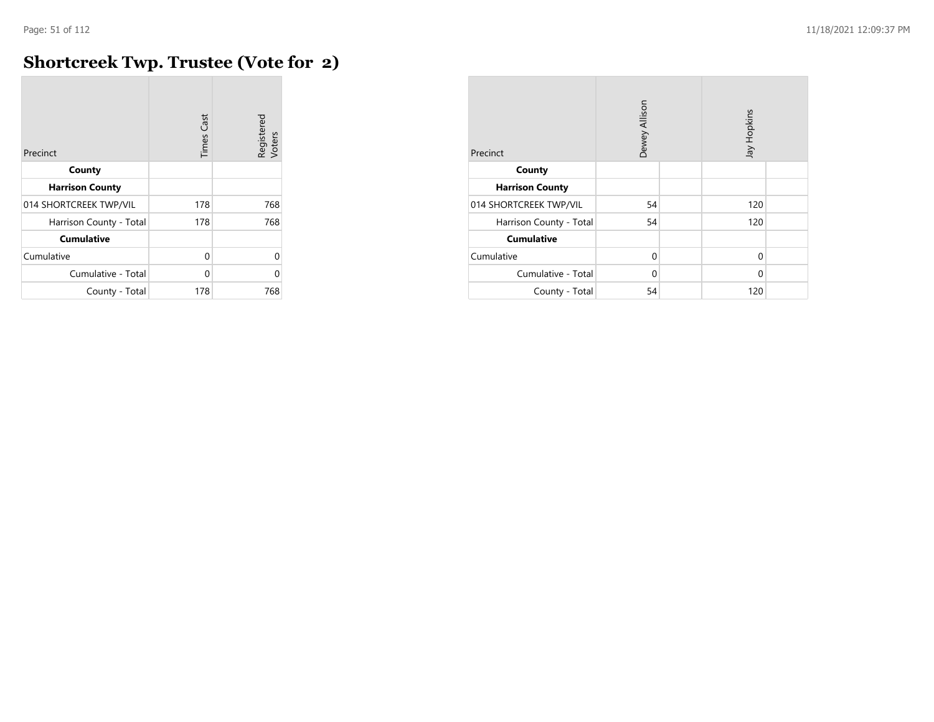### **Shortcreek Twp. Trustee (Vote for 2)**

| Precinct                | <b>Times Cast</b> | Registered<br>Voters |
|-------------------------|-------------------|----------------------|
| County                  |                   |                      |
| <b>Harrison County</b>  |                   |                      |
| 014 SHORTCREEK TWP/VIL  | 178               | 768                  |
| Harrison County - Total | 178               | 768                  |
| <b>Cumulative</b>       |                   |                      |
| Cumulative              | $\Omega$          | $\Omega$             |
| Cumulative - Total      | U                 | U                    |
| County - Total          | 178               | 768                  |

| Precinct                | Dewey Allison |  | Jay Hopkins |  |
|-------------------------|---------------|--|-------------|--|
| County                  |               |  |             |  |
| <b>Harrison County</b>  |               |  |             |  |
| 014 SHORTCREEK TWP/VIL  | 54            |  | 120         |  |
| Harrison County - Total | 54            |  | 120         |  |
| <b>Cumulative</b>       |               |  |             |  |
| Cumulative              | 0             |  | 0           |  |
| Cumulative - Total      | 0             |  | $\Omega$    |  |
| County - Total          | 54            |  | 120         |  |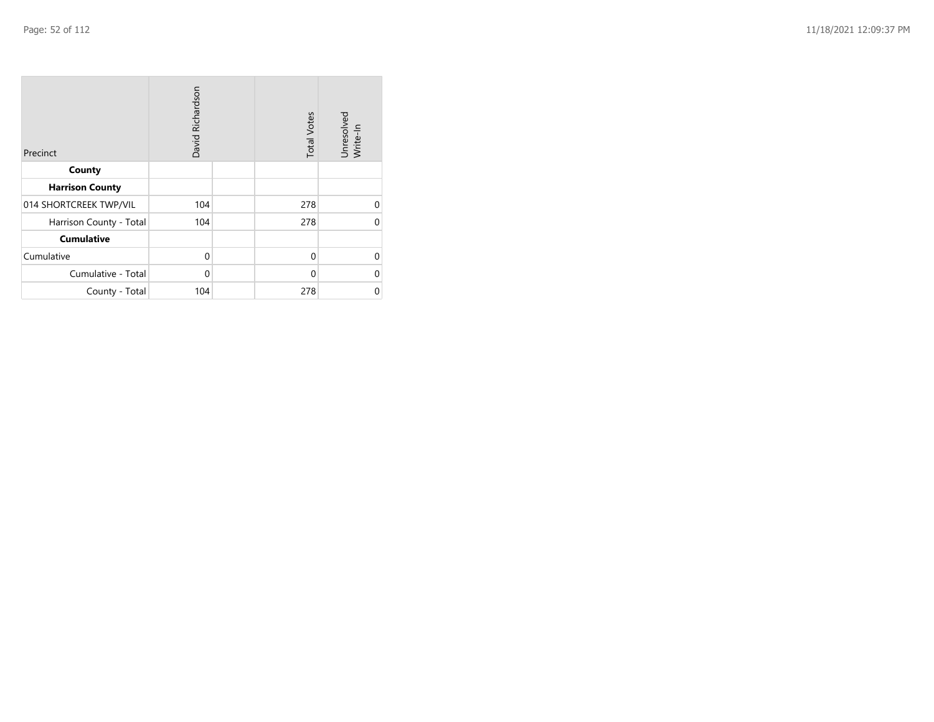| Precinct                | David Richardson |  | <b>Total Votes</b> | Unresolved<br>Write-In |
|-------------------------|------------------|--|--------------------|------------------------|
| County                  |                  |  |                    |                        |
| <b>Harrison County</b>  |                  |  |                    |                        |
| 014 SHORTCREEK TWP/VIL  | 104              |  | 278                | 0                      |
| Harrison County - Total | 104              |  | 278                | 0                      |
| <b>Cumulative</b>       |                  |  |                    |                        |
| Cumulative              | $\mathbf 0$      |  | 0                  | 0                      |
| Cumulative - Total      | 0                |  | $\Omega$           | 0                      |
| County - Total          | 104              |  | 278                | 0                      |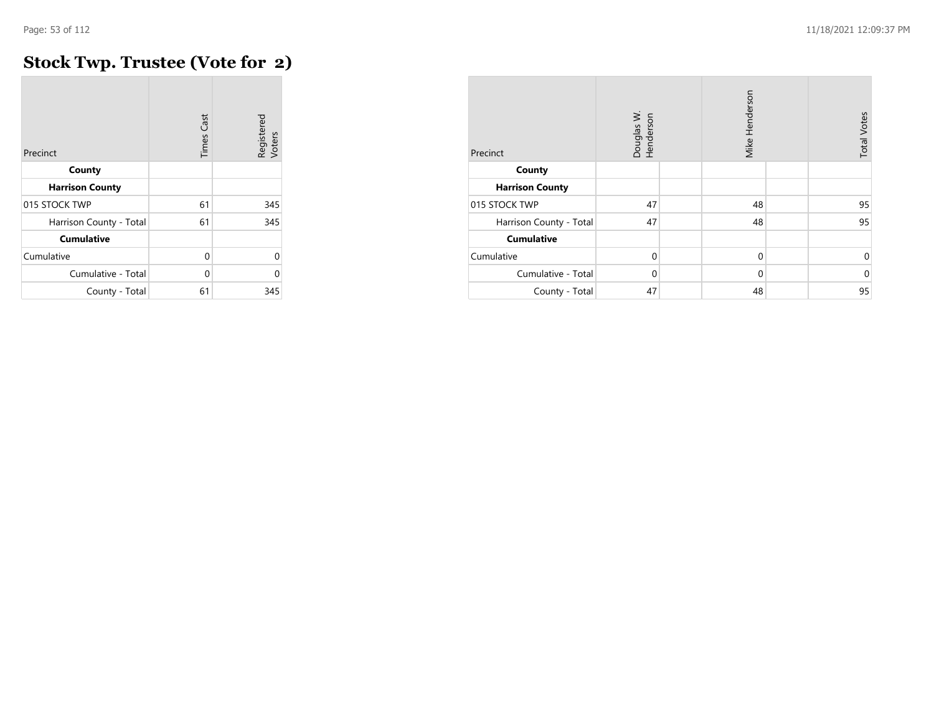### **Stock Twp. Trustee (Vote for 2)**

| Precinct                | <b>Times Cast</b> | Registered<br>Voters |
|-------------------------|-------------------|----------------------|
| County                  |                   |                      |
| <b>Harrison County</b>  |                   |                      |
| 015 STOCK TWP           | 61                | 345                  |
| Harrison County - Total | 61                | 345                  |
| <b>Cumulative</b>       |                   |                      |
| Cumulative              | 0                 | $\Omega$             |
| Cumulative - Total      | 0                 | 0                    |
| County - Total          | 61                | 345                  |

| Precinct                | Douglas W.<br>Henderson | Mike Henderson | <b>Total Votes</b> |
|-------------------------|-------------------------|----------------|--------------------|
| County                  |                         |                |                    |
| <b>Harrison County</b>  |                         |                |                    |
| 015 STOCK TWP           | 47                      | 48             | 95                 |
| Harrison County - Total | 47                      | 48             | 95                 |
| <b>Cumulative</b>       |                         |                |                    |
| Cumulative              | $\Omega$                | $\mathbf 0$    | 0                  |
| Cumulative - Total      | 0                       | $\mathbf 0$    | $\mathbf 0$        |
| County - Total          | 47                      | 48             | 95                 |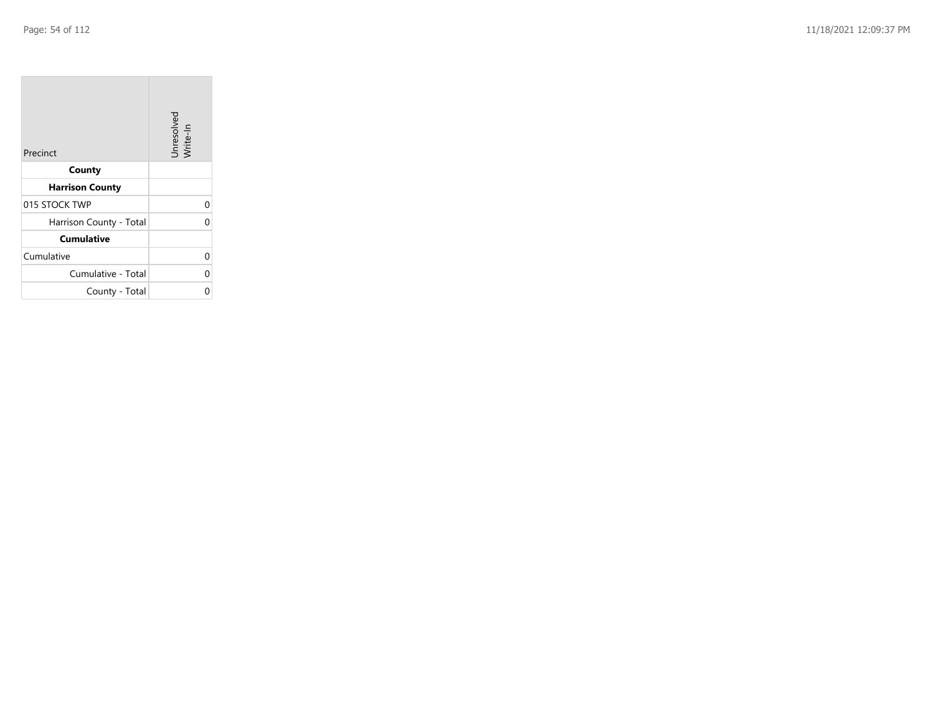| Precinct                | Unresolved<br>Write-In |
|-------------------------|------------------------|
| County                  |                        |
| <b>Harrison County</b>  |                        |
| 015 STOCK TWP           | 0                      |
| Harrison County - Total | 0                      |
| <b>Cumulative</b>       |                        |
| Cumulative              | 0                      |
| Cumulative - Total      | 0                      |
| County - Total          | ი                      |

the contract of the contract of

m.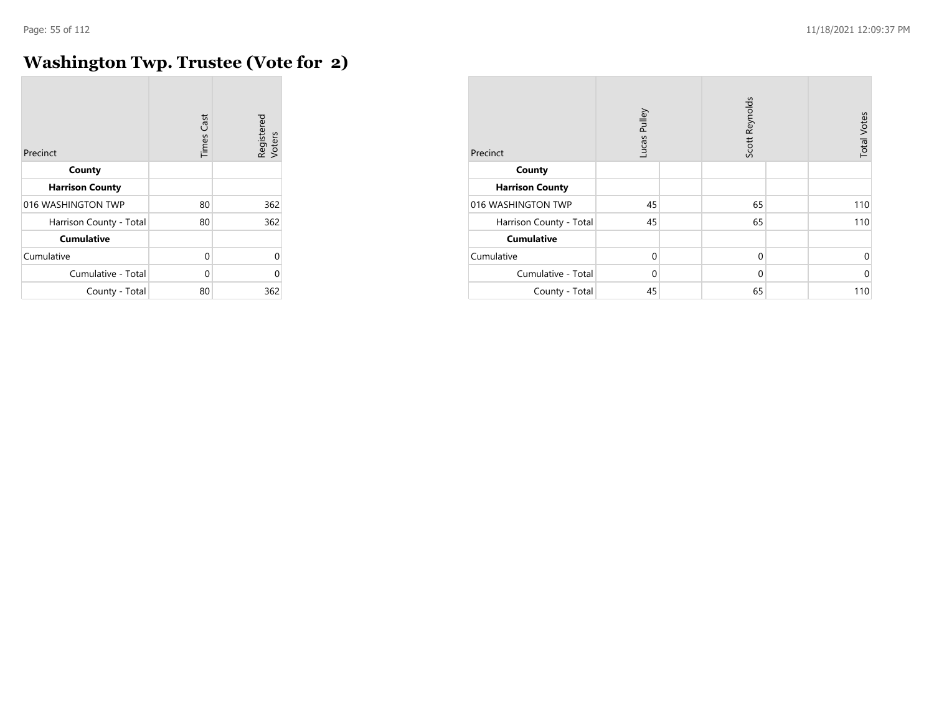$\sim$ 

### **Washington Twp. Trustee (Vote for 2)**

| Precinct                | <b>Times Cast</b> | Registered<br>Voters |
|-------------------------|-------------------|----------------------|
| County                  |                   |                      |
| <b>Harrison County</b>  |                   |                      |
| 016 WASHINGTON TWP      | 80                | 362                  |
| Harrison County - Total | 80                | 362                  |
| <b>Cumulative</b>       |                   |                      |
| Cumulative              | 0                 | $\Omega$             |
| Cumulative - Total      | 0                 | O                    |
| County - Total          | 80                | 362                  |

| Precinct                | Pulley<br>Lucas |  | Scott Reynolds |  | <b>Total Votes</b> |
|-------------------------|-----------------|--|----------------|--|--------------------|
| County                  |                 |  |                |  |                    |
| <b>Harrison County</b>  |                 |  |                |  |                    |
| 016 WASHINGTON TWP      | 45              |  | 65             |  | 110                |
| Harrison County - Total | 45              |  | 65             |  | 110                |
| <b>Cumulative</b>       |                 |  |                |  |                    |
| Cumulative              | $\mathbf 0$     |  | $\mathbf 0$    |  | 0                  |
| Cumulative - Total      | $\Omega$        |  | $\mathbf 0$    |  | $\mathbf 0$        |
| County - Total          | 45              |  | 65             |  | 110                |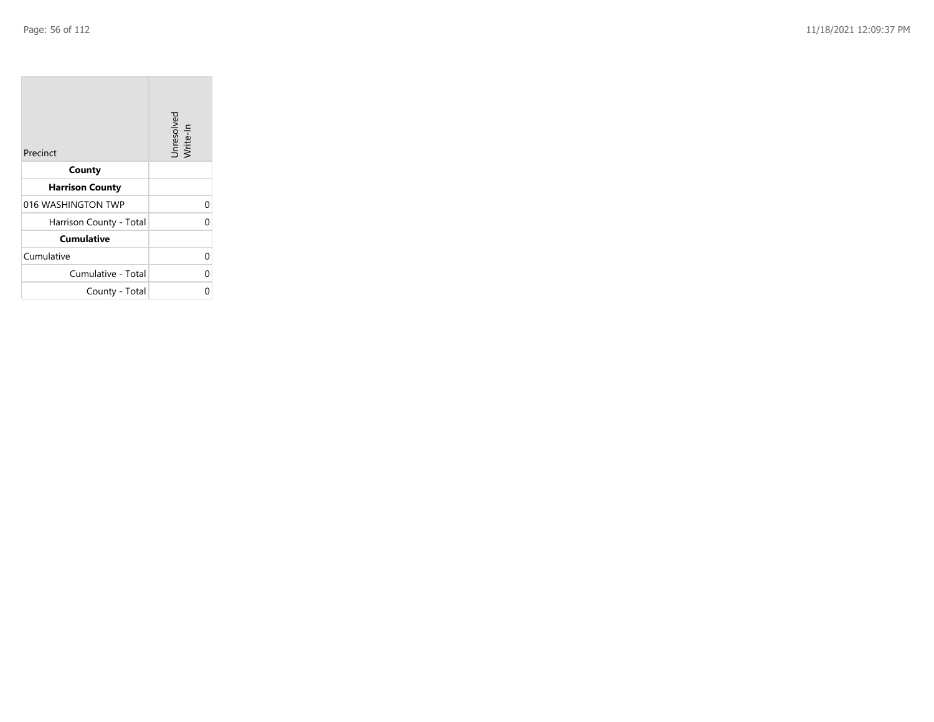$\sim$ 

| Precinct                | Unresolved<br>Write-In |
|-------------------------|------------------------|
| County                  |                        |
| <b>Harrison County</b>  |                        |
| 016 WASHINGTON TWP      | 0                      |
| Harrison County - Total | 0                      |
| <b>Cumulative</b>       |                        |
| Cumulative              | 0                      |
| Cumulative - Total      | 0                      |
| County - Total          | በ                      |

the property of the con-

 $\mathcal{L}(\mathcal{A})$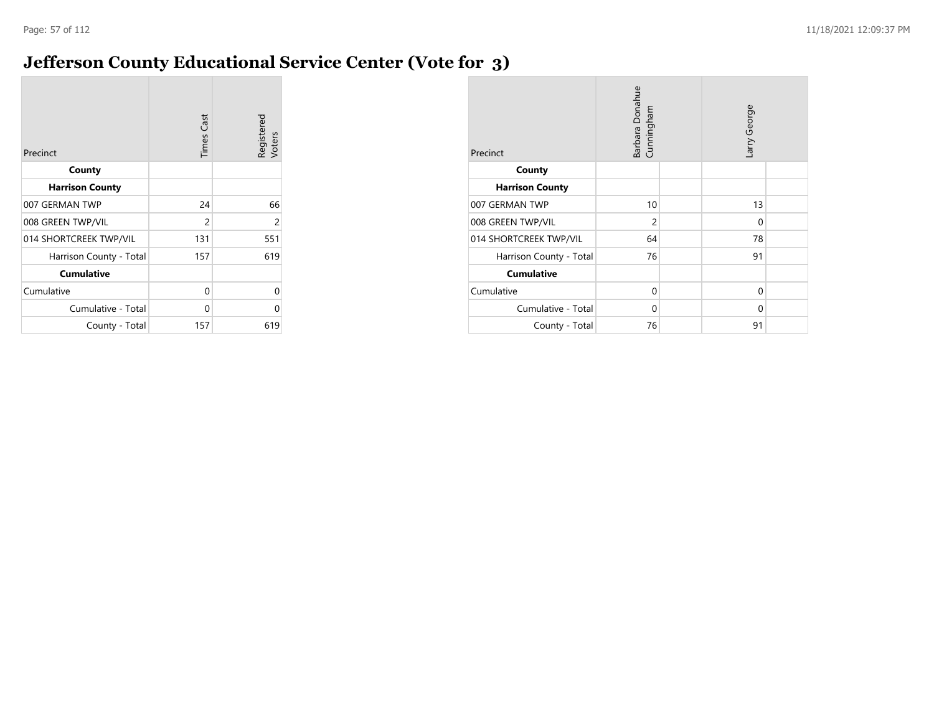### **Jefferson County Educational Service Center (Vote for 3)**

| Precinct                | <b>Times Cast</b> | Registered<br>Voters |
|-------------------------|-------------------|----------------------|
| County                  |                   |                      |
| <b>Harrison County</b>  |                   |                      |
| 007 GERMAN TWP          | 24                | 66                   |
| 008 GREEN TWP/VIL       | $\overline{c}$    | $\overline{c}$       |
| 014 SHORTCREEK TWP/VIL  | 131               | 551                  |
| Harrison County - Total | 157               | 619                  |
| <b>Cumulative</b>       |                   |                      |
| Cumulative              | 0                 | 0                    |
| Cumulative - Total      | $\Omega$          | 0                    |
| County - Total          | 157               | 619                  |

| Precinct                | Barbara Donahue<br>Cunningham |  | arry George |  |
|-------------------------|-------------------------------|--|-------------|--|
| County                  |                               |  |             |  |
| <b>Harrison County</b>  |                               |  |             |  |
| 007 GERMAN TWP          | 10                            |  | 13          |  |
| 008 GREEN TWP/VIL       | $\overline{2}$                |  | $\Omega$    |  |
| 014 SHORTCREEK TWP/VIL  | 64                            |  | 78          |  |
| Harrison County - Total | 76                            |  | 91          |  |
| <b>Cumulative</b>       |                               |  |             |  |
| Cumulative              | $\Omega$                      |  | $\Omega$    |  |
| Cumulative - Total      | $\Omega$                      |  | $\Omega$    |  |
| County - Total          | 76                            |  | 91          |  |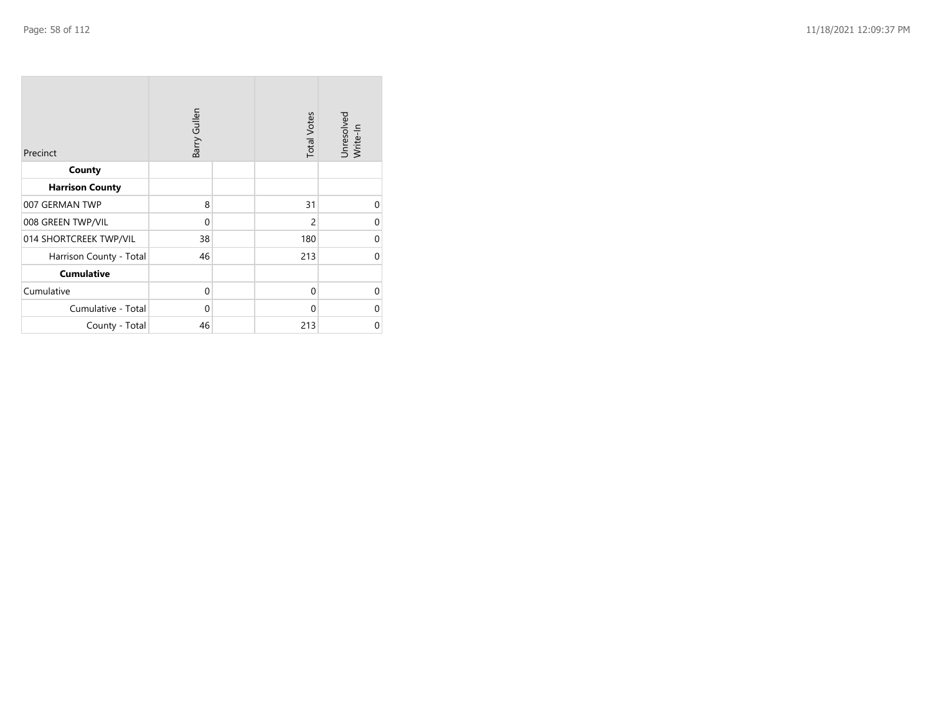| Precinct                | Barry Gullen | <b>Total Votes</b> | Unresolved<br>Write-In |
|-------------------------|--------------|--------------------|------------------------|
| County                  |              |                    |                        |
| <b>Harrison County</b>  |              |                    |                        |
| 007 GERMAN TWP          | 8            | 31                 | $\Omega$               |
| 008 GREEN TWP/VIL       | $\mathbf 0$  | $\overline{c}$     | $\Omega$               |
| 014 SHORTCREEK TWP/VIL  | 38           | 180                | $\Omega$               |
| Harrison County - Total | 46           | 213                | $\Omega$               |
| <b>Cumulative</b>       |              |                    |                        |
| Cumulative              | $\mathbf 0$  | 0                  | $\Omega$               |
| Cumulative - Total      | $\mathbf 0$  | $\mathbf{0}$       | $\Omega$               |
| County - Total          | 46           | 213                | $\mathbf 0$            |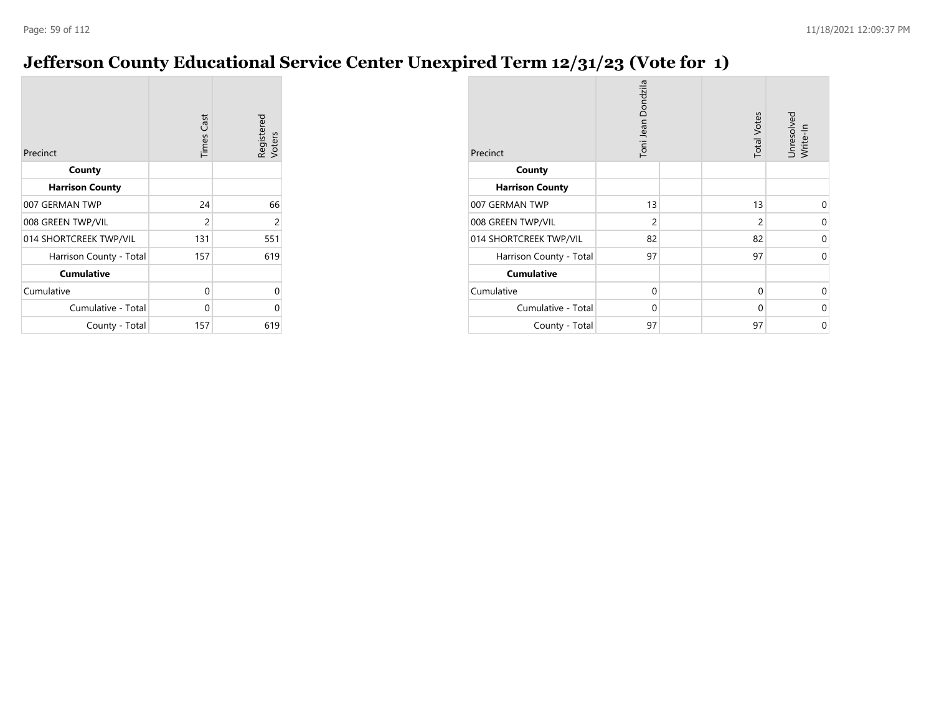## **Jefferson County Educational Service Center Unexpired Term 12/31/23 (Vote for 1)**

| Precinct                | <b>Times Cast</b> | Registered<br>Voters |
|-------------------------|-------------------|----------------------|
| County                  |                   |                      |
| <b>Harrison County</b>  |                   |                      |
| 007 GERMAN TWP          | 24                | 66                   |
| 008 GREEN TWP/VIL       | $\overline{c}$    | 2                    |
| 014 SHORTCREEK TWP/VIL  | 131               | 551                  |
| Harrison County - Total | 157               | 619                  |
| <b>Cumulative</b>       |                   |                      |
| Cumulative              | 0                 | 0                    |
| Cumulative - Total      | 0                 | 0                    |
| County - Total          | 157               | 619                  |

| Precinct                | Toni Jean Dondzila | <b>Total Votes</b> | Unresolved<br>Write-In |
|-------------------------|--------------------|--------------------|------------------------|
| County                  |                    |                    |                        |
| <b>Harrison County</b>  |                    |                    |                        |
| 007 GERMAN TWP          | 13                 | 13                 | 0                      |
| 008 GREEN TWP/VIL       | $\overline{c}$     | $\overline{c}$     | $\Omega$               |
| 014 SHORTCREEK TWP/VIL  | 82                 | 82                 | 0                      |
| Harrison County - Total | 97                 | 97                 | $\Omega$               |
| <b>Cumulative</b>       |                    |                    |                        |
| Cumulative              | 0                  | 0                  | $\Omega$               |
| Cumulative - Total      | 0                  | $\Omega$           | 0                      |
| County - Total          | 97                 | 97                 | 0                      |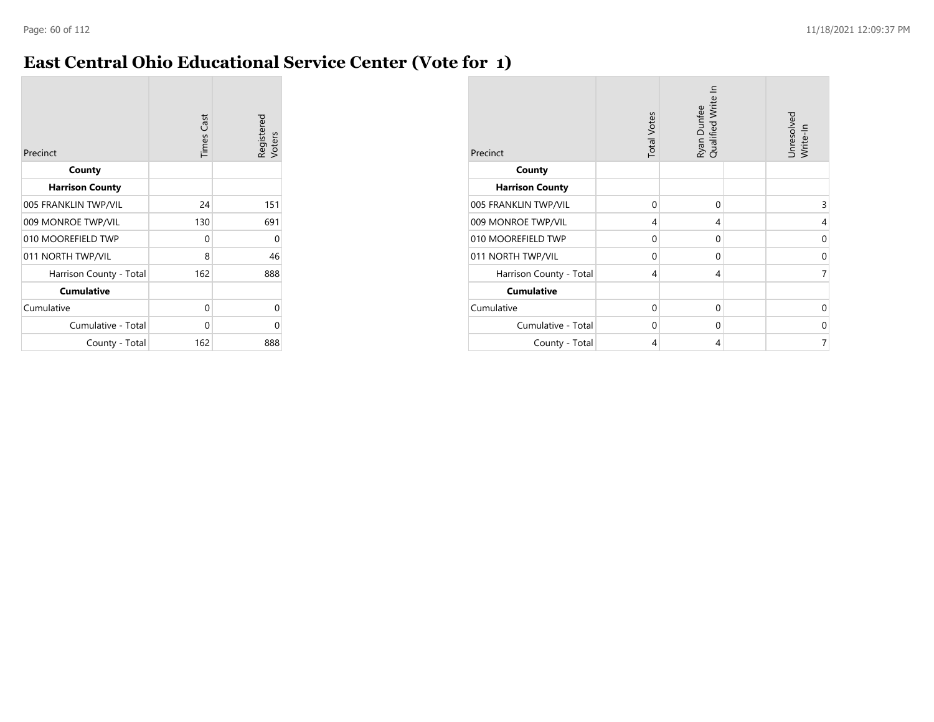### **East Central Ohio Educational Service Center (Vote for 1)**

| Precinct                | <b>Times Cast</b> | Registered<br>Voters |
|-------------------------|-------------------|----------------------|
| County                  |                   |                      |
| <b>Harrison County</b>  |                   |                      |
| 005 FRANKLIN TWP/VIL    | 24                | 151                  |
| 009 MONROE TWP/VIL      | 130               | 691                  |
| 010 MOOREFIELD TWP      | 0                 | 0                    |
| 011 NORTH TWP/VIL       | 8                 | 46                   |
| Harrison County - Total | 162               | 888                  |
| <b>Cumulative</b>       |                   |                      |
| Cumulative              | 0                 | 0                    |
| Cumulative - Total      | 0                 | ი                    |
| County - Total          | 162               | 888                  |

| Precinct                | <b>Total Votes</b> | Ryan Dunfee<br>Qualified Write In | Unresolved<br>Write-In |
|-------------------------|--------------------|-----------------------------------|------------------------|
| County                  |                    |                                   |                        |
| <b>Harrison County</b>  |                    |                                   |                        |
| 005 FRANKLIN TWP/VIL    | 0                  | 0                                 | 3                      |
| 009 MONROE TWP/VIL      | 4                  | 4                                 | 4                      |
| 010 MOOREFIELD TWP      | 0                  | 0                                 | 0                      |
| 011 NORTH TWP/VIL       | $\Omega$           | 0                                 | 0                      |
| Harrison County - Total | 4                  | 4                                 | 7                      |
| <b>Cumulative</b>       |                    |                                   |                        |
| Cumulative              | $\Omega$           | $\Omega$                          | $\Omega$               |
| Cumulative - Total      | 0                  | 0                                 | 0                      |
| County - Total          | 4                  | 4                                 | 7                      |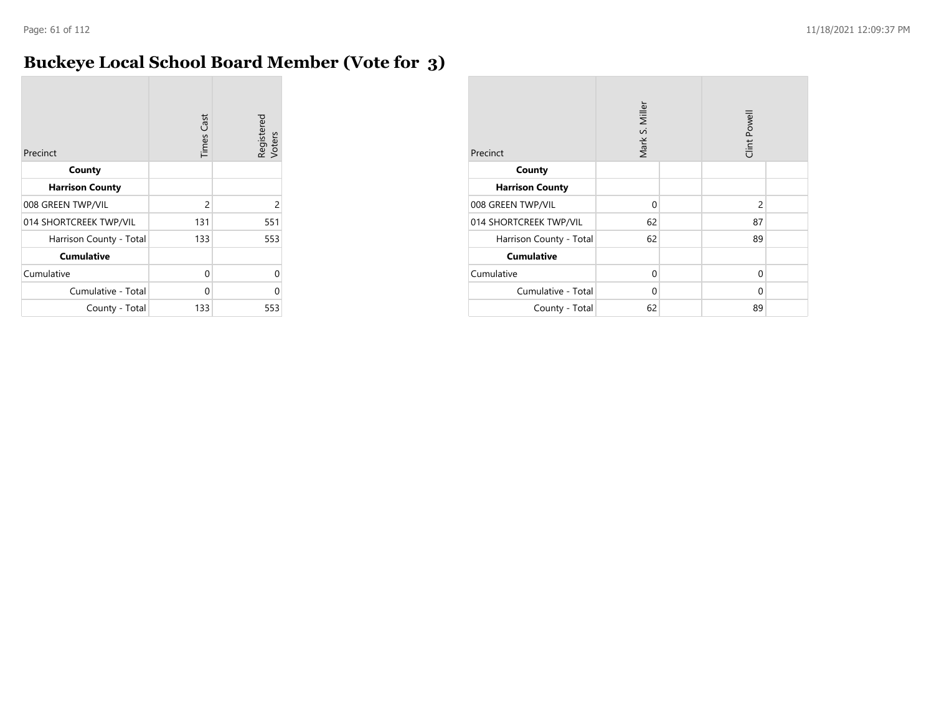### **Buckeye Local School Board Member (Vote for 3)**

| Precinct                | <b>Times</b> Cast | Registered<br>Voters |
|-------------------------|-------------------|----------------------|
| County                  |                   |                      |
| <b>Harrison County</b>  |                   |                      |
| 008 GREEN TWP/VIL       | 2                 | $\overline{c}$       |
| 014 SHORTCREEK TWP/VIL  | 131               | 551                  |
| Harrison County - Total | 133               | 553                  |
| <b>Cumulative</b>       |                   |                      |
| Cumulative              | 0                 | U                    |
| Cumulative - Total      | 0                 | U                    |
| County - Total          | 133               | 553                  |

| Precinct                | Mark S. Miller |  | Clint Powell   |  |
|-------------------------|----------------|--|----------------|--|
| County                  |                |  |                |  |
| <b>Harrison County</b>  |                |  |                |  |
| 008 GREEN TWP/VIL       | $\Omega$       |  | $\overline{2}$ |  |
| 014 SHORTCREEK TWP/VIL  | 62             |  | 87             |  |
| Harrison County - Total | 62             |  | 89             |  |
| <b>Cumulative</b>       |                |  |                |  |
| Cumulative              | $\Omega$       |  | $\Omega$       |  |
| Cumulative - Total      | $\Omega$       |  | 0              |  |
| County - Total          | 62             |  | 89             |  |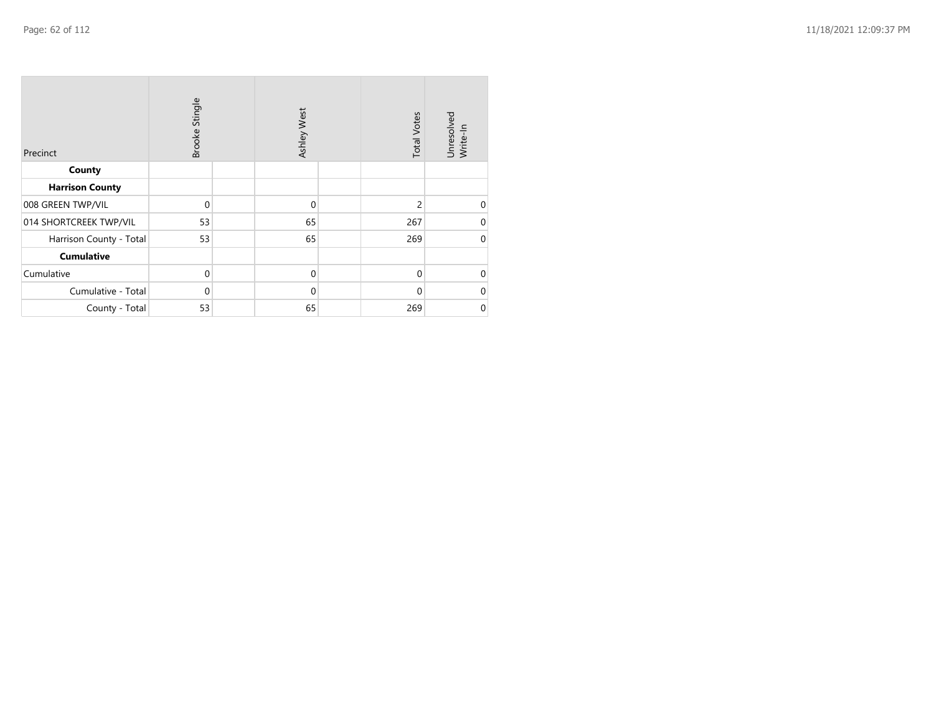| Precinct                | Brooke Stingle | Ashley West | <b>Total Votes</b> | Unresolved<br>Write-In |
|-------------------------|----------------|-------------|--------------------|------------------------|
| County                  |                |             |                    |                        |
| <b>Harrison County</b>  |                |             |                    |                        |
| 008 GREEN TWP/VIL       | $\Omega$       | $\mathbf 0$ | $\overline{2}$     | $\mathbf 0$            |
| 014 SHORTCREEK TWP/VIL  | 53             | 65          | 267                | $\mathbf 0$            |
| Harrison County - Total | 53             | 65          | 269                | $\mathbf 0$            |
| <b>Cumulative</b>       |                |             |                    |                        |
| Cumulative              | $\mathbf 0$    | $\mathbf 0$ | $\mathbf{0}$       | $\mathbf 0$            |
| Cumulative - Total      | $\Omega$       | $\mathbf 0$ | $\Omega$           | $\mathbf 0$            |
| County - Total          | 53             | 65          | 269                | $\mathbf 0$            |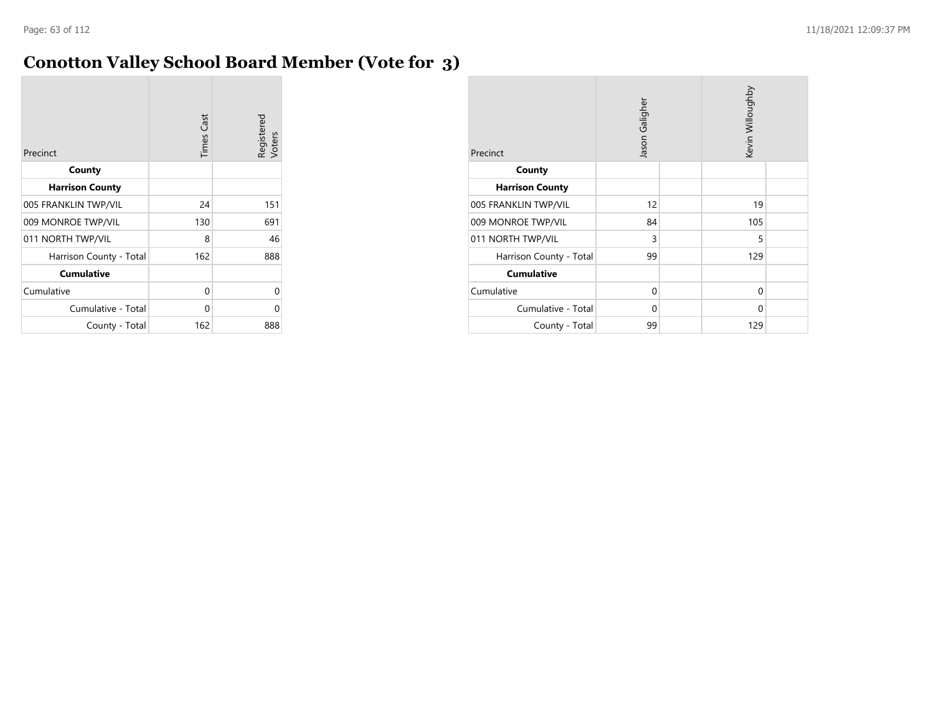### **Conotton Valley School Board Member (Vote for 3)**

| Precinct                | <b>Times Cast</b> | Registered<br>Voters |
|-------------------------|-------------------|----------------------|
| County                  |                   |                      |
| <b>Harrison County</b>  |                   |                      |
| 005 FRANKLIN TWP/VIL    | 24                | 151                  |
| 009 MONROE TWP/VIL      | 130               | 691                  |
| 011 NORTH TWP/VIL       | 8                 | 46                   |
| Harrison County - Total | 162               | 888                  |
| <b>Cumulative</b>       |                   |                      |
| Cumulative              | 0                 | U                    |
| Cumulative - Total      | 0                 | ⋂                    |
| County - Total          | 162               | 888                  |

| Precinct                | Jason Galigher |  | Kevin Willoughby |  |
|-------------------------|----------------|--|------------------|--|
| County                  |                |  |                  |  |
| <b>Harrison County</b>  |                |  |                  |  |
| 005 FRANKLIN TWP/VIL    | 12             |  | 19               |  |
| 009 MONROE TWP/VIL      | 84             |  | 105              |  |
| 011 NORTH TWP/VIL       | 3              |  | 5                |  |
| Harrison County - Total | 99             |  | 129              |  |
| <b>Cumulative</b>       |                |  |                  |  |
| Cumulative              | $\Omega$       |  | 0                |  |
| Cumulative - Total      | 0              |  | 0                |  |
| County - Total          | 99             |  | 129              |  |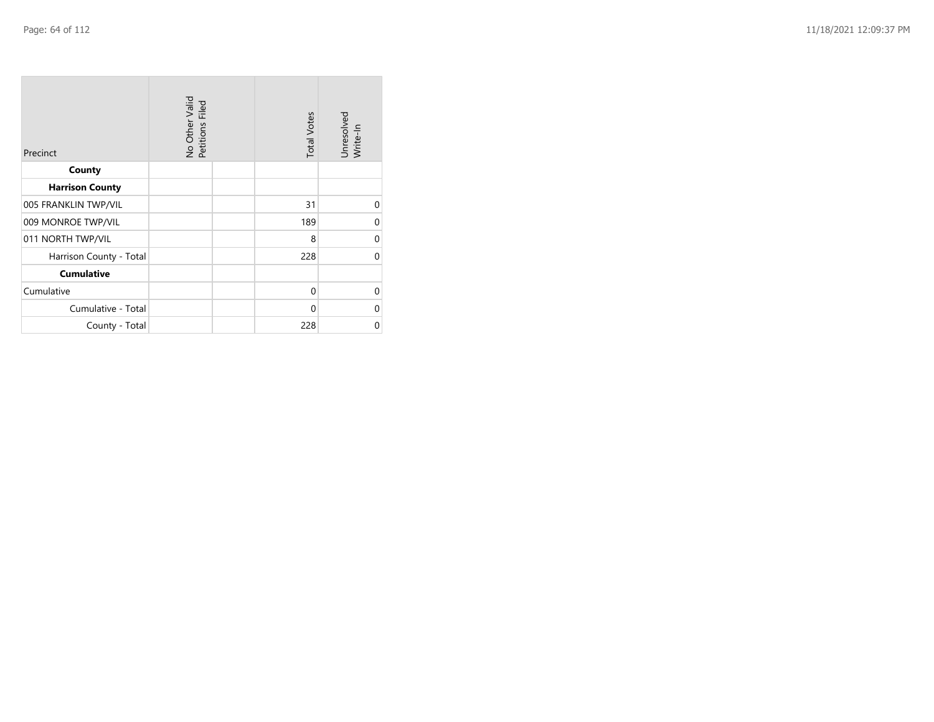| Precinct                | No Other Valid<br>Petitions Filed | <b>Total Votes</b> | Unresolved<br>Write-In |
|-------------------------|-----------------------------------|--------------------|------------------------|
| County                  |                                   |                    |                        |
| <b>Harrison County</b>  |                                   |                    |                        |
| 005 FRANKLIN TWP/VIL    |                                   | 31                 | 0                      |
| 009 MONROE TWP/VIL      |                                   | 189                | $\Omega$               |
| 011 NORTH TWP/VIL       |                                   | 8                  | 0                      |
| Harrison County - Total |                                   | 228                | $\Omega$               |
| <b>Cumulative</b>       |                                   |                    |                        |
| Cumulative              |                                   | $\Omega$           | $\Omega$               |
| Cumulative - Total      |                                   | $\Omega$           | 0                      |
| County - Total          |                                   | 228                | 0                      |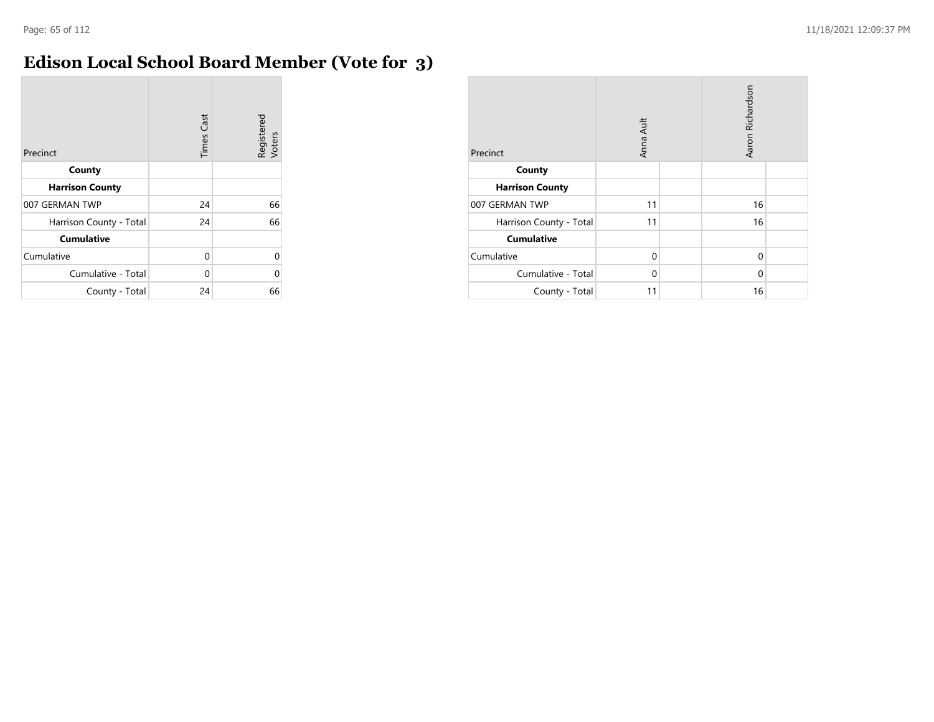$\mathcal{L}_{\mathcal{A}}$ 

### **Edison Local School Board Member (Vote for 3)**

| Precinct                | <b>Times Cast</b> | Registered<br>Voters |
|-------------------------|-------------------|----------------------|
| County                  |                   |                      |
| <b>Harrison County</b>  |                   |                      |
| 007 GERMAN TWP          | 24                | 66                   |
| Harrison County - Total | 24                | 66                   |
| <b>Cumulative</b>       |                   |                      |
| Cumulative              | 0                 | U                    |
| Cumulative - Total      | 0                 | Λ                    |
| County - Total          | 24                | 66                   |

| Precinct                | Anna Ault |  | Aaron Richardson |  |
|-------------------------|-----------|--|------------------|--|
| County                  |           |  |                  |  |
| <b>Harrison County</b>  |           |  |                  |  |
| 007 GERMAN TWP          | 11        |  | 16               |  |
| Harrison County - Total | 11        |  | 16               |  |
| <b>Cumulative</b>       |           |  |                  |  |
| Cumulative              | $\Omega$  |  | 0                |  |
| Cumulative - Total      | $\Omega$  |  | $\Omega$         |  |
| County - Total          | 11        |  | 16               |  |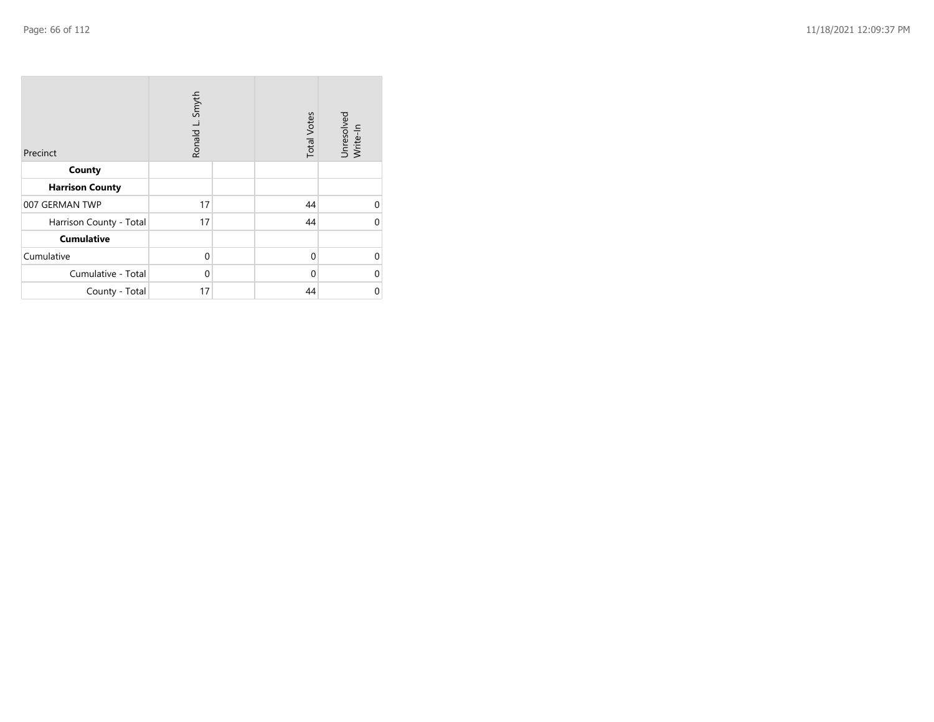| Precinct                | Ronald L. Smyth | <b>Total Votes</b> | Unresolved<br>Write-In |
|-------------------------|-----------------|--------------------|------------------------|
| County                  |                 |                    |                        |
| <b>Harrison County</b>  |                 |                    |                        |
| 007 GERMAN TWP          | 17              | 44                 | $\Omega$               |
| Harrison County - Total | 17              | 44                 | U                      |
| <b>Cumulative</b>       |                 |                    |                        |
| Cumulative              | $\mathbf 0$     | $\mathbf{0}$       | $\Omega$               |
| Cumulative - Total      | $\mathbf 0$     | 0                  | 0                      |
| County - Total          | 17              | 44                 | 0                      |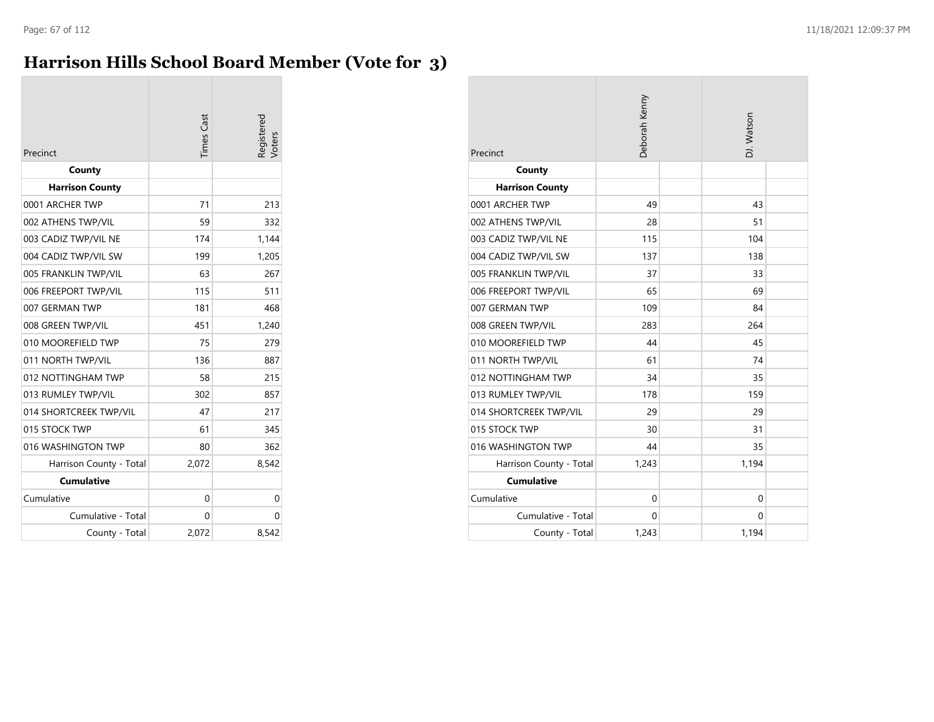### **Harrison Hills School Board Member (Vote for 3)**

| Precinct                | Times Cast | legistered<br>/oters |
|-------------------------|------------|----------------------|
| County                  |            |                      |
| <b>Harrison County</b>  |            |                      |
| 0001 ARCHER TWP         | 71         | 213                  |
| 002 ATHENS TWP/VIL      | 59         | 332                  |
| 003 CADIZ TWP/VIL NE    | 174        | 1,144                |
| 004 CADIZ TWP/VIL SW    | 199        | 1,205                |
| 005 FRANKLIN TWP/VIL    | 63         | 267                  |
| 006 FREEPORT TWP/VIL    | 115        | 511                  |
| 007 GERMAN TWP          | 181        | 468                  |
| 008 GREEN TWP/VIL       | 451        | 1,240                |
| 010 MOOREFIELD TWP      | 75         | 279                  |
| 011 NORTH TWP/VIL       | 136        | 887                  |
| 012 NOTTINGHAM TWP      | 58         | 215                  |
| 013 RUMLEY TWP/VIL      | 302        | 857                  |
| 014 SHORTCREEK TWP/VIL  | 47         | 217                  |
| 015 STOCK TWP           | 61         | 345                  |
| 016 WASHINGTON TWP      | 80         | 362                  |
| Harrison County - Total | 2,072      | 8,542                |
| <b>Cumulative</b>       |            |                      |
| Cumulative              | $\Omega$   | 0                    |
| Cumulative - Total      | 0          | 0                    |
| County - Total          | 2,072      | 8,542                |

| Precinct                | Deborah Kenny | DJ. Watson  |
|-------------------------|---------------|-------------|
| County                  |               |             |
| <b>Harrison County</b>  |               |             |
| 0001 ARCHER TWP         | 49            | 43          |
| 002 ATHENS TWP/VIL      | 28            | 51          |
| 003 CADIZ TWP/VIL NE    | 115           | 104         |
| 004 CADIZ TWP/VIL SW    | 137           | 138         |
| 005 FRANKLIN TWP/VIL    | 37            | 33          |
| 006 FREEPORT TWP/VIL    | 65            | 69          |
| 007 GERMAN TWP          | 109           | 84          |
| 008 GREEN TWP/VIL       | 283           | 264         |
| 010 MOOREFIELD TWP      | 44            | 45          |
| 011 NORTH TWP/VIL       | 61            | 74          |
| 012 NOTTINGHAM TWP      | 34            | 35          |
| 013 RUMLEY TWP/VIL      | 178           | 159         |
| 014 SHORTCREEK TWP/VIL  | 29            | 29          |
| 015 STOCK TWP           | 30            | 31          |
| 016 WASHINGTON TWP      | 44            | 35          |
| Harrison County - Total | 1,243         | 1,194       |
| <b>Cumulative</b>       |               |             |
| Cumulative              | $\mathbf 0$   | $\mathbf 0$ |
| Cumulative - Total      | $\Omega$      | $\Omega$    |
| County - Total          | 1,243         | 1,194       |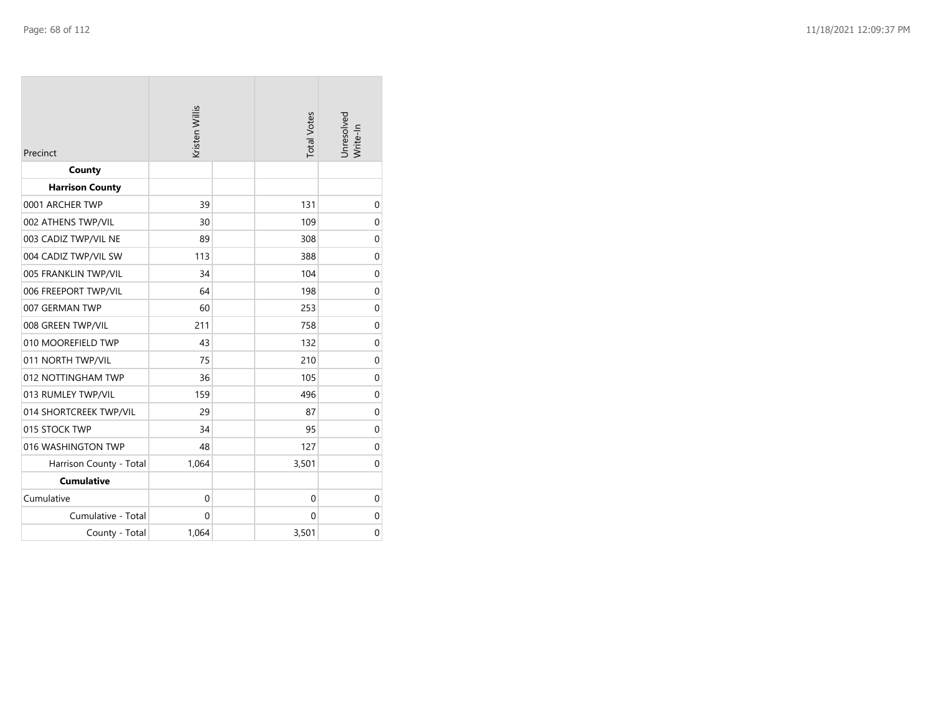| Precinct                | Kristen Willis |  | <b>Total Votes</b> | Unresolved<br>Write-In |  |
|-------------------------|----------------|--|--------------------|------------------------|--|
| County                  |                |  |                    |                        |  |
| <b>Harrison County</b>  |                |  |                    |                        |  |
| 0001 ARCHER TWP         | 39             |  | 131                | $\mathbf 0$            |  |
| 002 ATHENS TWP/VIL      | 30             |  | 109                | $\mathbf 0$            |  |
| 003 CADIZ TWP/VIL NE    | 89             |  | 308                | $\mathbf 0$            |  |
| 004 CADIZ TWP/VIL SW    | 113            |  | 388                | $\mathbf 0$            |  |
| 005 FRANKLIN TWP/VIL    | 34             |  | 104                | $\mathbf 0$            |  |
| 006 FREEPORT TWP/VIL    | 64             |  | 198                | $\mathbf 0$            |  |
| 007 GERMAN TWP          | 60             |  | 253                | $\mathbf 0$            |  |
| 008 GREEN TWP/VIL       | 211            |  | 758                | $\mathbf 0$            |  |
| 010 MOOREFIELD TWP      | 43             |  | 132                | $\mathbf 0$            |  |
| 011 NORTH TWP/VIL       | 75             |  | 210                | $\mathbf 0$            |  |
| 012 NOTTINGHAM TWP      | 36             |  | 105                | $\mathbf 0$            |  |
| 013 RUMLEY TWP/VIL      | 159            |  | 496                | $\mathbf 0$            |  |
| 014 SHORTCREEK TWP/VIL  | 29             |  | 87                 | $\mathbf 0$            |  |
| 015 STOCK TWP           | 34             |  | 95                 | $\mathbf 0$            |  |
| 016 WASHINGTON TWP      | 48             |  | 127                | $\mathbf 0$            |  |
| Harrison County - Total | 1,064          |  | 3,501              | $\mathbf 0$            |  |
| <b>Cumulative</b>       |                |  |                    |                        |  |
| Cumulative              | $\mathbf{0}$   |  | $\mathbf{0}$       | $\mathbf 0$            |  |
| Cumulative - Total      | $\mathbf 0$    |  | 0                  | $\mathbf 0$            |  |
| County - Total          | 1,064          |  | 3,501              | $\mathbf 0$            |  |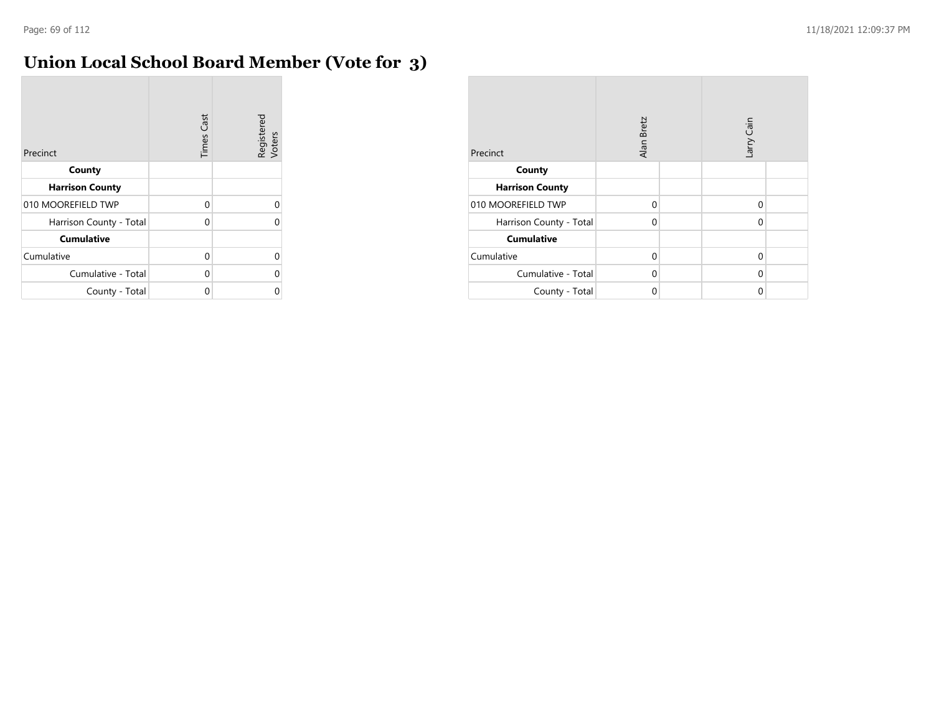m.

## **Union Local School Board Member (Vote for 3)**

| Precinct                | <b>Times Cast</b> | Registered<br>Voters |
|-------------------------|-------------------|----------------------|
| County                  |                   |                      |
| <b>Harrison County</b>  |                   |                      |
| 010 MOOREFIELD TWP      | 0                 | U                    |
| Harrison County - Total | $\Omega$          |                      |
| <b>Cumulative</b>       |                   |                      |
| Cumulative              | 0                 | U                    |
| Cumulative - Total      | $\Omega$          |                      |
| County - Total          | Ω                 |                      |

| Precinct                | Alan Bretz |  | arry Cain |  |
|-------------------------|------------|--|-----------|--|
| County                  |            |  |           |  |
| <b>Harrison County</b>  |            |  |           |  |
| 010 MOOREFIELD TWP      | $\Omega$   |  | $\Omega$  |  |
| Harrison County - Total | $\Omega$   |  | $\Omega$  |  |
| <b>Cumulative</b>       |            |  |           |  |
| Cumulative              | $\Omega$   |  | $\Omega$  |  |
| Cumulative - Total      | $\Omega$   |  | $\Omega$  |  |
| County - Total          | 0          |  | $\Omega$  |  |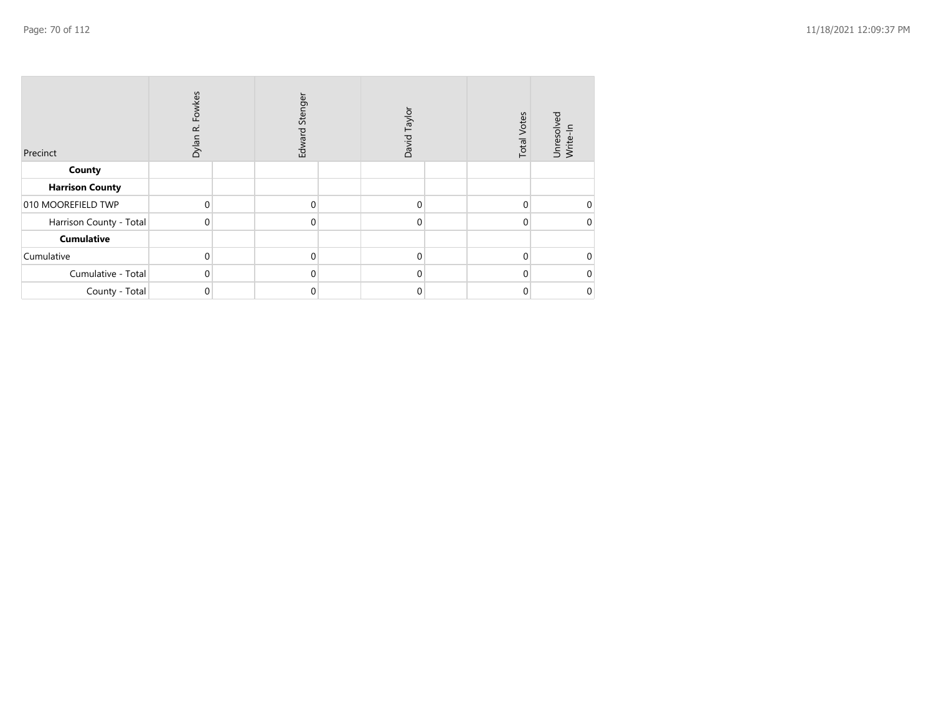| Precinct                | Dylan R. Fowkes | Edward Stenger | David Taylor | <b>Total Votes</b> | Unresolved<br>Write-In |
|-------------------------|-----------------|----------------|--------------|--------------------|------------------------|
| County                  |                 |                |              |                    |                        |
| <b>Harrison County</b>  |                 |                |              |                    |                        |
| 010 MOOREFIELD TWP      | 0               | $\Omega$       | $\mathbf{0}$ | 0                  |                        |
| Harrison County - Total | 0               | $\overline{0}$ | $\mathbf{0}$ | 0                  |                        |
| <b>Cumulative</b>       |                 |                |              |                    |                        |
| Cumulative              | $\Omega$        | $\Omega$       | $\Omega$     | 0                  |                        |
| Cumulative - Total      | 0               | $\Omega$       | $\Omega$     | U                  |                        |
| County - Total          | 0               | 0              | 0            |                    |                        |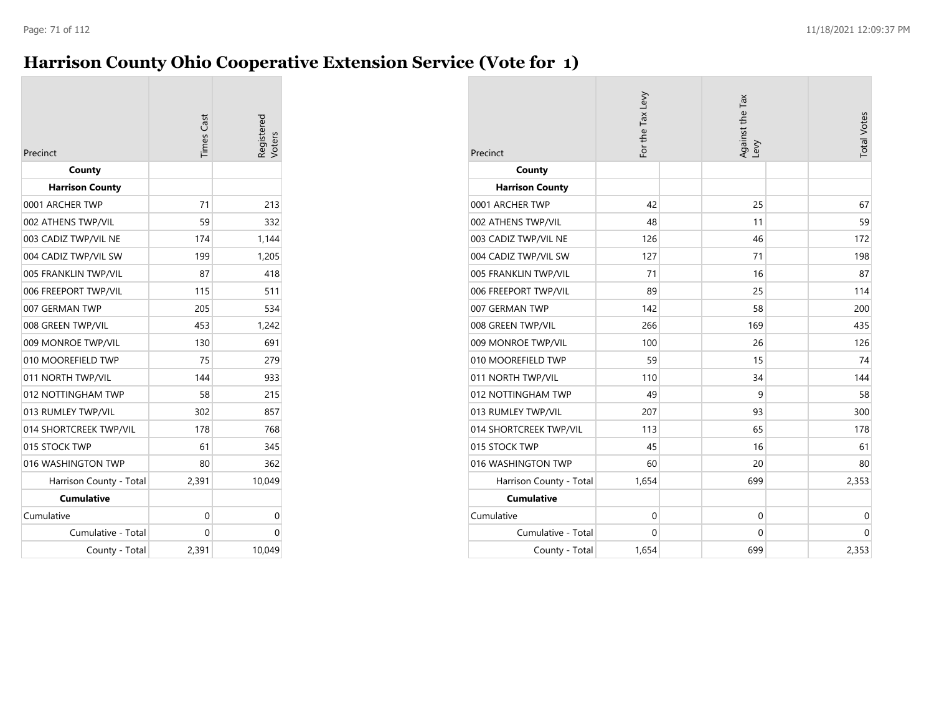### **Harrison County Ohio Cooperative Extension Service (Vote for 1)**

| Precinct                | <b>Times</b> Cast | legisterec<br>/oters |
|-------------------------|-------------------|----------------------|
| County                  |                   |                      |
| <b>Harrison County</b>  |                   |                      |
| 0001 ARCHER TWP         | 71                | 213                  |
| 002 ATHENS TWP/VIL      | 59                | 332                  |
| 003 CADIZ TWP/VIL NE    | 174               | 1,144                |
| 004 CADIZ TWP/VIL SW    | 199               | 1,205                |
| 005 FRANKLIN TWP/VIL    | 87                | 418                  |
| 006 FREEPORT TWP/VIL    | 115               | 511                  |
| 007 GERMAN TWP          | 205               | 534                  |
| 008 GREEN TWP/VIL       | 453               | 1,242                |
| 009 MONROE TWP/VIL      | 130               | 691                  |
| 010 MOOREFIELD TWP      | 75                | 279                  |
| 011 NORTH TWP/VIL       | 144               | 933                  |
| 012 NOTTINGHAM TWP      | 58                | 215                  |
| 013 RUMLEY TWP/VIL      | 302               | 857                  |
| 014 SHORTCREEK TWP/VIL  | 178               | 768                  |
| 015 STOCK TWP           | 61                | 345                  |
| 016 WASHINGTON TWP      | 80                | 362                  |
| Harrison County - Total | 2,391             | 10,049               |
| <b>Cumulative</b>       |                   |                      |
| Cumulative              | 0                 | 0                    |
| Cumulative - Total      | 0                 | 0                    |
| County - Total          | 2,391             | 10,049               |

| Precinct                | For the Tax Levy |  | Against the Tax<br>Levy |  | <b>Total Votes</b> |
|-------------------------|------------------|--|-------------------------|--|--------------------|
| County                  |                  |  |                         |  |                    |
| <b>Harrison County</b>  |                  |  |                         |  |                    |
| 0001 ARCHER TWP         | 42               |  | 25                      |  | 67                 |
| 002 ATHENS TWP/VIL      | 48               |  | 11                      |  | 59                 |
| 003 CADIZ TWP/VIL NE    | 126              |  | 46                      |  | 172                |
| 004 CADIZ TWP/VIL SW    | 127              |  | 71                      |  | 198                |
| 005 FRANKLIN TWP/VIL    | 71               |  | 16                      |  | 87                 |
| 006 FREEPORT TWP/VIL    | 89               |  | 25                      |  | 114                |
| 007 GERMAN TWP          | 142              |  | 58                      |  | 200                |
| 008 GREEN TWP/VIL       | 266              |  | 169                     |  | 435                |
| 009 MONROE TWP/VIL      | 100              |  | 26                      |  | 126                |
| 010 MOOREFIELD TWP      | 59               |  | 15                      |  | 74                 |
| 011 NORTH TWP/VIL       | 110              |  | 34                      |  | 144                |
| 012 NOTTINGHAM TWP      | 49               |  | 9                       |  | 58                 |
| 013 RUMLEY TWP/VIL      | 207              |  | 93                      |  | 300                |
| 014 SHORTCREEK TWP/VIL  | 113              |  | 65                      |  | 178                |
| 015 STOCK TWP           | 45               |  | 16                      |  | 61                 |
| 016 WASHINGTON TWP      | 60               |  | 20                      |  | 80                 |
| Harrison County - Total | 1,654            |  | 699                     |  | 2,353              |
| <b>Cumulative</b>       |                  |  |                         |  |                    |
| Cumulative              | $\mathbf 0$      |  | $\mathbf 0$             |  | $\mathbf 0$        |
| Cumulative - Total      | $\mathbf 0$      |  | $\mathbf 0$             |  | $\mathbf 0$        |
| County - Total          | 1,654            |  | 699                     |  | 2,353              |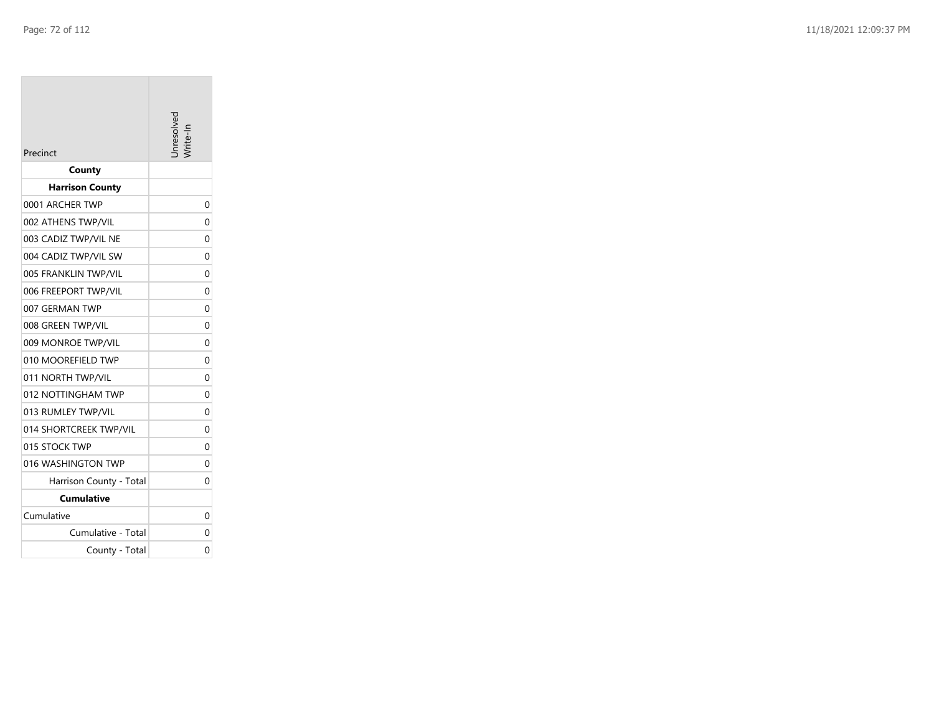| Precinct                | nresolvec |
|-------------------------|-----------|
| County                  |           |
| <b>Harrison County</b>  |           |
| 0001 ARCHER TWP         | 0         |
| 002 ATHENS TWP/VIL      | 0         |
| 003 CADIZ TWP/VIL NE    | 0         |
| 004 CADIZ TWP/VIL SW    | 0         |
| 005 FRANKLIN TWP/VIL    | 0         |
| 006 FREEPORT TWP/VIL    | 0         |
| 007 GERMAN TWP          | 0         |
| 008 GREEN TWP/VIL       | 0         |
| 009 MONROE TWP/VIL      | 0         |
| 010 MOOREFIELD TWP      | 0         |
| 011 NORTH TWP/VIL       | 0         |
| 012 NOTTINGHAM TWP      | 0         |
| 013 RUMLEY TWP/VIL      | 0         |
| 014 SHORTCREEK TWP/VIL  | 0         |
| 015 STOCK TWP           | 0         |
| 016 WASHINGTON TWP      | 0         |
| Harrison County - Total | 0         |
| <b>Cumulative</b>       |           |
| Cumulative              | 0         |
| Cumulative - Total      | 0         |
| County - Total          | 0         |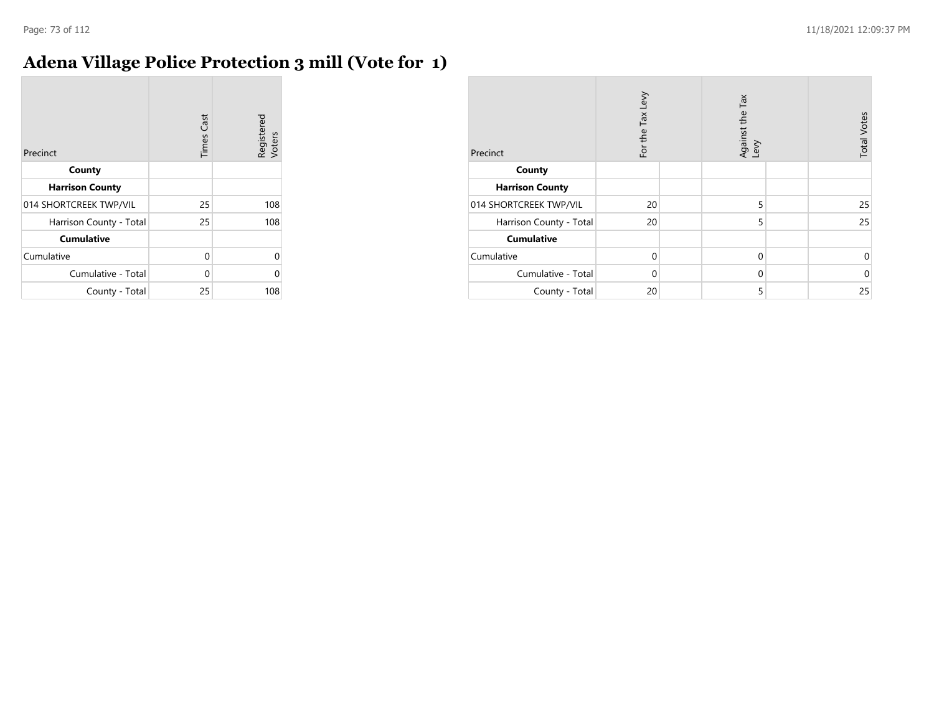## **Adena Village Police Protection 3 mill (Vote for 1)**

| Precinct                | <b>Times Cast</b> | Registered<br>Voters |
|-------------------------|-------------------|----------------------|
| County                  |                   |                      |
| <b>Harrison County</b>  |                   |                      |
| 014 SHORTCREEK TWP/VIL  | 25                | 108                  |
| Harrison County - Total | 25                | 108                  |
| <b>Cumulative</b>       |                   |                      |
| Cumulative              | 0                 | U                    |
| Cumulative - Total      | 0                 |                      |
| County - Total          | 25                | 108                  |

| Precinct                | For the Tax Levy |  | Against the Tax<br>Levy |  | <b>Total Votes</b> |
|-------------------------|------------------|--|-------------------------|--|--------------------|
| County                  |                  |  |                         |  |                    |
| <b>Harrison County</b>  |                  |  |                         |  |                    |
| 014 SHORTCREEK TWP/VIL  | 20               |  | 5                       |  | 25                 |
| Harrison County - Total | 20               |  | 5                       |  | 25                 |
| <b>Cumulative</b>       |                  |  |                         |  |                    |
| Cumulative              | $\Omega$         |  | $\mathbf 0$             |  | 0                  |
| Cumulative - Total      | $\Omega$         |  | $\mathbf 0$             |  | $\mathbf 0$        |
| County - Total          | 20               |  | 5                       |  | 25                 |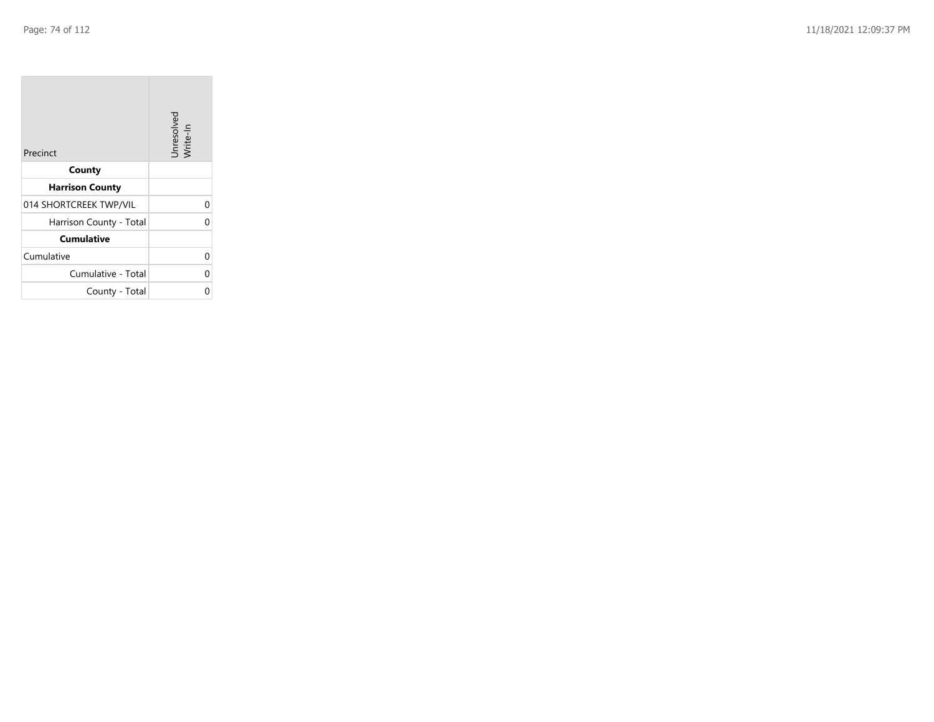| Precinct                | Unresolved<br>Write-In |
|-------------------------|------------------------|
| County                  |                        |
| <b>Harrison County</b>  |                        |
| 014 SHORTCREEK TWP/VIL  | 0                      |
| Harrison County - Total | በ                      |
| <b>Cumulative</b>       |                        |
| Cumulative              | 0                      |
| Cumulative - Total      | 0                      |
| County - Total          |                        |

the property of the con-

 $\overline{\phantom{a}}$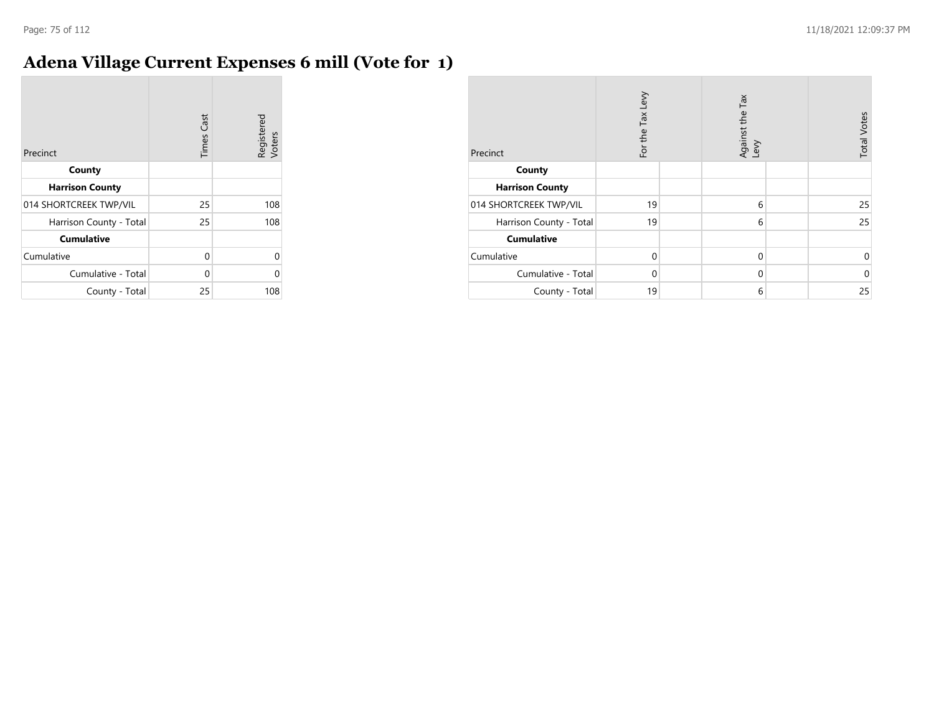## **Adena Village Current Expenses 6 mill (Vote for 1)**

| Precinct                | <b>Times Cast</b> | Registered<br>Voters |
|-------------------------|-------------------|----------------------|
| County                  |                   |                      |
| <b>Harrison County</b>  |                   |                      |
| 014 SHORTCREEK TWP/VIL  | 25                | 108                  |
| Harrison County - Total | 25                | 108                  |
| <b>Cumulative</b>       |                   |                      |
| Cumulative              | 0                 |                      |
| Cumulative - Total      | 0                 |                      |
| County - Total          | 25                | 108                  |

| Precinct                | For the Tax Levy | Against the Tax<br>Levy | <b>Total Votes</b> |
|-------------------------|------------------|-------------------------|--------------------|
| County                  |                  |                         |                    |
| <b>Harrison County</b>  |                  |                         |                    |
| 014 SHORTCREEK TWP/VIL  | 19               | 6                       | 25                 |
| Harrison County - Total | 19               | 6                       | 25                 |
| <b>Cumulative</b>       |                  |                         |                    |
| Cumulative              | $\Omega$         | $\mathbf 0$             | 0                  |
| Cumulative - Total      | $\Omega$         | $\mathbf 0$             | $\mathbf 0$        |
| County - Total          | 19               | 6                       | 25                 |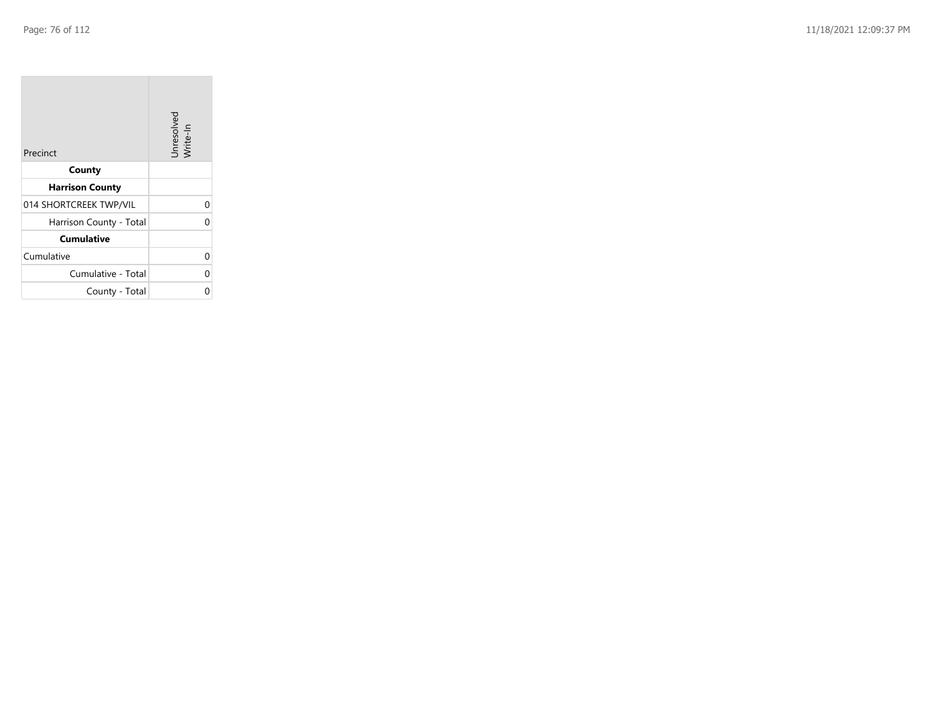**College** 

| Precinct                | Unresolved<br>Write-In |
|-------------------------|------------------------|
| County                  |                        |
| <b>Harrison County</b>  |                        |
| 014 SHORTCREEK TWP/VIL  | 0                      |
| Harrison County - Total | 0                      |
| <b>Cumulative</b>       |                        |
| Cumulative              | 0                      |
| Cumulative - Total      | 0                      |
| County - Total          | ი                      |

the control of the control of the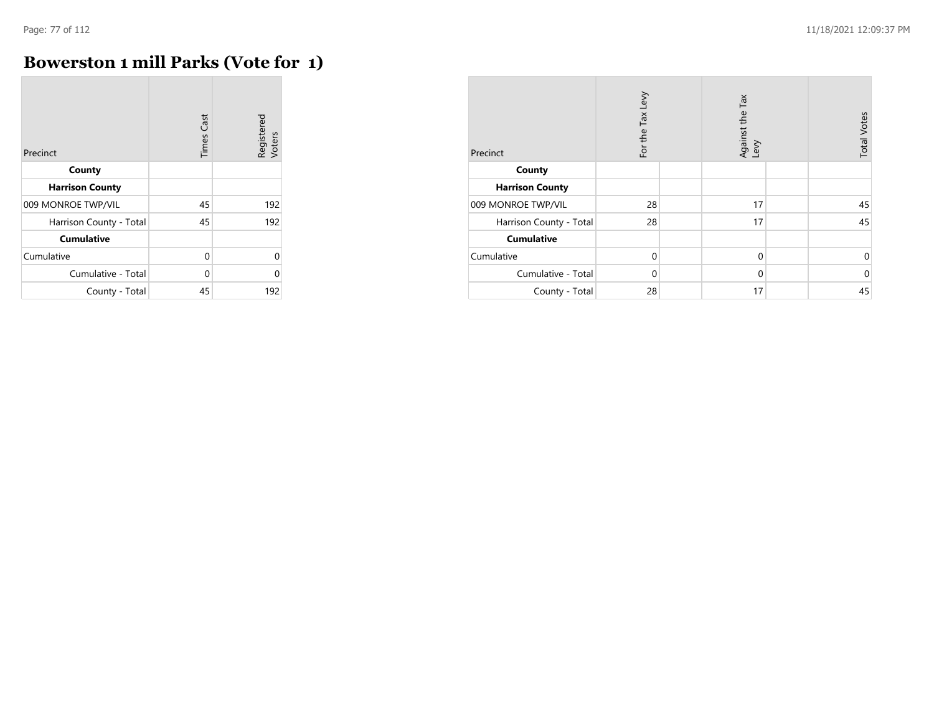## **Bowerston 1 mill Parks (Vote for 1)**

| Precinct                | <b>Times Cast</b> | Registered<br>Voters |
|-------------------------|-------------------|----------------------|
| County                  |                   |                      |
| <b>Harrison County</b>  |                   |                      |
| 009 MONROE TWP/VIL      | 45                | 192                  |
| Harrison County - Total | 45                | 192                  |
| <b>Cumulative</b>       |                   |                      |
| Cumulative              | $\Omega$          | $\Omega$             |
| Cumulative - Total      | $\Omega$          | $\Omega$             |
| County - Total          | 45                | 192                  |

| Precinct                | For the Tax Levy | Against the Tax<br>Levy | <b>Total Votes</b> |
|-------------------------|------------------|-------------------------|--------------------|
| County                  |                  |                         |                    |
| <b>Harrison County</b>  |                  |                         |                    |
| 009 MONROE TWP/VIL      | 28               | 17                      | 45                 |
| Harrison County - Total | 28               | 17                      | 45                 |
| <b>Cumulative</b>       |                  |                         |                    |
| Cumulative              | 0                | $\mathbf 0$             | 0                  |
| Cumulative - Total      | 0                | $\mathbf 0$             | $\mathbf 0$        |
| County - Total          | 28               | 17                      | 45                 |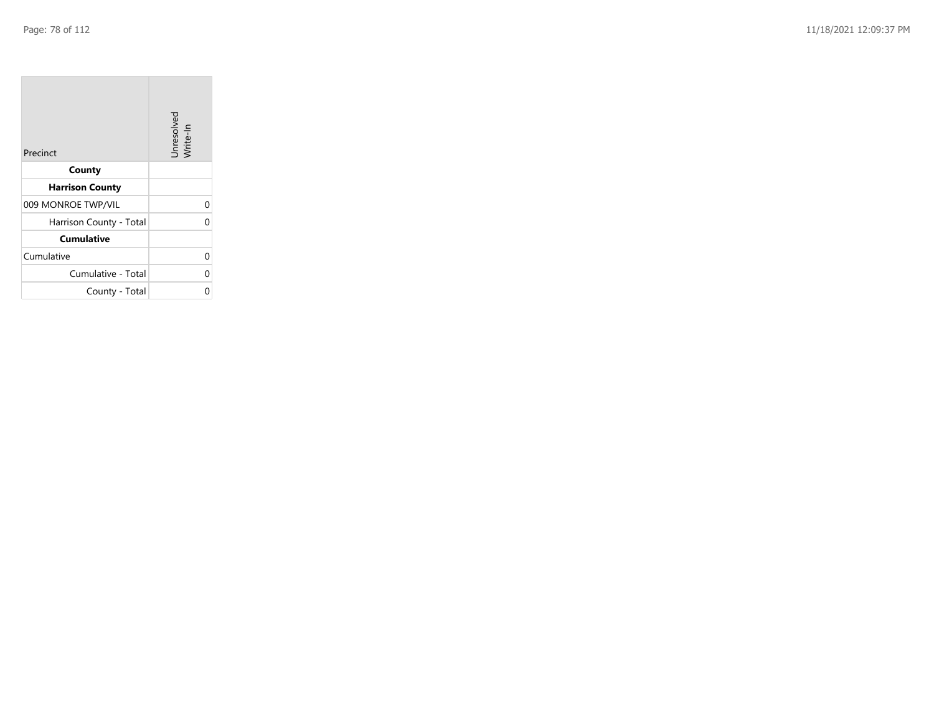**College** 

| Precinct                | Unresolved<br>Write-In |
|-------------------------|------------------------|
| County                  |                        |
| <b>Harrison County</b>  |                        |
| 009 MONROE TWP/VIL      | 0                      |
| Harrison County - Total | $\Omega$               |
| <b>Cumulative</b>       |                        |
| Cumulative              | 0                      |
| Cumulative - Total      | 0                      |
| County - Total          | 0                      |

the control of the control of the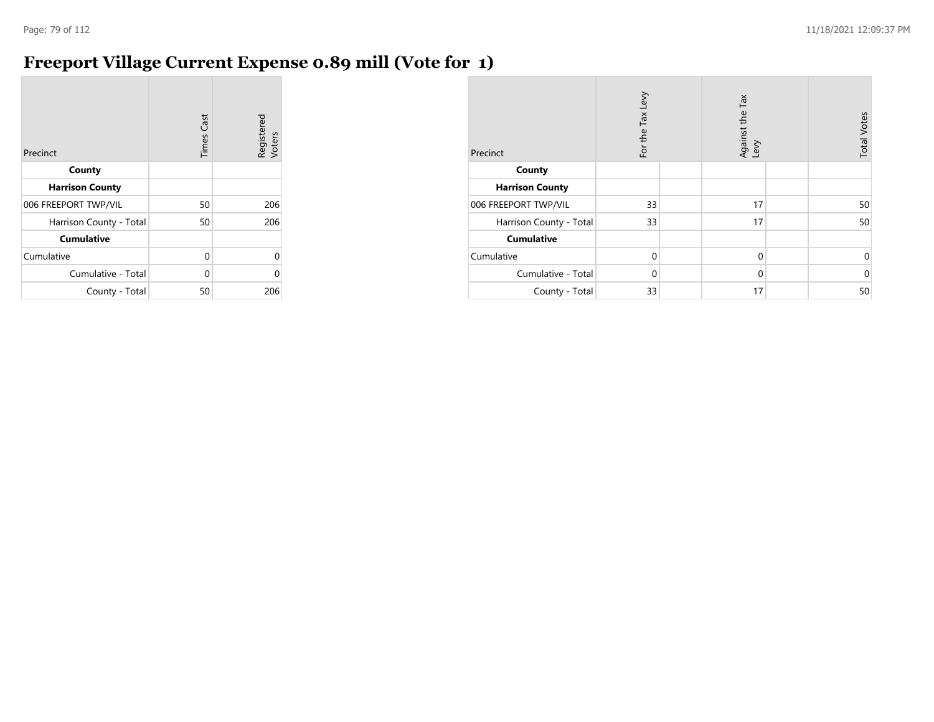## **Freeport Village Current Expense 0.89 mill (Vote for 1)**

| Precinct                | <b>Times Cast</b> | Registered<br>Voters |
|-------------------------|-------------------|----------------------|
| County                  |                   |                      |
| <b>Harrison County</b>  |                   |                      |
| 006 FREEPORT TWP/VIL    | 50                | 206                  |
| Harrison County - Total | 50                | 206                  |
| <b>Cumulative</b>       |                   |                      |
| Cumulative              | 0                 | 0                    |
| Cumulative - Total      | $\Omega$          | U                    |
| County - Total          | 50                | 206                  |

| Precinct                | For the Tax Levy | Against the Tax<br>Levy | <b>Total Votes</b> |
|-------------------------|------------------|-------------------------|--------------------|
| County                  |                  |                         |                    |
| <b>Harrison County</b>  |                  |                         |                    |
| 006 FREEPORT TWP/VIL    | 33               | 17                      | 50                 |
| Harrison County - Total | 33               | 17                      | 50                 |
| <b>Cumulative</b>       |                  |                         |                    |
| Cumulative              | $\Omega$         | $\mathbf 0$             | 0                  |
| Cumulative - Total      | $\Omega$         | $\mathbf 0$             | $\mathbf 0$        |
| County - Total          | 33               | 17                      | 50                 |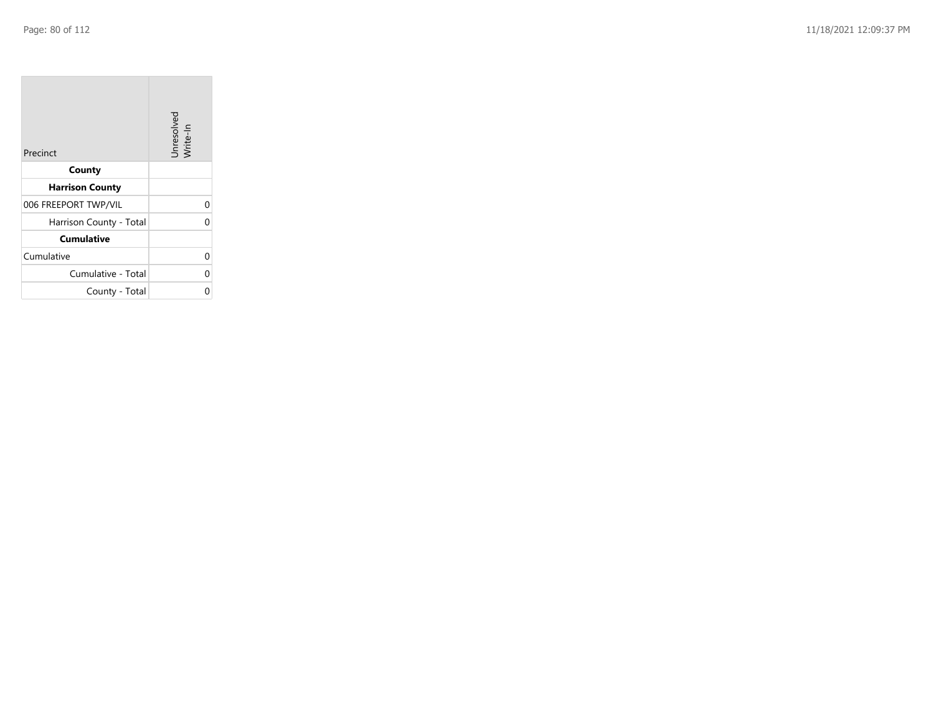| Precinct                | Unresolved<br>Write-In |
|-------------------------|------------------------|
| County                  |                        |
| <b>Harrison County</b>  |                        |
| 006 FREEPORT TWP/VIL    | 0                      |
| Harrison County - Total | 0                      |
| <b>Cumulative</b>       |                        |
| Cumulative              | 0                      |
| Cumulative - Total      | 0                      |
| County - Total          | ი                      |

the property of the con-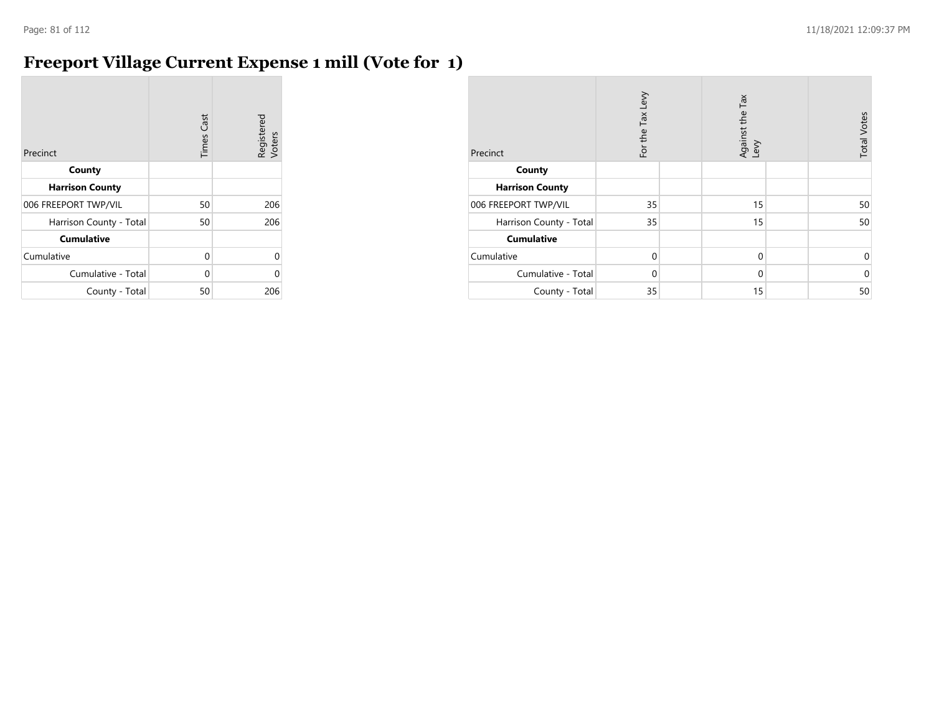## **Freeport Village Current Expense 1 mill (Vote for 1)**

| Precinct                | <b>Times Cast</b> | Registered<br>Voters |
|-------------------------|-------------------|----------------------|
| County                  |                   |                      |
| <b>Harrison County</b>  |                   |                      |
| 006 FREEPORT TWP/VIL    | 50                | 206                  |
| Harrison County - Total | 50                | 206                  |
| <b>Cumulative</b>       |                   |                      |
| Cumulative              | 0                 | n                    |
| Cumulative - Total      | 0                 |                      |
| County - Total          | 50                | 206                  |

| Precinct                | For the Tax Levy | Tax<br>Against the T<br>Levy | <b>Total Votes</b> |
|-------------------------|------------------|------------------------------|--------------------|
| County                  |                  |                              |                    |
| <b>Harrison County</b>  |                  |                              |                    |
| 006 FREEPORT TWP/VIL    | 35               | 15                           | 50                 |
| Harrison County - Total | 35               | 15                           | 50                 |
| <b>Cumulative</b>       |                  |                              |                    |
| Cumulative              | $\Omega$         | $\mathbf 0$                  | $\mathbf 0$        |
| Cumulative - Total      | $\Omega$         | $\mathbf 0$                  | $\mathbf 0$        |
| County - Total          | 35               | 15                           | 50                 |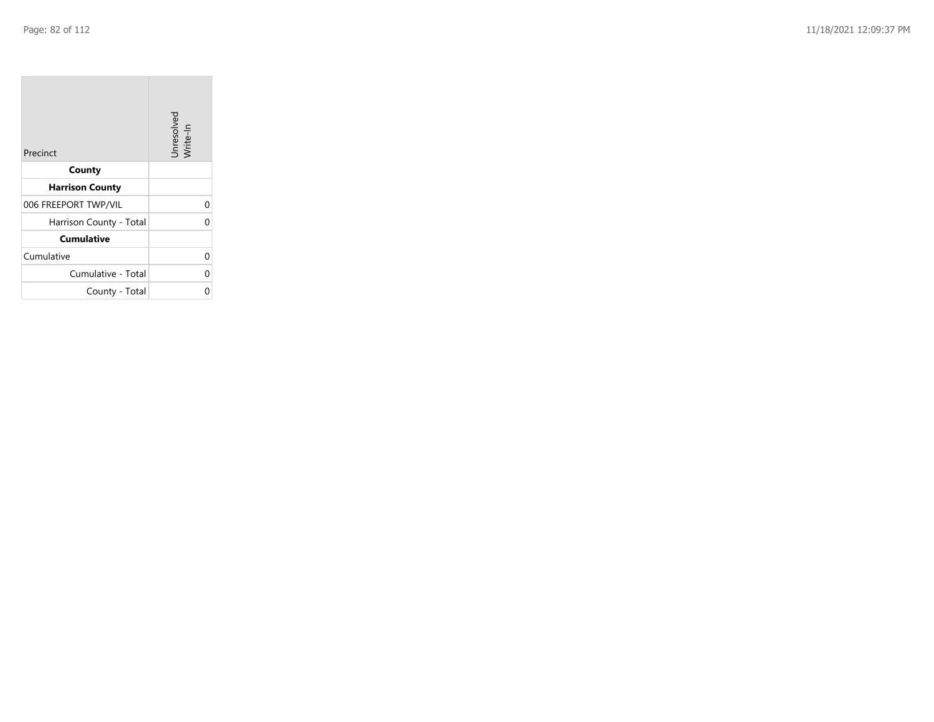| Precinct                | Unresolved<br>Write-In |
|-------------------------|------------------------|
| County                  |                        |
| <b>Harrison County</b>  |                        |
| 006 FREEPORT TWP/VIL    | 0                      |
| Harrison County - Total | 0                      |
| <b>Cumulative</b>       |                        |
| Cumulative              | 0                      |
| Cumulative - Total      | 0                      |
| County - Total          | ი                      |

the control of the control of

 $\mathcal{L}(\mathcal{A})$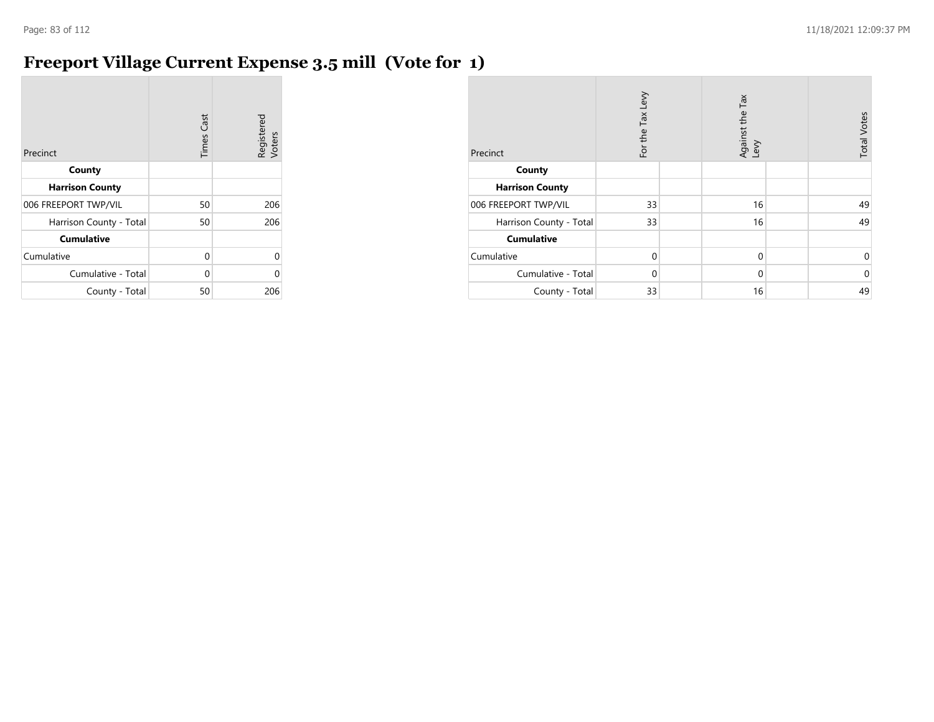## **Freeport Village Current Expense 3.5 mill (Vote for 1)**

| Precinct                | <b>Times Cast</b> | Registered<br>Voters |
|-------------------------|-------------------|----------------------|
| County                  |                   |                      |
| <b>Harrison County</b>  |                   |                      |
| 006 FREEPORT TWP/VIL    | 50                | 206                  |
| Harrison County - Total | 50                | 206                  |
| <b>Cumulative</b>       |                   |                      |
| Cumulative              | 0                 | U                    |
| Cumulative - Total      | 0                 |                      |
| County - Total          | 50                | 206                  |

| Precinct                | For the Tax Levy | Tax<br>Against the T<br>Levy | <b>Total Votes</b> |
|-------------------------|------------------|------------------------------|--------------------|
| County                  |                  |                              |                    |
| <b>Harrison County</b>  |                  |                              |                    |
| 006 FREEPORT TWP/VIL    | 33               | 16                           | 49                 |
| Harrison County - Total | 33               | 16                           | 49                 |
| <b>Cumulative</b>       |                  |                              |                    |
| Cumulative              | $\Omega$         | $\mathbf 0$                  | $\mathbf 0$        |
| Cumulative - Total      | $\Omega$         | $\mathbf 0$                  | $\mathbf 0$        |
| County - Total          | 33               | 16                           | 49                 |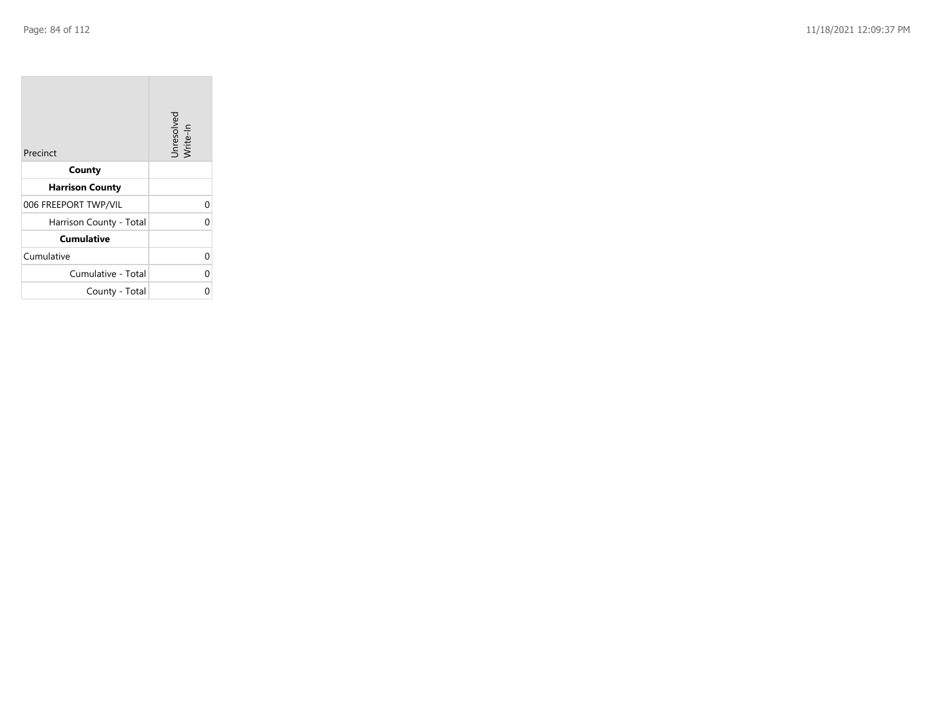**COL** 

| Precinct                | Unresolved<br>Write-In |
|-------------------------|------------------------|
| County                  |                        |
| <b>Harrison County</b>  |                        |
| 006 FREEPORT TWP/VIL    | 0                      |
| Harrison County - Total | U                      |
| <b>Cumulative</b>       |                        |
| Cumulative              | 0                      |
| Cumulative - Total      | 0                      |
| County - Total          |                        |

the control of the control of the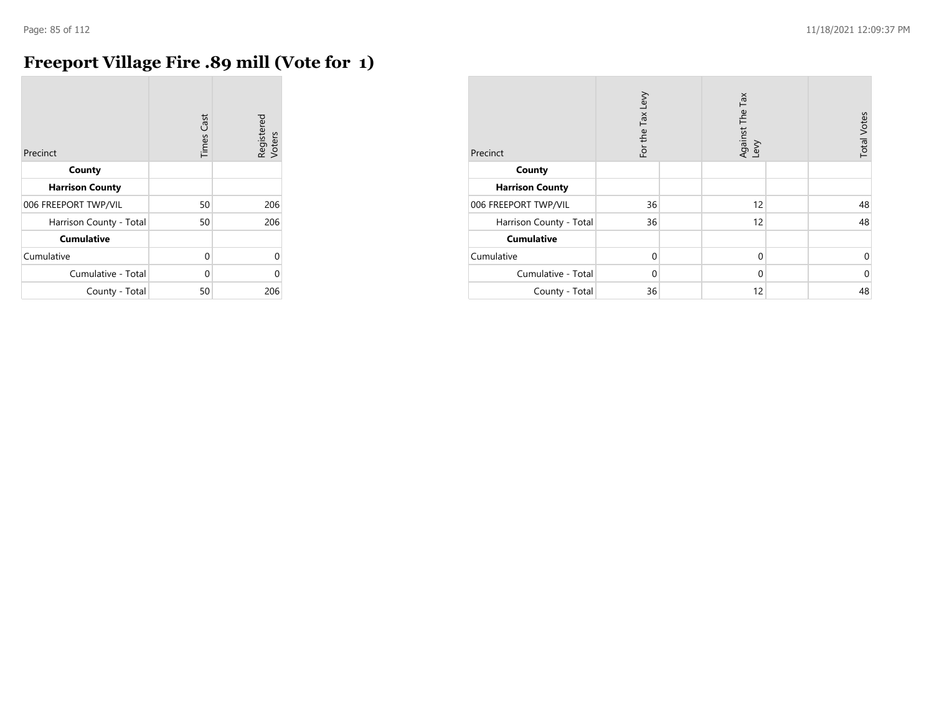## **Freeport Village Fire .89 mill (Vote for 1)**

| Precinct                | <b>Times Cast</b> | Registered<br>Voters |
|-------------------------|-------------------|----------------------|
| County                  |                   |                      |
| <b>Harrison County</b>  |                   |                      |
| 006 FREEPORT TWP/VIL    | 50                | 206                  |
| Harrison County - Total | 50                | 206                  |
| <b>Cumulative</b>       |                   |                      |
| Cumulative              | $\Omega$          | 0                    |
| Cumulative - Total      | U                 | U                    |
| County - Total          | 50                | 206                  |

| Precinct                | For the Tax Levy | Against The Tax<br>Levy | <b>Total Votes</b> |
|-------------------------|------------------|-------------------------|--------------------|
| County                  |                  |                         |                    |
| <b>Harrison County</b>  |                  |                         |                    |
| 006 FREEPORT TWP/VIL    | 36               | 12                      | 48                 |
| Harrison County - Total | 36               | 12                      | 48                 |
| <b>Cumulative</b>       |                  |                         |                    |
| Cumulative              | $\mathbf 0$      | $\mathbf 0$             | 0                  |
| Cumulative - Total      | $\Omega$         | $\Omega$                | $\mathbf 0$        |
| County - Total          | 36               | 12                      | 48                 |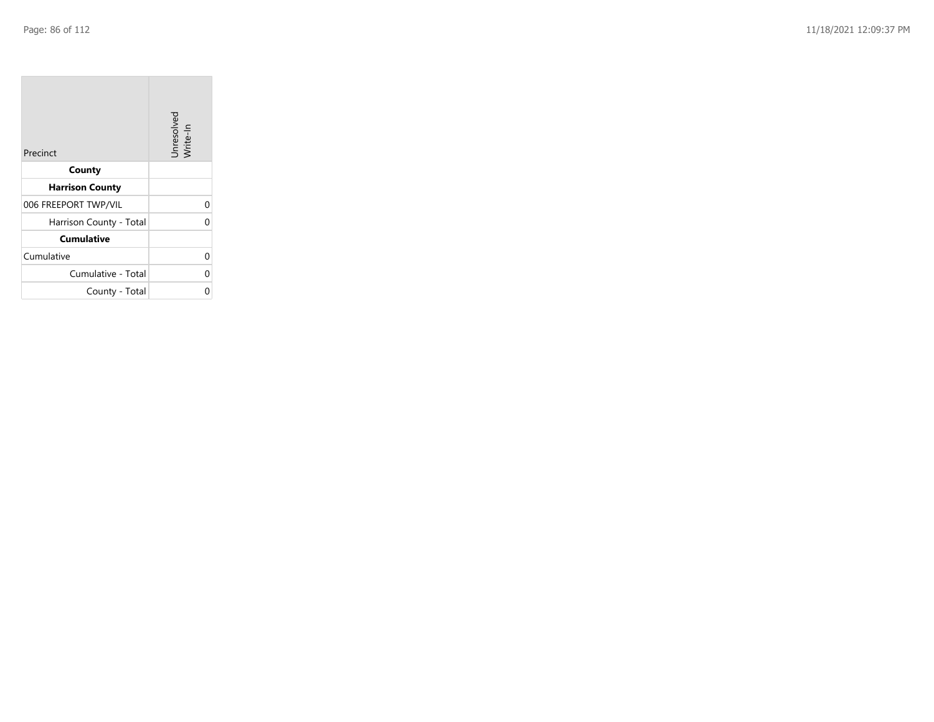| Precinct                | Unresolved<br>Write-In |
|-------------------------|------------------------|
| County                  |                        |
| <b>Harrison County</b>  |                        |
| 006 FREEPORT TWP/VIL    | 0                      |
| Harrison County - Total | 0                      |
| <b>Cumulative</b>       |                        |
| Cumulative              | 0                      |
| Cumulative - Total      | 0                      |
| County - Total          | ი                      |

the property of the con-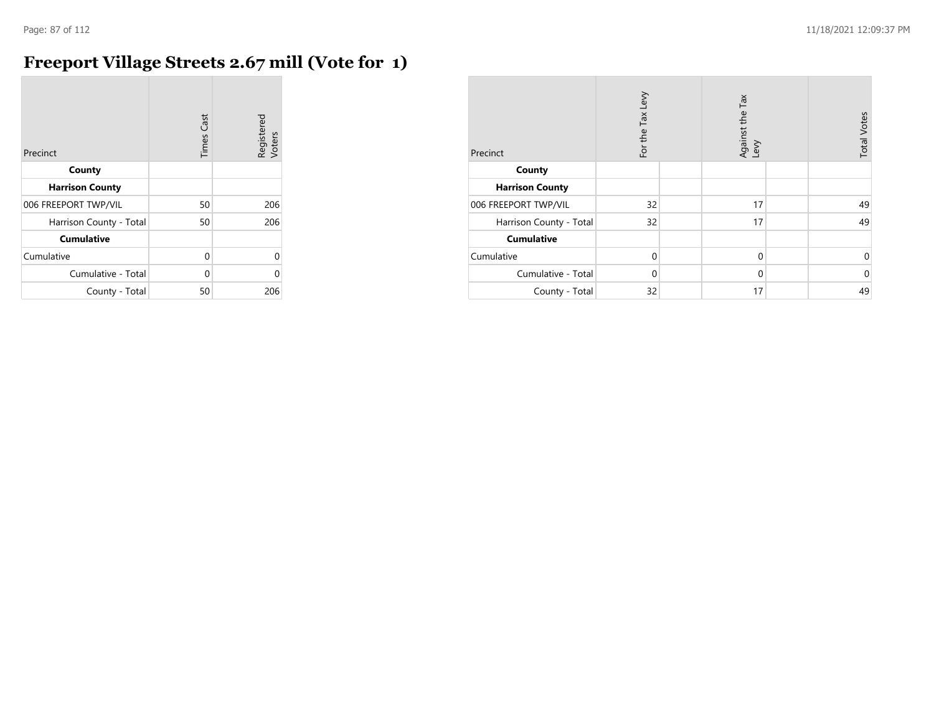## **Freeport Village Streets 2.67 mill (Vote for 1)**

| Precinct                | <b>Times Cast</b> | Registered<br>Voters |
|-------------------------|-------------------|----------------------|
| County                  |                   |                      |
| <b>Harrison County</b>  |                   |                      |
| 006 FREEPORT TWP/VIL    | 50                | 206                  |
| Harrison County - Total | 50                | 206                  |
| <b>Cumulative</b>       |                   |                      |
| Cumulative              | $\Omega$          | 0                    |
| Cumulative - Total      | U                 | ⋂                    |
| County - Total          | 50                | 206                  |

| Precinct                | For the Tax Levy | Tax<br>Against the T<br>Levy | <b>Total Votes</b> |
|-------------------------|------------------|------------------------------|--------------------|
| County                  |                  |                              |                    |
| <b>Harrison County</b>  |                  |                              |                    |
| 006 FREEPORT TWP/VIL    | 32               | 17                           | 49                 |
| Harrison County - Total | 32               | 17                           | 49                 |
| <b>Cumulative</b>       |                  |                              |                    |
| Cumulative              | $\Omega$         | $\mathbf 0$                  | $\mathbf 0$        |
| Cumulative - Total      | $\Omega$         | $\mathbf 0$                  | $\mathbf 0$        |
| County - Total          | 32               | 17                           | 49                 |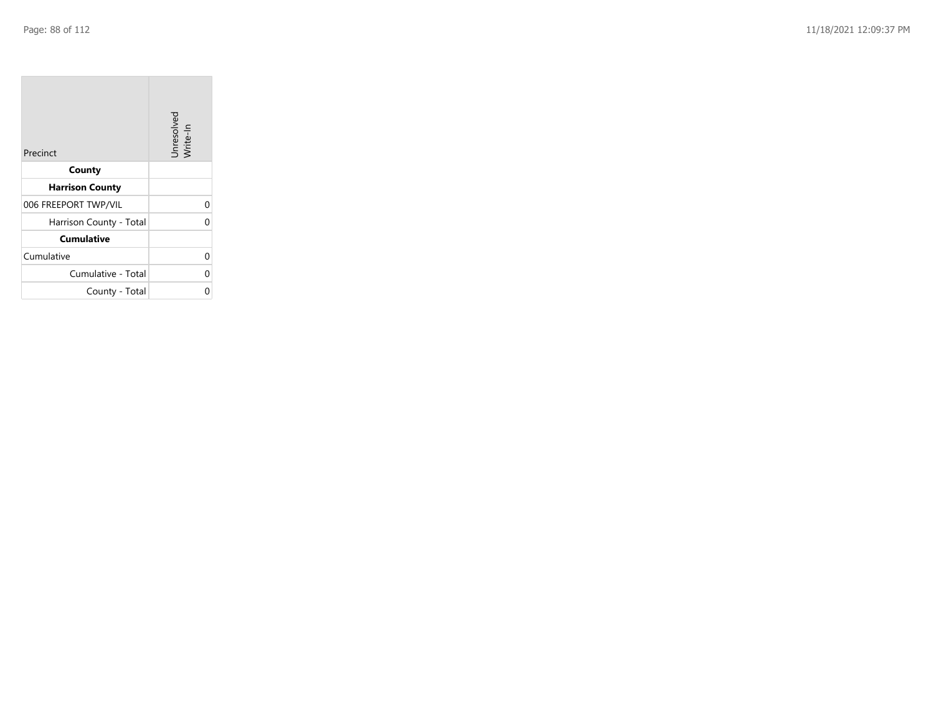| Precinct                | Unresolved<br>Write-In |
|-------------------------|------------------------|
| County                  |                        |
| <b>Harrison County</b>  |                        |
| 006 FREEPORT TWP/VIL    | 0                      |
| Harrison County - Total | 0                      |
| <b>Cumulative</b>       |                        |
| Cumulative              | 0                      |
| Cumulative - Total      | 0                      |
| County - Total          | ი                      |

the property of the con-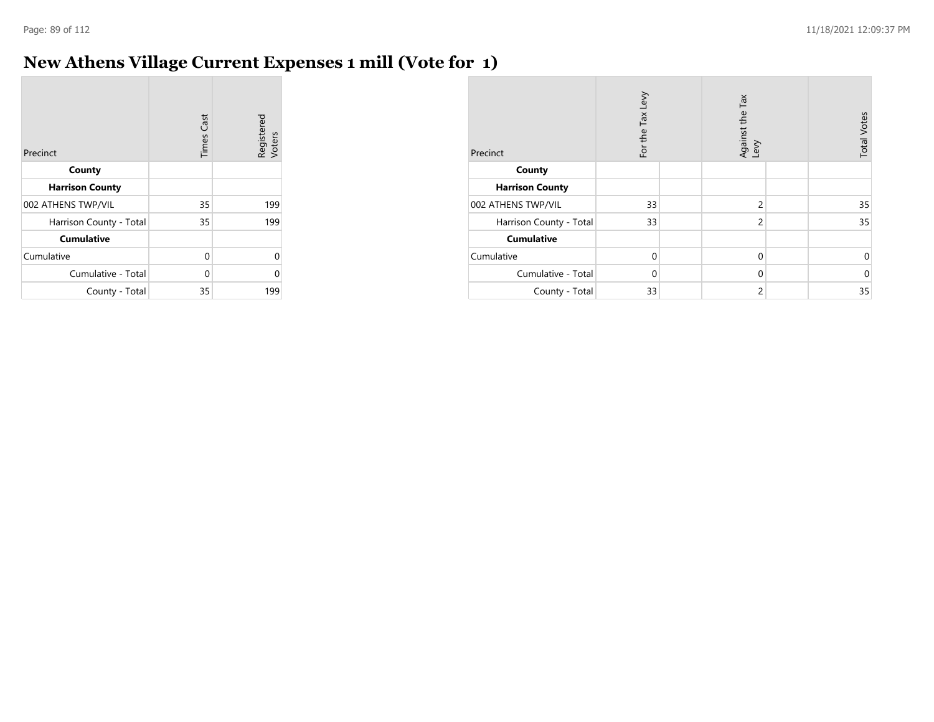#### **New Athens Village Current Expenses 1 mill (Vote for 1)**

| Precinct                | <b>Times Cast</b> | Registered<br>Voters |
|-------------------------|-------------------|----------------------|
| County                  |                   |                      |
| <b>Harrison County</b>  |                   |                      |
| 002 ATHENS TWP/VIL      | 35                | 199                  |
| Harrison County - Total | 35                | 199                  |
| <b>Cumulative</b>       |                   |                      |
| Cumulative              | 0                 | 0                    |
| Cumulative - Total      | 0                 | U                    |
| County - Total          | 35                | 199                  |

| Precinct                | For the Tax Levy | Against the Tax<br>Levy | <b>Total Votes</b> |
|-------------------------|------------------|-------------------------|--------------------|
| County                  |                  |                         |                    |
| <b>Harrison County</b>  |                  |                         |                    |
| 002 ATHENS TWP/VIL      | 33               | $\overline{c}$          | 35                 |
| Harrison County - Total | 33               | $\overline{c}$          | 35                 |
| <b>Cumulative</b>       |                  |                         |                    |
| Cumulative              | $\Omega$         | $\mathbf 0$             | 0                  |
| Cumulative - Total      | $\Omega$         | $\mathbf 0$             | $\Omega$           |
| County - Total          | 33               | $\overline{2}$          | 35                 |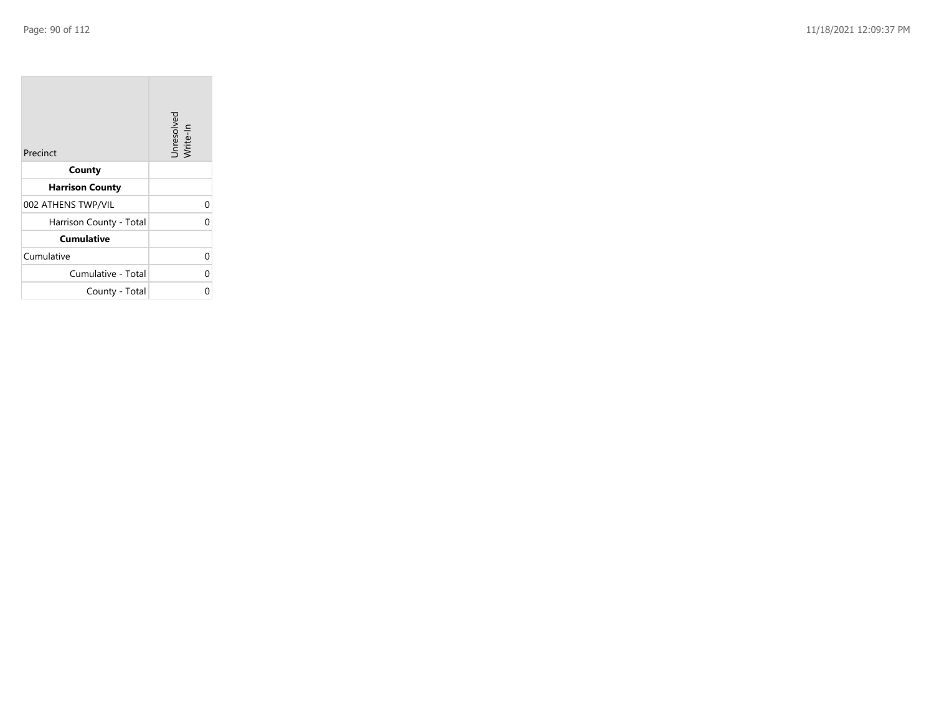| Precinct                | Unresolved<br>Write-In |
|-------------------------|------------------------|
| County                  |                        |
| <b>Harrison County</b>  |                        |
| 002 ATHENS TWP/VIL      | 0                      |
| Harrison County - Total | 0                      |
| <b>Cumulative</b>       |                        |
| Cumulative              | 0                      |
| Cumulative - Total      | 0                      |
| County - Total          | ი                      |

the property of the con-

 $\mathcal{L}(\mathcal{A})$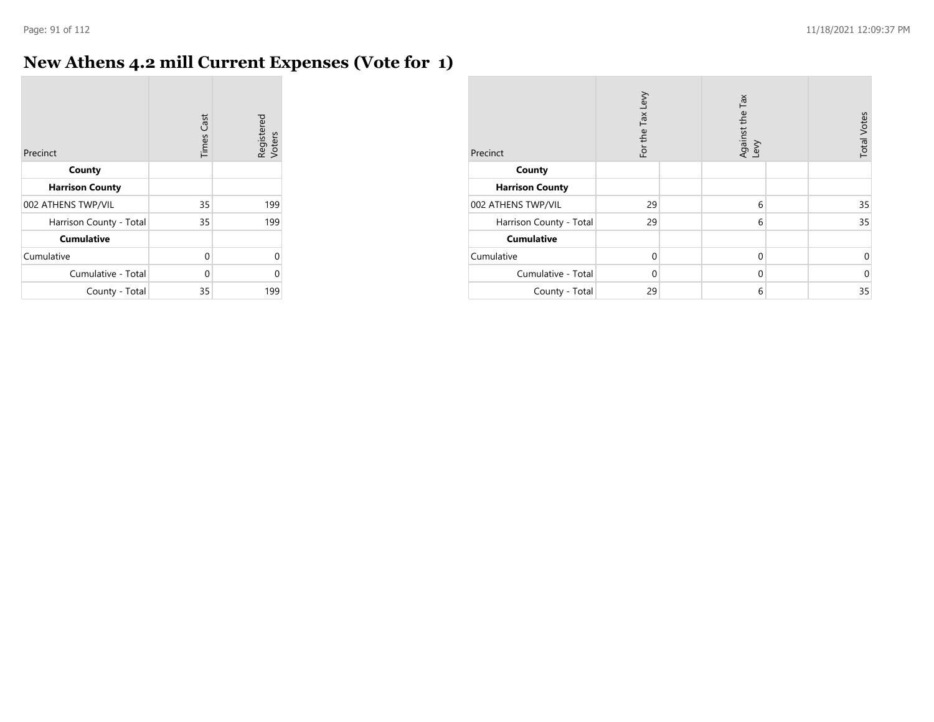#### **New Athens 4.2 mill Current Expenses (Vote for 1)**

| Precinct                | <b>Times Cast</b> | Registered<br>Voters |
|-------------------------|-------------------|----------------------|
| County                  |                   |                      |
| <b>Harrison County</b>  |                   |                      |
| 002 ATHENS TWP/VIL      | 35                | 199                  |
| Harrison County - Total | 35                | 199                  |
| <b>Cumulative</b>       |                   |                      |
| Cumulative              | 0                 | U                    |
| Cumulative - Total      | 0                 | Λ                    |
| County - Total          | 35                | 199                  |

| Precinct                | For the Tax Levy | Against the Tax<br>Levy | <b>Total Votes</b> |
|-------------------------|------------------|-------------------------|--------------------|
| County                  |                  |                         |                    |
| <b>Harrison County</b>  |                  |                         |                    |
| 002 ATHENS TWP/VIL      | 29               | 6                       | 35                 |
| Harrison County - Total | 29               | 6                       | 35                 |
| <b>Cumulative</b>       |                  |                         |                    |
| Cumulative              | $\Omega$         | $\mathbf 0$             | 0                  |
| Cumulative - Total      | $\Omega$         | $\mathbf 0$             | $\Omega$           |
| County - Total          | 29               | 6                       | 35                 |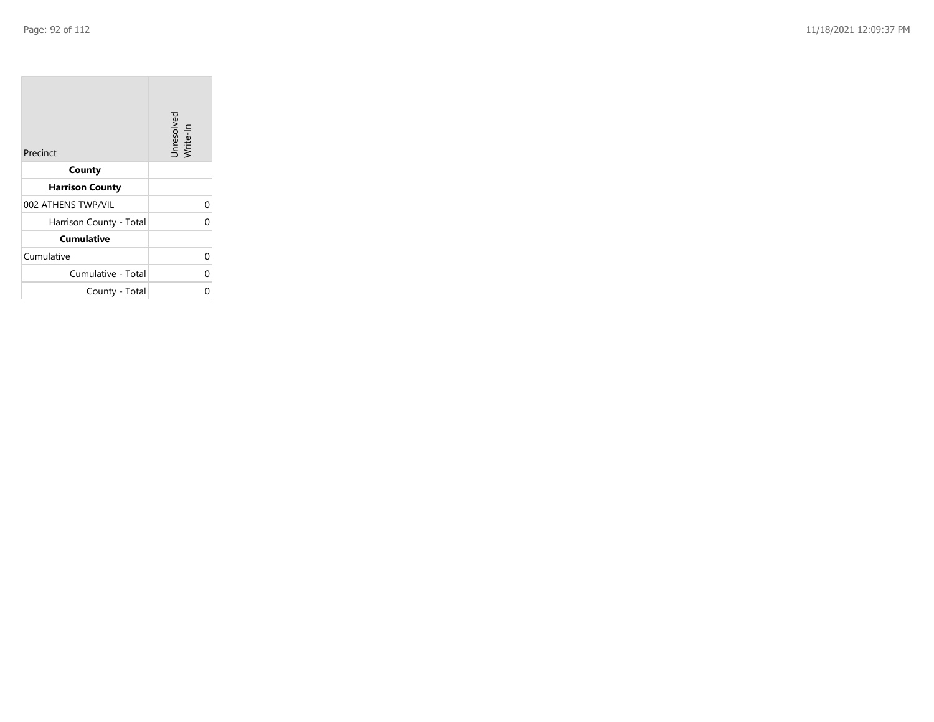| Precinct                | Unresolved<br>Write-In |
|-------------------------|------------------------|
| County                  |                        |
| <b>Harrison County</b>  |                        |
| 002 ATHENS TWP/VIL      | 0                      |
| Harrison County - Total | 0                      |
| <b>Cumulative</b>       |                        |
| Cumulative              | 0                      |
| Cumulative - Total      | 0                      |
| County - Total          | ი                      |

the contract of the contract of

 $\sim$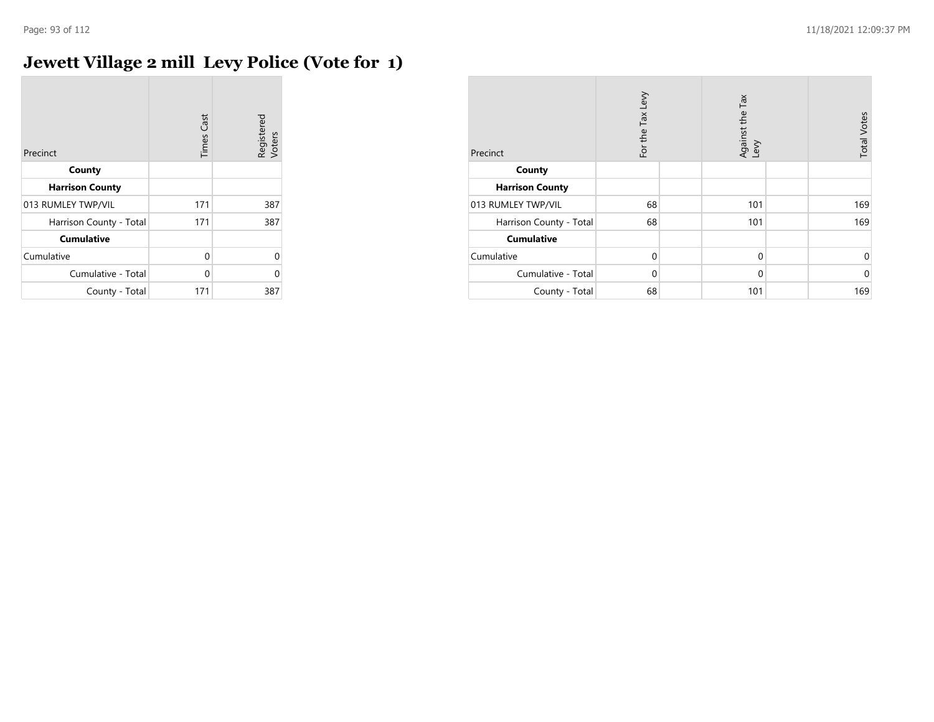$\overline{\phantom{a}}$ 

## **Jewett Village 2 mill Levy Police (Vote for 1)**

| Precinct                | <b>Times Cast</b> | Registered<br>Voters |
|-------------------------|-------------------|----------------------|
| County                  |                   |                      |
| <b>Harrison County</b>  |                   |                      |
| 013 RUMLEY TWP/VIL      | 171               | 387                  |
| Harrison County - Total | 171               | 387                  |
| <b>Cumulative</b>       |                   |                      |
| Cumulative              | $\Omega$          | 0                    |
| Cumulative - Total      | $\Omega$          | C                    |
| County - Total          | 171               | 387                  |

| Precinct                | For the Tax Levy | Against the Tax<br>Levy | <b>Total Votes</b> |
|-------------------------|------------------|-------------------------|--------------------|
| County                  |                  |                         |                    |
| <b>Harrison County</b>  |                  |                         |                    |
| 013 RUMLEY TWP/VIL      | 68               | 101                     | 169                |
| Harrison County - Total | 68               | 101                     | 169                |
| <b>Cumulative</b>       |                  |                         |                    |
| Cumulative              | $\Omega$         | $\mathbf 0$             | $\mathbf 0$        |
| Cumulative - Total      | $\Omega$         | $\mathbf 0$             | $\mathbf 0$        |
| County - Total          | 68               | 101                     | 169                |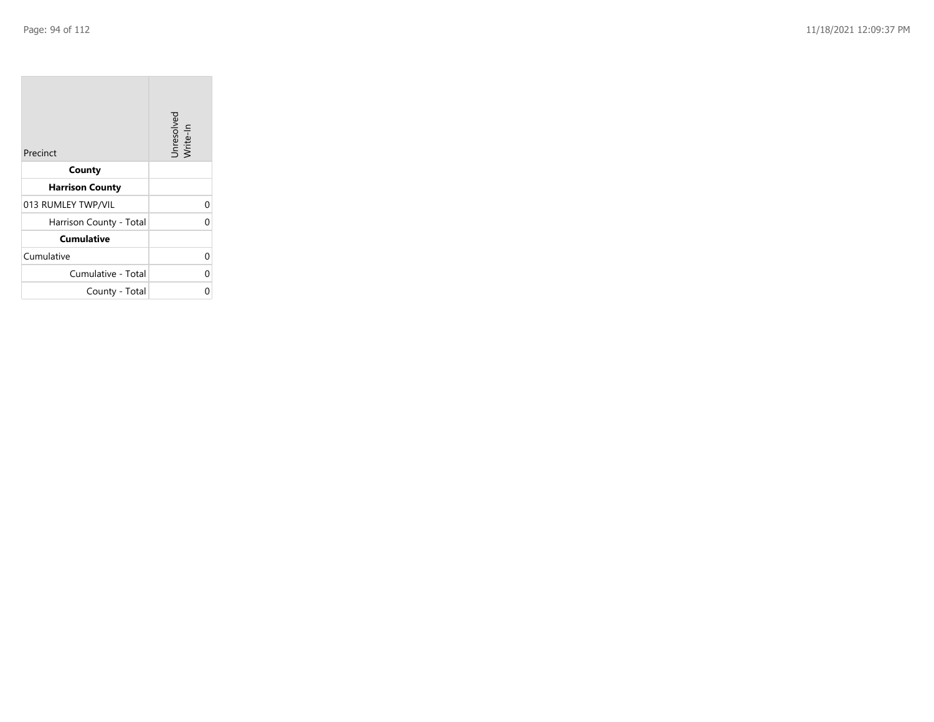| Precinct                | Unresolved<br>Write-In |
|-------------------------|------------------------|
| County                  |                        |
| <b>Harrison County</b>  |                        |
| 013 RUMLEY TWP/VIL      | 0                      |
| Harrison County - Total | 0                      |
| <b>Cumulative</b>       |                        |
| Cumulative              | 0                      |
| Cumulative - Total      | 0                      |
| County - Total          | 0                      |

the contract of the contract of

m.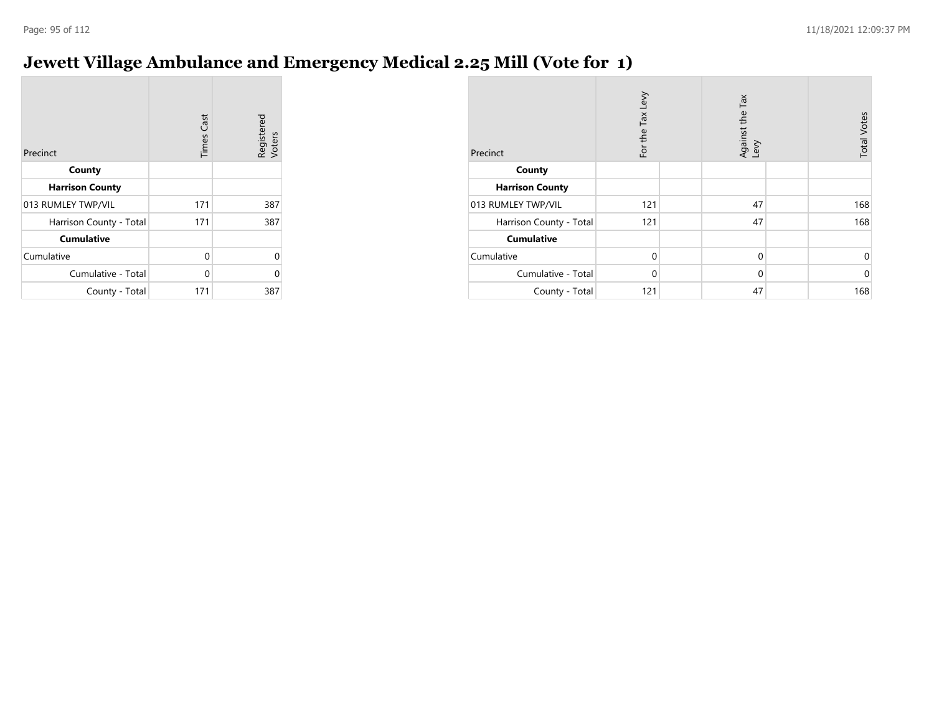# **Jewett Village Ambulance and Emergency Medical 2.25 Mill (Vote for 1)**

| Precinct                | <b>Times Cast</b> | Registered<br>Voters |
|-------------------------|-------------------|----------------------|
| County                  |                   |                      |
| <b>Harrison County</b>  |                   |                      |
| 013 RUMLEY TWP/VIL      | 171               | 387                  |
| Harrison County - Total | 171               | 387                  |
| <b>Cumulative</b>       |                   |                      |
| Cumulative              | $\Omega$          | 0                    |
| Cumulative - Total      | 0                 | ሰ                    |
| County - Total          | 171               | 387                  |

| Precinct                | For the Tax Levy |  | Against the Tax<br>Levy | <b>Total Votes</b> |
|-------------------------|------------------|--|-------------------------|--------------------|
| County                  |                  |  |                         |                    |
| <b>Harrison County</b>  |                  |  |                         |                    |
| 013 RUMLEY TWP/VIL      | 121              |  | 47                      | 168                |
| Harrison County - Total | 121              |  | 47                      | 168                |
| <b>Cumulative</b>       |                  |  |                         |                    |
| Cumulative              | $\Omega$         |  | $\mathbf 0$             | 0                  |
| Cumulative - Total      | $\Omega$         |  | $\mathbf 0$             | $\mathbf 0$        |
| County - Total          | 121              |  | 47                      | 168                |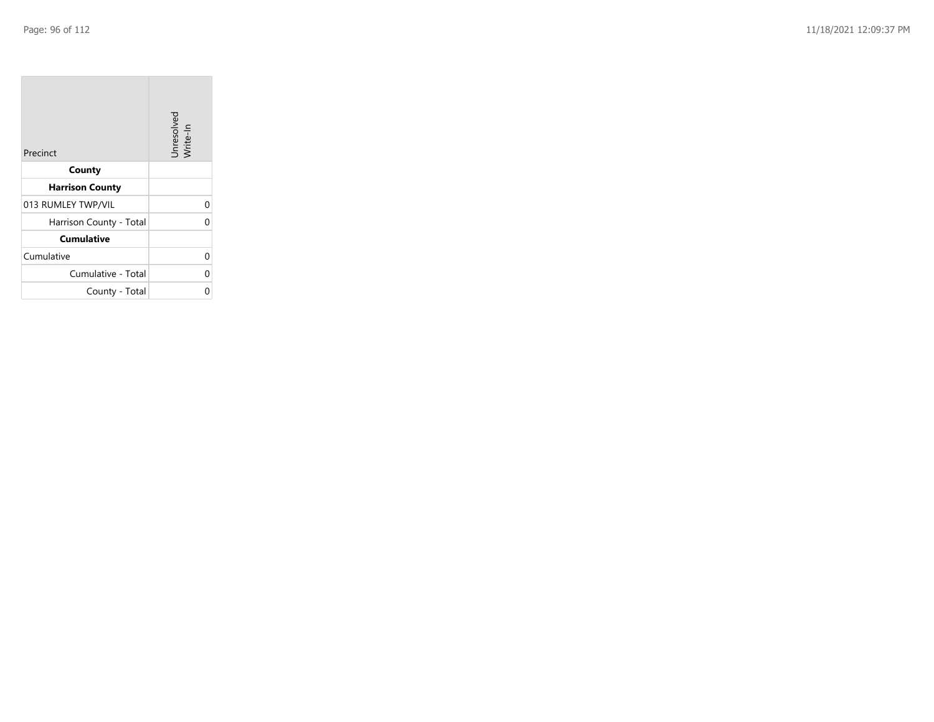**COL** 

| Precinct                | Unresolved<br>Write-In |
|-------------------------|------------------------|
| County                  |                        |
| <b>Harrison County</b>  |                        |
| 013 RUMLEY TWP/VIL      | 0                      |
| Harrison County - Total | 0                      |
| <b>Cumulative</b>       |                        |
| Cumulative              | 0                      |
| Cumulative - Total      | 0                      |
| County - Total          | ი                      |

the control of the control of the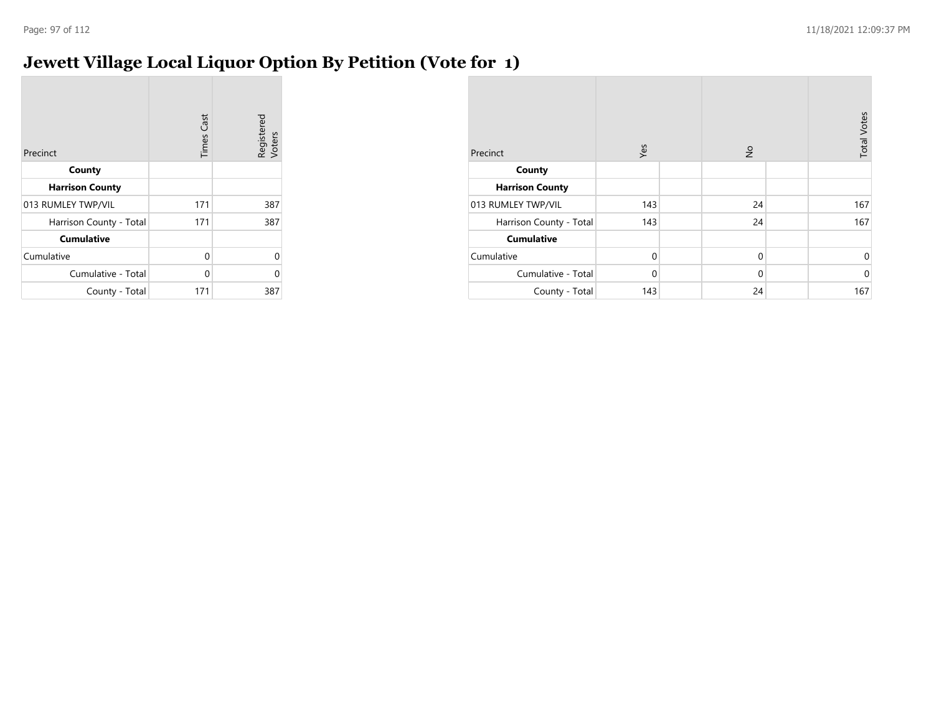## **Jewett Village Local Liquor Option By Petition (Vote for 1)**

| Precinct                | <b>Times Cast</b> | Registered<br>Voters |
|-------------------------|-------------------|----------------------|
| County                  |                   |                      |
| <b>Harrison County</b>  |                   |                      |
| 013 RUMLEY TWP/VIL      | 171               | 387                  |
| Harrison County - Total | 171               | 387                  |
| <b>Cumulative</b>       |                   |                      |
| Cumulative              | 0                 | 0                    |
| Cumulative - Total      | 0                 | ი                    |
| County - Total          | 171               | 387                  |

| Precinct                | Yes         | $\frac{1}{2}$ | <b>Total Votes</b> |
|-------------------------|-------------|---------------|--------------------|
| County                  |             |               |                    |
| <b>Harrison County</b>  |             |               |                    |
| 013 RUMLEY TWP/VIL      | 143         | 24            | 167                |
| Harrison County - Total | 143         | 24            | 167                |
| <b>Cumulative</b>       |             |               |                    |
| Cumulative              | $\mathbf 0$ | $\mathbf 0$   | 0                  |
| Cumulative - Total      | $\Omega$    | $\mathbf 0$   | $\mathbf 0$        |
| County - Total          | 143         | 24            | 167                |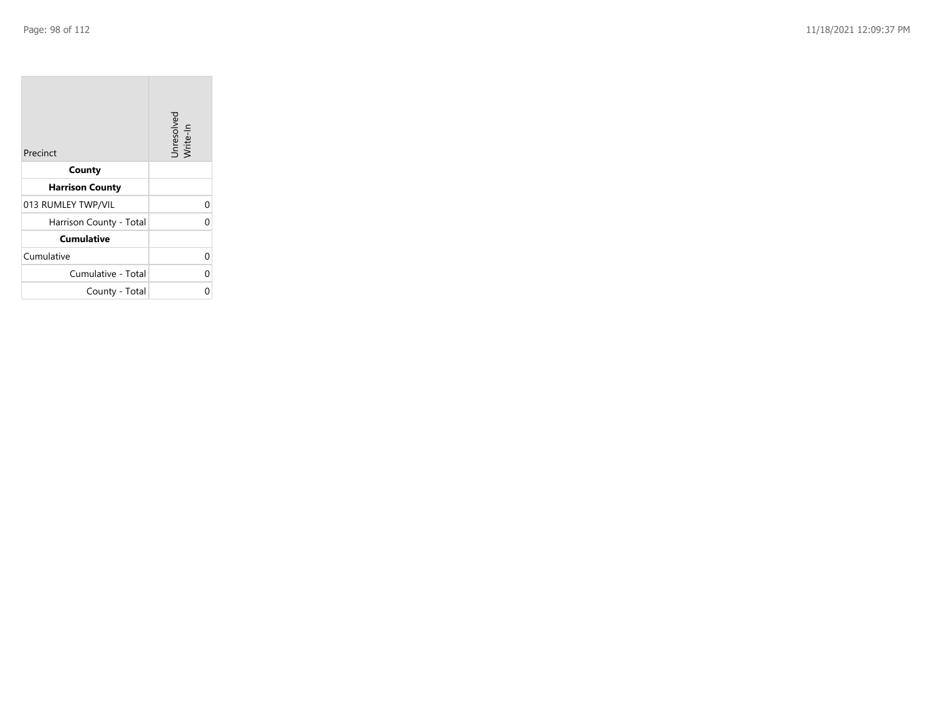| Precinct                | Unresolved<br>Write-In |
|-------------------------|------------------------|
| County                  |                        |
| <b>Harrison County</b>  |                        |
| 013 RUMLEY TWP/VIL      | 0                      |
| Harrison County - Total | 0                      |
| <b>Cumulative</b>       |                        |
| Cumulative              | 0                      |
| Cumulative - Total      | 0                      |
| County - Total          | ი                      |

the property of the con-

 $\overline{\phantom{a}}$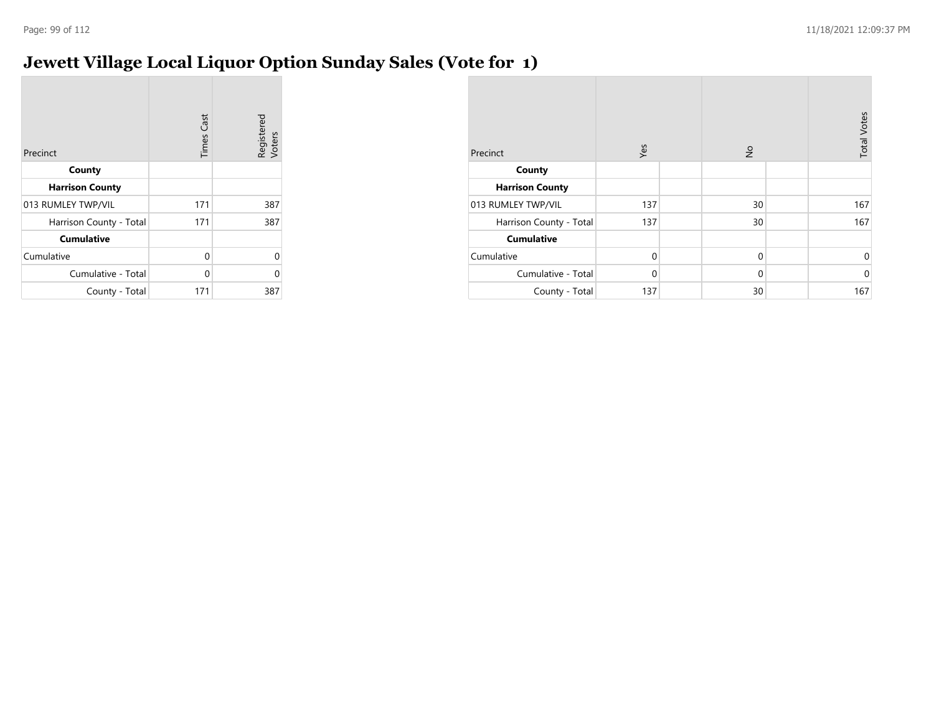## **Jewett Village Local Liquor Option Sunday Sales (Vote for 1)**

| Precinct                | <b>Times Cast</b> | Registered<br>Voters |
|-------------------------|-------------------|----------------------|
| County                  |                   |                      |
| <b>Harrison County</b>  |                   |                      |
| 013 RUMLEY TWP/VIL      | 171               | 387                  |
| Harrison County - Total | 171               | 387                  |
| <b>Cumulative</b>       |                   |                      |
| Cumulative              | 0                 | 0                    |
| Cumulative - Total      | $\Omega$          | 0                    |
| County - Total          | 171               | 387                  |

| Precinct                | Yes         | $\frac{1}{2}$ | <b>Total Votes</b> |
|-------------------------|-------------|---------------|--------------------|
| County                  |             |               |                    |
| <b>Harrison County</b>  |             |               |                    |
| 013 RUMLEY TWP/VIL      | 137         | 30            | 167                |
| Harrison County - Total | 137         | 30            | 167                |
| <b>Cumulative</b>       |             |               |                    |
| Cumulative              | $\mathbf 0$ | $\mathbf 0$   | 0                  |
| Cumulative - Total      | $\Omega$    | $\mathbf 0$   | $\mathbf 0$        |
| County - Total          | 137         | 30            | 167                |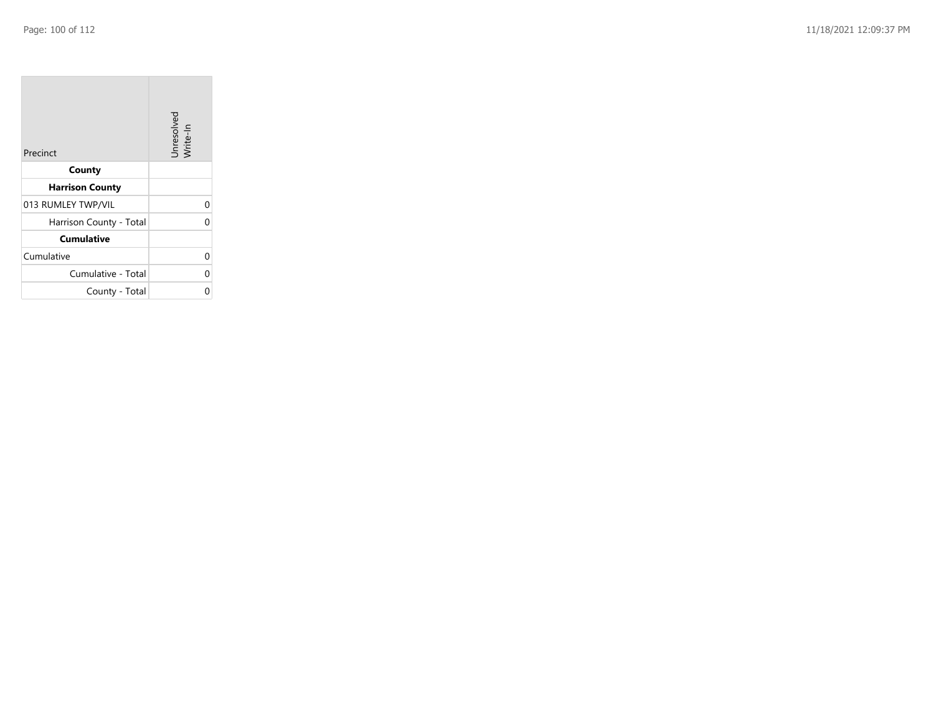| Precinct                | Unresolved<br>Write-In |
|-------------------------|------------------------|
| County                  |                        |
| <b>Harrison County</b>  |                        |
| 013 RUMLEY TWP/VIL      | 0                      |
| Harrison County - Total | 0                      |
| <b>Cumulative</b>       |                        |
| Cumulative              | 0                      |
| Cumulative - Total      | 0                      |
| County - Total          | Ω                      |

the property of the con-

 $\overline{\phantom{a}}$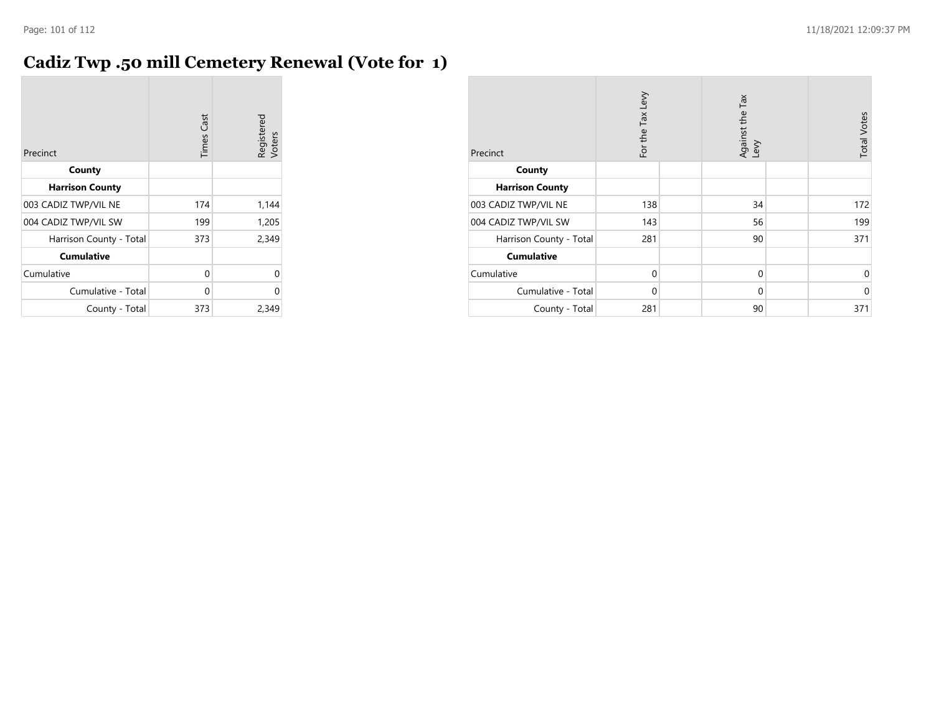## **Cadiz Twp .50 mill Cemetery Renewal (Vote for 1)**

| Precinct                | <b>Times Cast</b> | Registered<br>Voters |
|-------------------------|-------------------|----------------------|
| County                  |                   |                      |
| <b>Harrison County</b>  |                   |                      |
| 003 CADIZ TWP/VIL NE    | 174               | 1,144                |
| 004 CADIZ TWP/VIL SW    | 199               | 1,205                |
| Harrison County - Total | 373               | 2,349                |
| <b>Cumulative</b>       |                   |                      |
| Cumulative              | 0                 | U                    |
| Cumulative - Total      | 0                 | U                    |
| County - Total          | 373               | 2,349                |

| Precinct                | For the Tax Levy | Against the Tax<br>Levy | <b>Total Votes</b> |
|-------------------------|------------------|-------------------------|--------------------|
| County                  |                  |                         |                    |
| <b>Harrison County</b>  |                  |                         |                    |
| 003 CADIZ TWP/VIL NE    | 138              | 34                      | 172                |
| 004 CADIZ TWP/VIL SW    | 143              | 56                      | 199                |
| Harrison County - Total | 281              | 90                      | 371                |
| <b>Cumulative</b>       |                  |                         |                    |
| Cumulative              | $\mathbf 0$      | $\mathbf 0$             | $\Omega$           |
| Cumulative - Total      | $\mathbf 0$      | $\mathbf 0$             | $\mathbf 0$        |
| County - Total          | 281              | 90                      | 371                |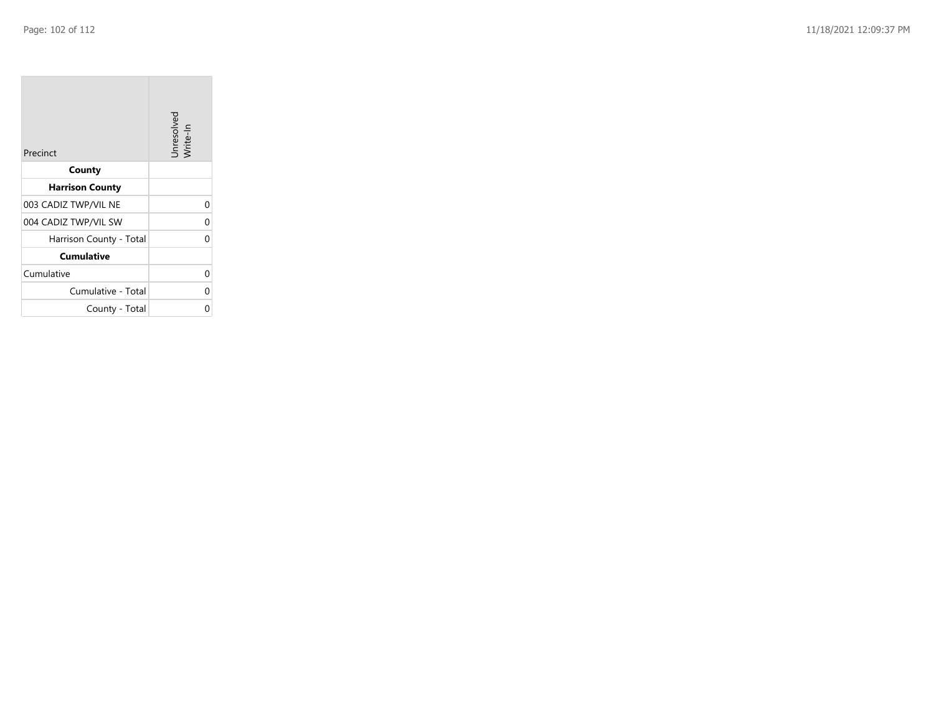| Precinct                | Unresolved<br>Write-In |
|-------------------------|------------------------|
| County                  |                        |
| <b>Harrison County</b>  |                        |
| 003 CADIZ TWP/VIL NE    | 0                      |
| 004 CADIZ TWP/VIL SW    | 0                      |
| Harrison County - Total | U                      |
| <b>Cumulative</b>       |                        |
| Cumulative              | 0                      |
| Cumulative - Total      | 0                      |
| County - Total          | 0                      |

the property of the con-

 $\overline{\phantom{a}}$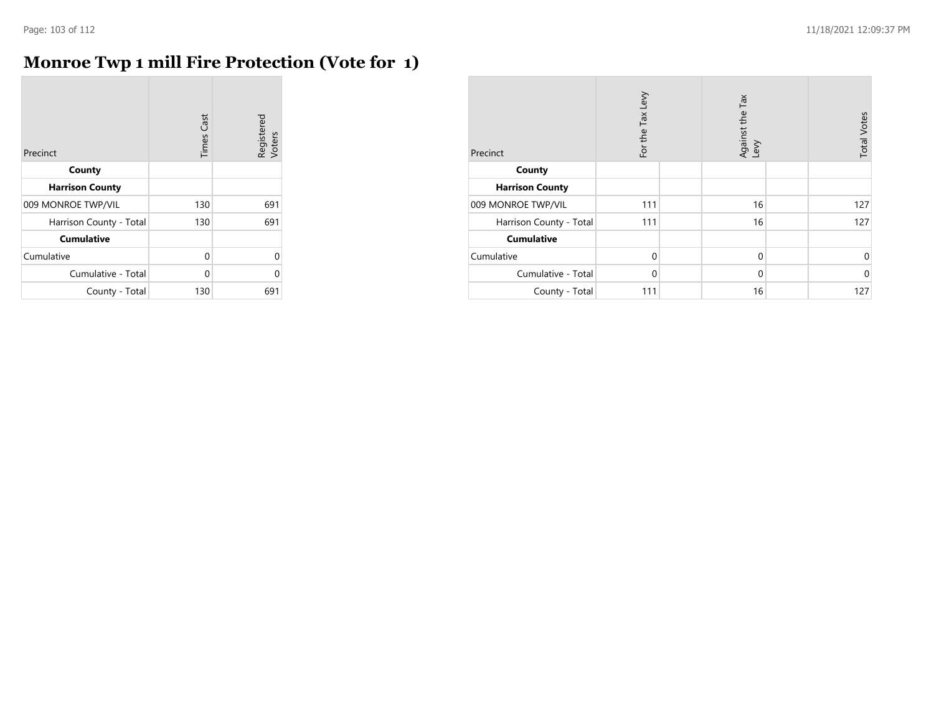$\mathcal{L}$ 

#### **Monroe Twp 1 mill Fire Protection (Vote for 1)**

| Precinct                | Cast<br>Times | Registered<br>Voters |
|-------------------------|---------------|----------------------|
| County                  |               |                      |
| <b>Harrison County</b>  |               |                      |
| 009 MONROE TWP/VIL      | 130           | 691                  |
| Harrison County - Total | 130           | 691                  |
| <b>Cumulative</b>       |               |                      |
| Cumulative              | 0             | $\Omega$             |
| Cumulative - Total      | 0             | U                    |
| County - Total          | 130           | 691                  |

| Precinct                | For the Tax Levy | Against the Tax<br>Levy | <b>Total Votes</b> |
|-------------------------|------------------|-------------------------|--------------------|
| County                  |                  |                         |                    |
| <b>Harrison County</b>  |                  |                         |                    |
| 009 MONROE TWP/VIL      | 111              | 16                      | 127                |
| Harrison County - Total | 111              | 16                      | 127                |
| <b>Cumulative</b>       |                  |                         |                    |
| Cumulative              | $\Omega$         | $\mathbf 0$             | 0                  |
| Cumulative - Total      | $\Omega$         | $\mathbf 0$             | $\mathbf 0$        |
| County - Total          | 111              | 16                      | 127                |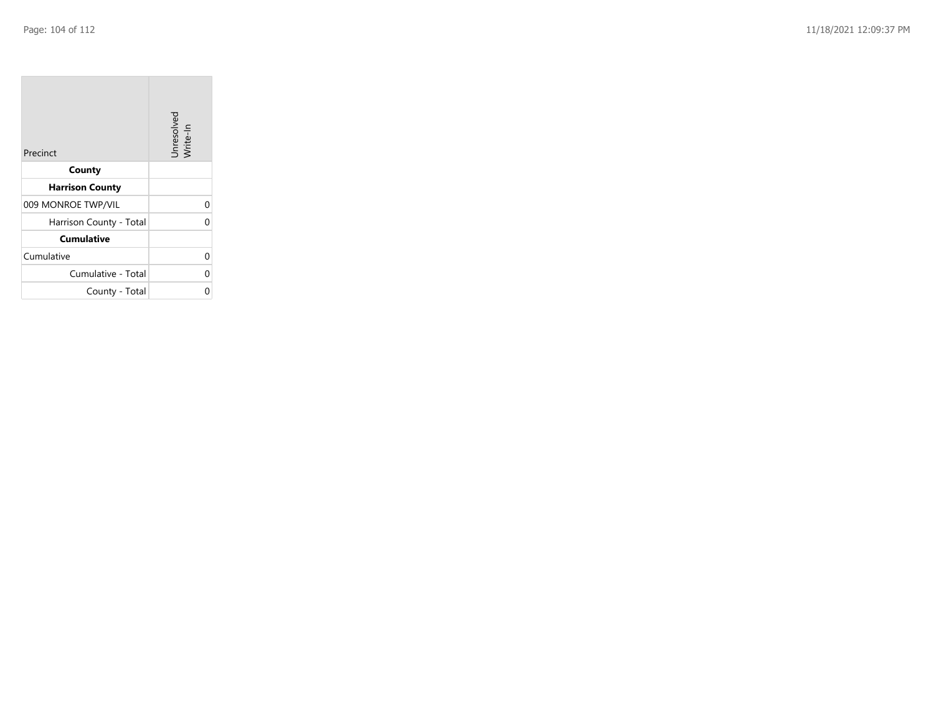| Precinct                | Unresolved<br>Write-In |
|-------------------------|------------------------|
| County                  |                        |
| <b>Harrison County</b>  |                        |
| 009 MONROE TWP/VIL      | 0                      |
| Harrison County - Total | O                      |
| <b>Cumulative</b>       |                        |
| Cumulative              | 0                      |
| Cumulative - Total      | 0                      |
| County - Total          |                        |

the property of the con-

 $\overline{\phantom{a}}$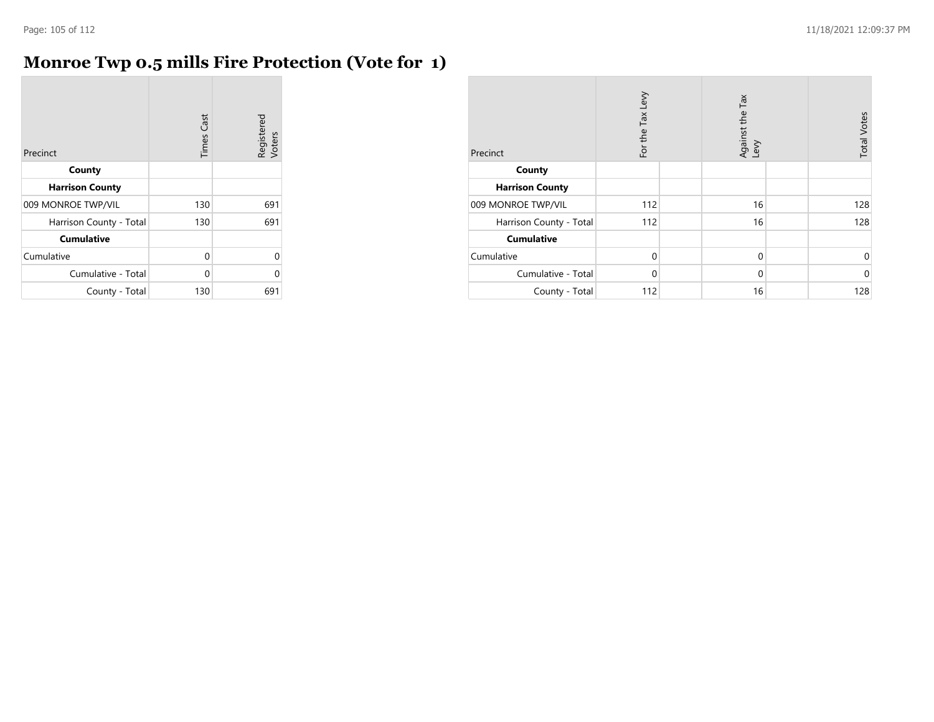÷

## **Monroe Twp 0.5 mills Fire Protection (Vote for 1)**

| Precinct                | <b>Times Cast</b> | Registered<br>Voters |
|-------------------------|-------------------|----------------------|
| County                  |                   |                      |
| <b>Harrison County</b>  |                   |                      |
| 009 MONROE TWP/VIL      | 130               | 691                  |
| Harrison County - Total | 130               | 691                  |
| <b>Cumulative</b>       |                   |                      |
| Cumulative              | 0                 | U                    |
| Cumulative - Total      | 0                 | U                    |
| County - Total          | 130               | 691                  |

| Precinct                | For the Tax Levy | Against the Tax<br>Levy | <b>Total Votes</b> |
|-------------------------|------------------|-------------------------|--------------------|
| County                  |                  |                         |                    |
| <b>Harrison County</b>  |                  |                         |                    |
| 009 MONROE TWP/VIL      | 112              | 16                      | 128                |
| Harrison County - Total | 112              | 16                      | 128                |
| <b>Cumulative</b>       |                  |                         |                    |
| Cumulative              | $\Omega$         | $\mathbf 0$             | 0                  |
| Cumulative - Total      | $\Omega$         | $\mathbf 0$             | $\mathbf 0$        |
| County - Total          | 112              | 16                      | 128                |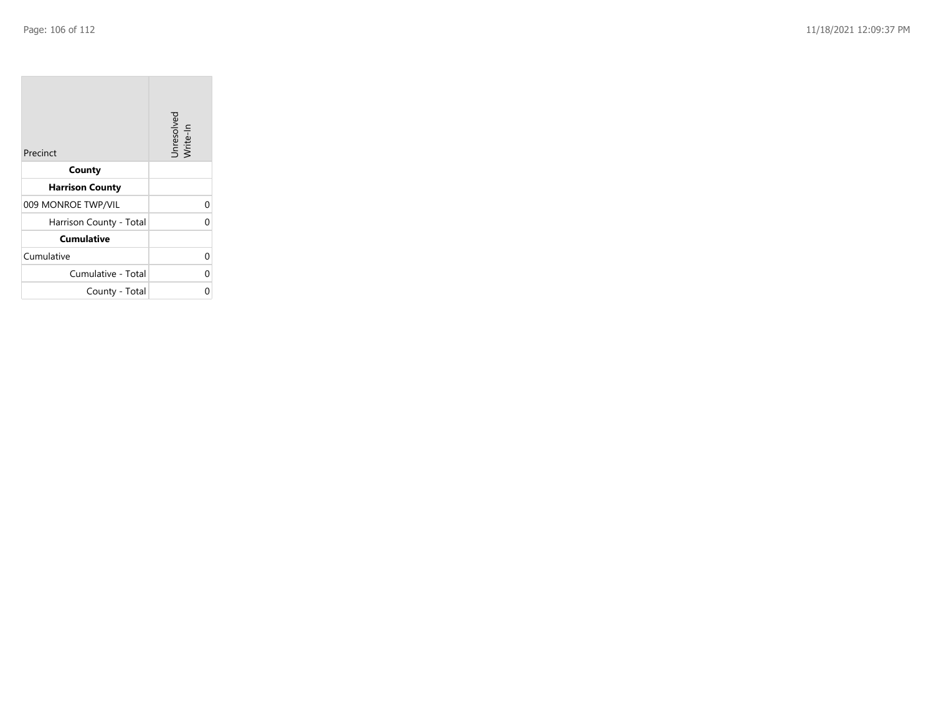| Precinct                | Unresolved<br>Write-In |
|-------------------------|------------------------|
| County                  |                        |
| <b>Harrison County</b>  |                        |
| 009 MONROE TWP/VIL      | 0                      |
| Harrison County - Total | 0                      |
| <b>Cumulative</b>       |                        |
| Cumulative              | 0                      |
| Cumulative - Total      | 0                      |
| County - Total          | Ω                      |

the property of the con-

 $\overline{\phantom{a}}$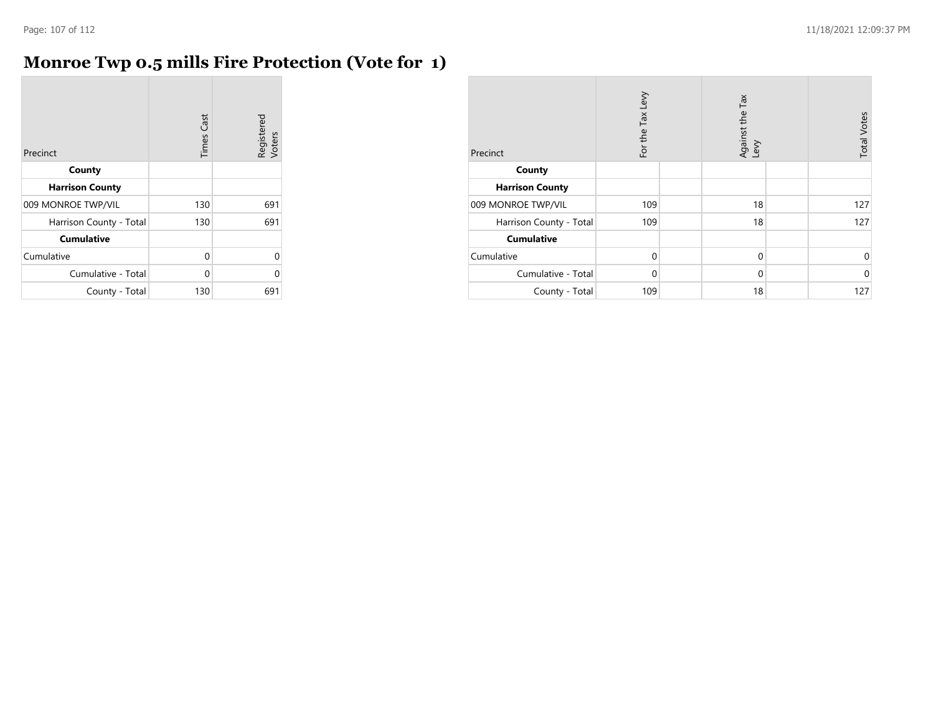## **Monroe Twp 0.5 mills Fire Protection (Vote for 1)**

| Precinct                | <b>Times Cast</b> | Registered<br>Voters |
|-------------------------|-------------------|----------------------|
| County                  |                   |                      |
| <b>Harrison County</b>  |                   |                      |
| 009 MONROE TWP/VIL      | 130               | 691                  |
| Harrison County - Total | 130               | 691                  |
| <b>Cumulative</b>       |                   |                      |
| Cumulative              | 0                 | U                    |
| Cumulative - Total      | 0                 | Λ                    |
| County - Total          | 130               | 691                  |

| Precinct                | For the Tax Levy | Against the Tax<br>Levy | <b>Total Votes</b> |
|-------------------------|------------------|-------------------------|--------------------|
| County                  |                  |                         |                    |
| <b>Harrison County</b>  |                  |                         |                    |
| 009 MONROE TWP/VIL      | 109              | 18                      | 127                |
| Harrison County - Total | 109              | 18                      | 127                |
| <b>Cumulative</b>       |                  |                         |                    |
| Cumulative              | $\Omega$         | $\mathbf 0$             | 0                  |
| Cumulative - Total      | $\Omega$         | $\mathbf 0$             | $\Omega$           |
| County - Total          | 109              | 18                      | 127                |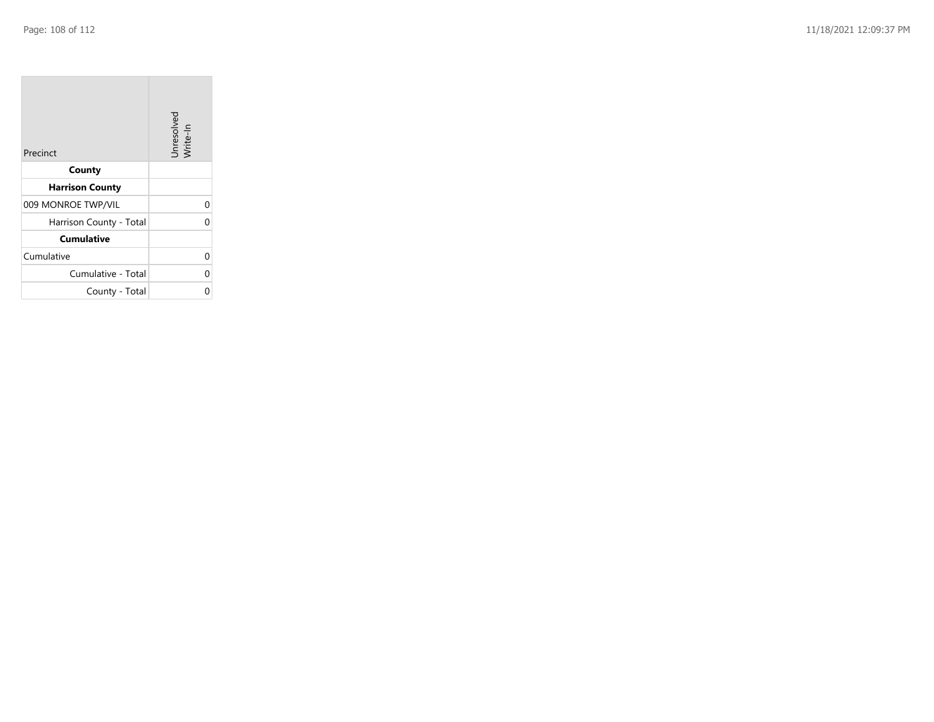| Precinct                | Unresolved<br>Write-In |
|-------------------------|------------------------|
| County                  |                        |
| <b>Harrison County</b>  |                        |
| 009 MONROE TWP/VIL      | 0                      |
| Harrison County - Total | 0                      |
| <b>Cumulative</b>       |                        |
| Cumulative              | 0                      |
| Cumulative - Total      | 0                      |
| County - Total          |                        |

the property of the con-

 $\overline{\phantom{a}}$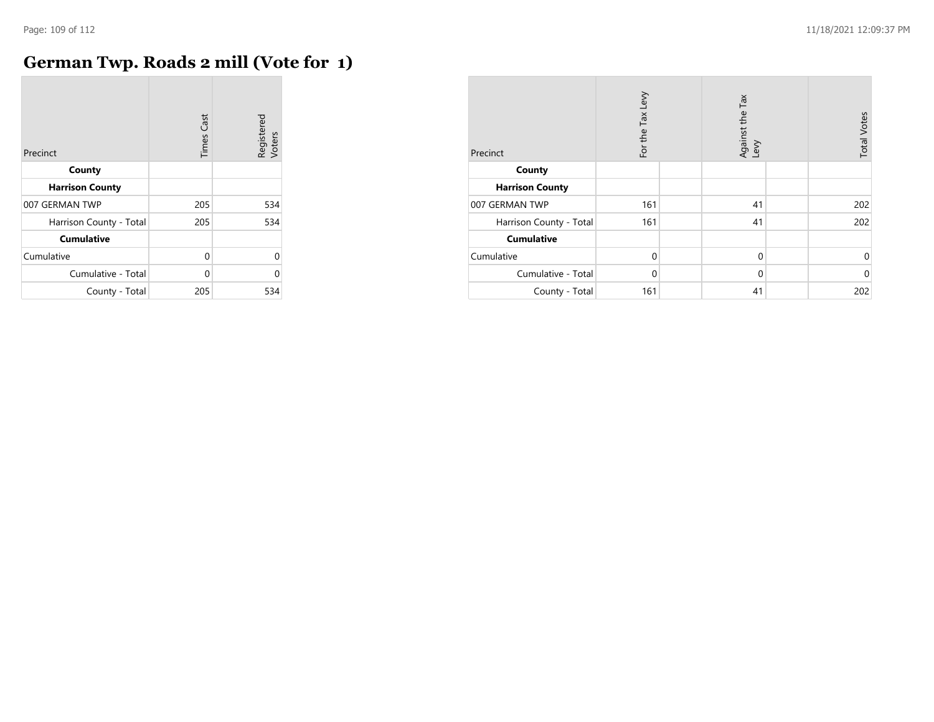r.

## **German Twp. Roads 2 mill (Vote for 1)**

| Precinct                | <b>Times Cast</b> | Registered<br>Voters |
|-------------------------|-------------------|----------------------|
| County                  |                   |                      |
| <b>Harrison County</b>  |                   |                      |
| 007 GERMAN TWP          | 205               | 534                  |
| Harrison County - Total | 205               | 534                  |
| <b>Cumulative</b>       |                   |                      |
| Cumulative              | 0                 | $\Omega$             |
| Cumulative - Total      | 0                 | U                    |
| County - Total          | 205               | 534                  |

| Precinct                | For the Tax Levy | Against the Tax<br>Levy | <b>Total Votes</b> |
|-------------------------|------------------|-------------------------|--------------------|
| County                  |                  |                         |                    |
| <b>Harrison County</b>  |                  |                         |                    |
| 007 GERMAN TWP          | 161              | 41                      | 202                |
| Harrison County - Total | 161              | 41                      | 202                |
| <b>Cumulative</b>       |                  |                         |                    |
| Cumulative              | $\Omega$         | $\mathbf 0$             | 0                  |
| Cumulative - Total      | $\Omega$         | $\mathbf 0$             | $\mathbf 0$        |
| County - Total          | 161              | 41                      | 202                |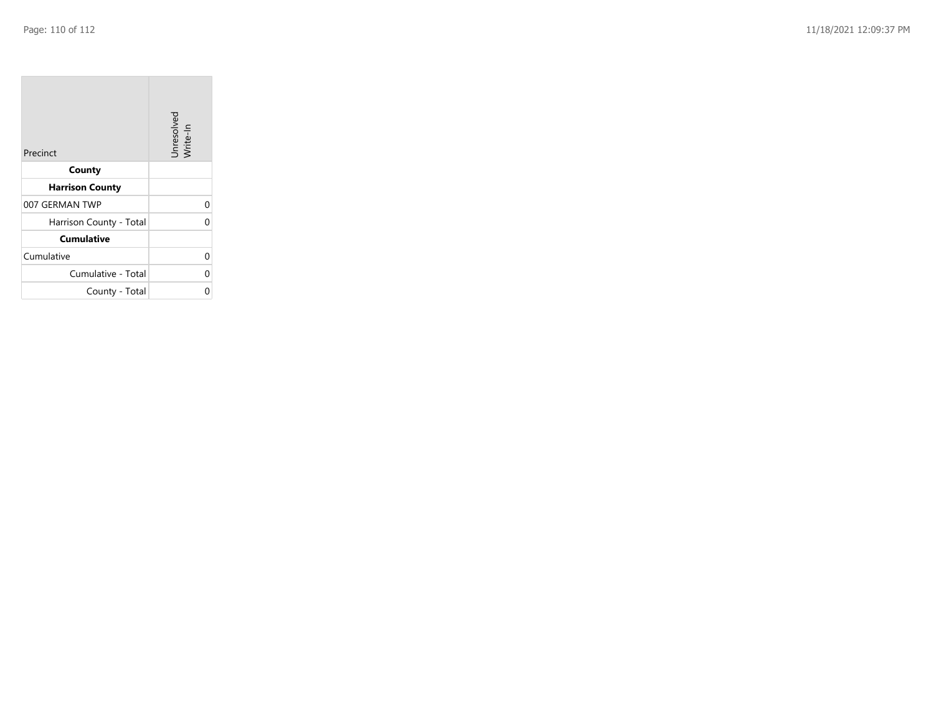$\sim$ 

| Precinct                | Unresolved<br>Write-In |
|-------------------------|------------------------|
| County                  |                        |
| <b>Harrison County</b>  |                        |
| 007 GERMAN TWP          | 0                      |
| Harrison County - Total | በ                      |
| <b>Cumulative</b>       |                        |
| Cumulative              | 0                      |
| Cumulative - Total      | 0                      |
| County - Total          |                        |

the property of the con-

 $\sim$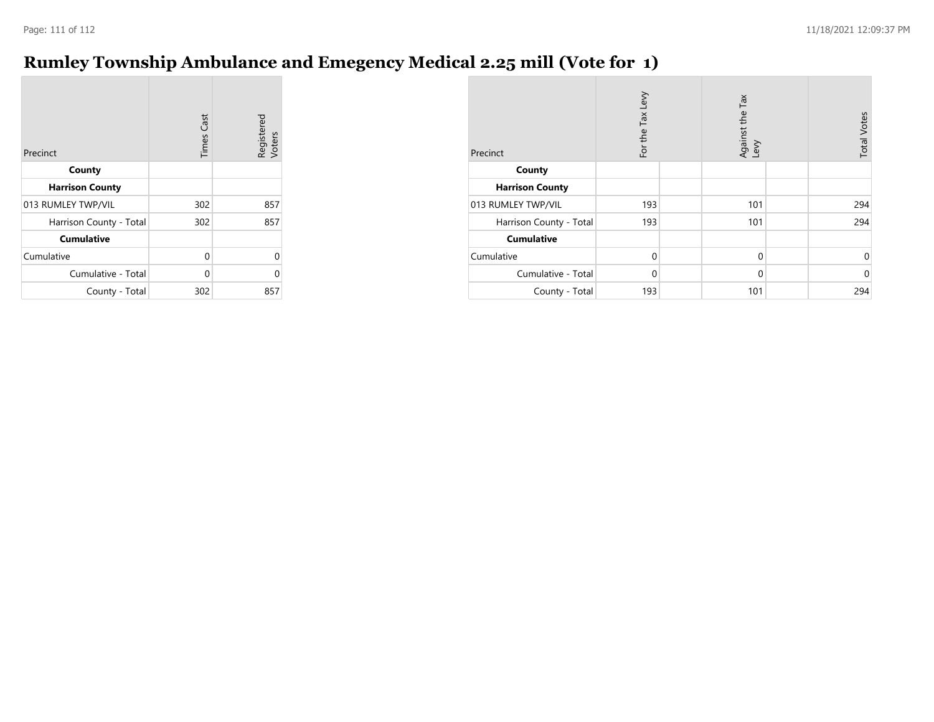## **Rumley Township Ambulance and Emegency Medical 2.25 mill (Vote for 1)**

| Precinct                | <b>Times Cast</b> | Registered<br>Voters |
|-------------------------|-------------------|----------------------|
| County                  |                   |                      |
| <b>Harrison County</b>  |                   |                      |
| 013 RUMLEY TWP/VIL      | 302               | 857                  |
| Harrison County - Total | 302               | 857                  |
| <b>Cumulative</b>       |                   |                      |
| Cumulative              | 0                 | 0                    |
| Cumulative - Total      | $\Omega$          | ი                    |
| County - Total          | 302               | 857                  |

| Precinct                | For the Tax Levy | Against the Tax<br>Levy | <b>Total Votes</b> |
|-------------------------|------------------|-------------------------|--------------------|
| County                  |                  |                         |                    |
| <b>Harrison County</b>  |                  |                         |                    |
| 013 RUMLEY TWP/VIL      | 193              | 101                     | 294                |
| Harrison County - Total | 193              | 101                     | 294                |
| <b>Cumulative</b>       |                  |                         |                    |
| Cumulative              | $\Omega$         | $\mathbf 0$             | 0                  |
| Cumulative - Total      | $\Omega$         | $\mathbf 0$             | $\mathbf 0$        |
| County - Total          | 193              | 101                     | 294                |